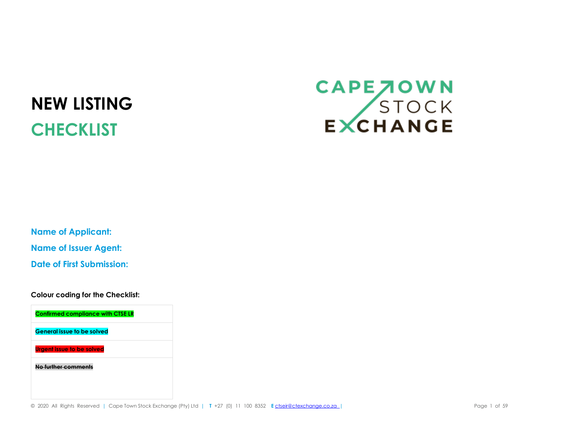## **NEW LISTING CHECKLIST**

## CAPE JOWN<br>STOCK<br>EXCHANGE

**Name of Applicant: Name of Issuer Agent: Date of First Submission:**

**Colour coding for the Checklist:**

**Confirmed compliance with CTSE LR General issue to be solved Urgent issue to be solved No further comments**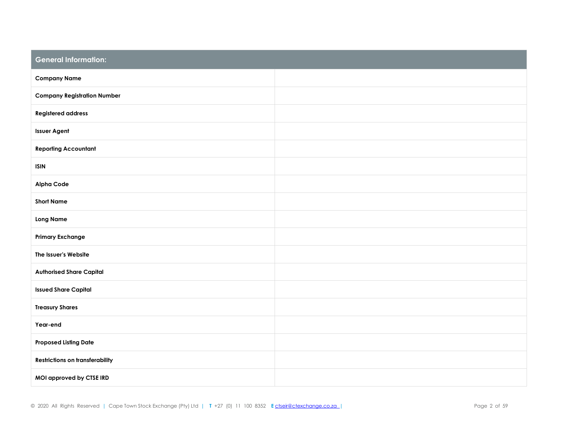| <b>General Information:</b>            |  |
|----------------------------------------|--|
| <b>Company Name</b>                    |  |
| <b>Company Registration Number</b>     |  |
| <b>Registered address</b>              |  |
| <b>Issuer Agent</b>                    |  |
| <b>Reporting Accountant</b>            |  |
| <b>ISIN</b>                            |  |
| <b>Alpha Code</b>                      |  |
| <b>Short Name</b>                      |  |
| <b>Long Name</b>                       |  |
| <b>Primary Exchange</b>                |  |
| The Issuer's Website                   |  |
| <b>Authorised Share Capital</b>        |  |
| <b>Issued Share Capital</b>            |  |
| <b>Treasury Shares</b>                 |  |
| Year-end                               |  |
| <b>Proposed Listing Date</b>           |  |
| <b>Restrictions on transferability</b> |  |
| MOI approved by CTSE IRD               |  |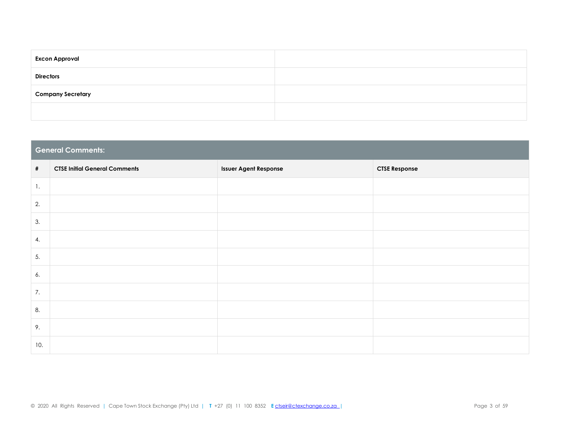| <b>Excon Approval</b>    |  |
|--------------------------|--|
| <b>Directors</b>         |  |
| <b>Company Secretary</b> |  |
|                          |  |

|                | <b>General Comments:</b>             |                              |                      |  |  |  |  |  |  |
|----------------|--------------------------------------|------------------------------|----------------------|--|--|--|--|--|--|
| $\#$           | <b>CTSE Initial General Comments</b> | <b>Issuer Agent Response</b> | <b>CTSE Response</b> |  |  |  |  |  |  |
| $\mathbf{1}$ . |                                      |                              |                      |  |  |  |  |  |  |
| 2.             |                                      |                              |                      |  |  |  |  |  |  |
| 3.             |                                      |                              |                      |  |  |  |  |  |  |
| 4.             |                                      |                              |                      |  |  |  |  |  |  |
| 5.             |                                      |                              |                      |  |  |  |  |  |  |
| 6.             |                                      |                              |                      |  |  |  |  |  |  |
| 7.             |                                      |                              |                      |  |  |  |  |  |  |
| 8.             |                                      |                              |                      |  |  |  |  |  |  |
| 9.             |                                      |                              |                      |  |  |  |  |  |  |
| 10.            |                                      |                              |                      |  |  |  |  |  |  |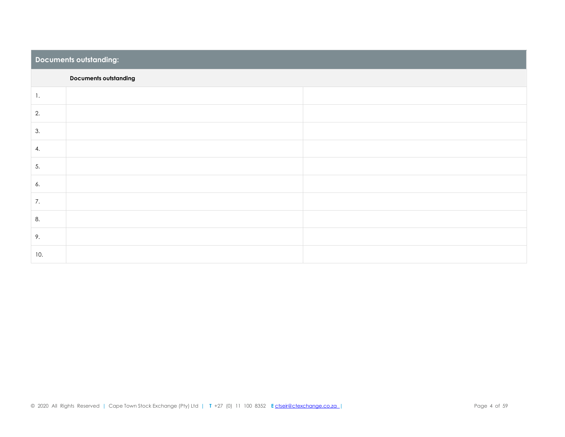|                | Documents outstanding:       |  |  |  |  |  |  |
|----------------|------------------------------|--|--|--|--|--|--|
|                | <b>Documents outstanding</b> |  |  |  |  |  |  |
| $\mathbf{1}$ . |                              |  |  |  |  |  |  |
| 2.             |                              |  |  |  |  |  |  |
| 3.             |                              |  |  |  |  |  |  |
| 4.             |                              |  |  |  |  |  |  |
| 5.             |                              |  |  |  |  |  |  |
| 6.             |                              |  |  |  |  |  |  |
| 7.             |                              |  |  |  |  |  |  |
| 8.             |                              |  |  |  |  |  |  |
| 9.             |                              |  |  |  |  |  |  |
| 10.            |                              |  |  |  |  |  |  |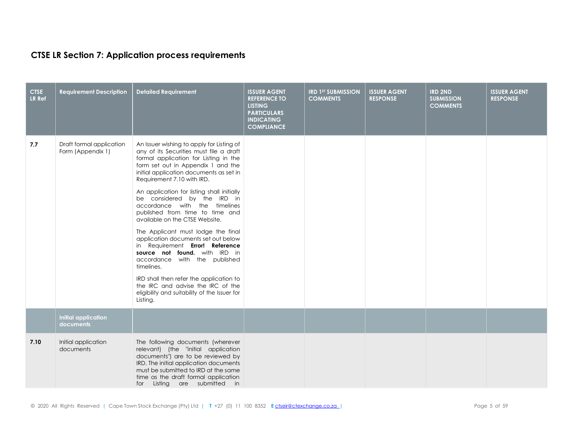## **CTSE LR Section 7: Application process requirements**

| <b>CTSE</b><br><b>LR Ref</b> | <b>Requirement Description</b>                | <b>Detailed Requirement</b>                                                                                                                                                                                                                                                                                                                                                                                                                                                                                                                                                                                                                                                                                                                                                  | <b>ISSUER AGENT</b><br><b>REFERENCE TO</b><br><b>LISTING</b><br><b>PARTICULARS</b><br><b>INDICATING</b><br><b>COMPLIANCE</b> | <b>IRD 1ST SUBMISSION</b><br><b>COMMENTS</b> | <b>ISSUER AGENT</b><br><b>RESPONSE</b> | <b>IRD 2ND</b><br><b>SUBMISSION</b><br><b>COMMENTS</b> | <b>ISSUER AGENT</b><br><b>RESPONSE</b> |
|------------------------------|-----------------------------------------------|------------------------------------------------------------------------------------------------------------------------------------------------------------------------------------------------------------------------------------------------------------------------------------------------------------------------------------------------------------------------------------------------------------------------------------------------------------------------------------------------------------------------------------------------------------------------------------------------------------------------------------------------------------------------------------------------------------------------------------------------------------------------------|------------------------------------------------------------------------------------------------------------------------------|----------------------------------------------|----------------------------------------|--------------------------------------------------------|----------------------------------------|
| 7.7                          | Draft formal application<br>Form (Appendix 1) | An Issuer wishing to apply for Listing of<br>any of its Securities must file a draft<br>formal application for Listing in the<br>form set out in Appendix 1 and the<br>initial application documents as set in<br>Requirement 7.10 with IRD.<br>An application for listing shall initially<br>be considered by the IRD in<br>accordance with the timelines<br>published from time to time and<br>available on the CTSE Website.<br>The Applicant must lodge the final<br>application documents set out below<br>in Requirement Error! Reference<br>source not found. with IRD in<br>accordance with the published<br>timelines.<br>IRD shall then refer the application to<br>the IRC and advise the IRC of the<br>eligibility and suitability of the Issuer for<br>Listing. |                                                                                                                              |                                              |                                        |                                                        |                                        |
|                              | <b>Initial application</b><br>documents       |                                                                                                                                                                                                                                                                                                                                                                                                                                                                                                                                                                                                                                                                                                                                                                              |                                                                                                                              |                                              |                                        |                                                        |                                        |
| 7.10                         | Initial application<br>documents              | The following documents (wherever<br>relevant) (the "initial application<br>documents") are to be reviewed by<br>IRD. The initial application documents<br>must be submitted to IRD at the same<br>time as the draft formal application<br>for Listing are submitted in                                                                                                                                                                                                                                                                                                                                                                                                                                                                                                      |                                                                                                                              |                                              |                                        |                                                        |                                        |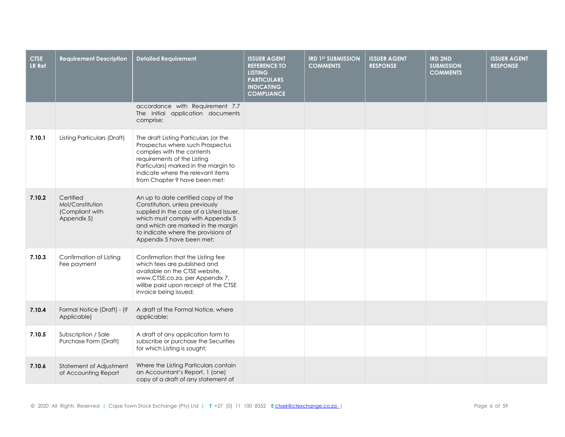| <b>CTSE</b><br>LR Ref | <b>Requirement Description</b>                                  | <b>Detailed Requirement</b>                                                                                                                                                                                                                                       | <b>ISSUER AGENT</b><br><b>REFERENCE TO</b><br><b>LISTING</b><br><b>PARTICULARS</b><br><b>INDICATING</b><br><b>COMPLIANCE</b> | <b>IRD 1ST SUBMISSION</b><br><b>COMMENTS</b> | <b>ISSUER AGENT</b><br><b>RESPONSE</b> | <b>IRD 2ND</b><br><b>SUBMISSION</b><br><b>COMMENTS</b> | <b>ISSUER AGENT</b><br><b>RESPONSE</b> |
|-----------------------|-----------------------------------------------------------------|-------------------------------------------------------------------------------------------------------------------------------------------------------------------------------------------------------------------------------------------------------------------|------------------------------------------------------------------------------------------------------------------------------|----------------------------------------------|----------------------------------------|--------------------------------------------------------|----------------------------------------|
|                       |                                                                 | accordance with Requirement 7.7<br>The initial application documents<br>comprise:                                                                                                                                                                                 |                                                                                                                              |                                              |                                        |                                                        |                                        |
| 7.10.1                | Listing Particulars (Draft)                                     | The draft Listing Particulars (or the<br>Prospectus where such Prospectus<br>complies with the contents<br>requirements of the Listing<br>Particulars) marked in the margin to<br>indicate where the relevant items<br>from Chapter 9 have been met;              |                                                                                                                              |                                              |                                        |                                                        |                                        |
| 7.10.2                | Certified<br>Mol/Constitution<br>(Compliant with<br>Appendix 5) | An up to date certified copy of the<br>Constitution, unless previously<br>supplied in the case of a Listed Issuer,<br>which must comply with Appendix 5<br>and which are marked in the margin<br>to indicate where the provisions of<br>Appendix 5 have been met; |                                                                                                                              |                                              |                                        |                                                        |                                        |
| 7.10.3                | Confirmation of Listing<br>Fee payment                          | Confirmation that the Listing fee<br>which fees are published and<br>available on the CTSE website,<br>www.CTSE.co.za, per Appendix 7,<br>willbe paid upon receipt of the CTSE<br>invoice being issued;                                                           |                                                                                                                              |                                              |                                        |                                                        |                                        |
| 7.10.4                | Formal Notice (Draft) - (If<br>Applicable)                      | A draft of the Formal Notice, where<br>applicable;                                                                                                                                                                                                                |                                                                                                                              |                                              |                                        |                                                        |                                        |
| 7.10.5                | Subscription / Sale<br>Purchase Form (Draft)                    | A draft of any application form to<br>subscribe or purchase the Securities<br>for which Listing is sought;                                                                                                                                                        |                                                                                                                              |                                              |                                        |                                                        |                                        |
| 7.10.6                | Statement of Adjustment<br>of Accounting Report                 | Where the Listing Particulars contain<br>an Accountant's Report, 1 (one)<br>copy of a draft of any statement of                                                                                                                                                   |                                                                                                                              |                                              |                                        |                                                        |                                        |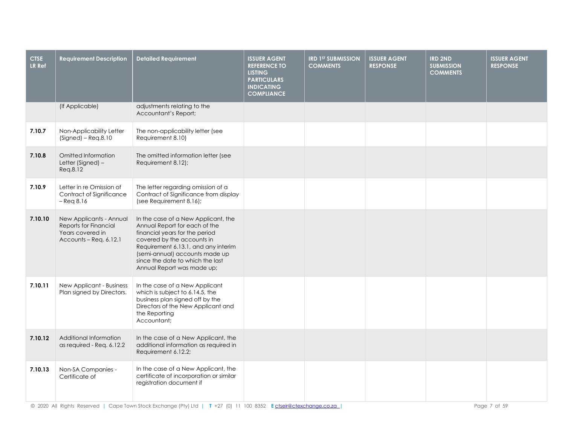| <b>CTSE</b><br>LR Ref | <b>Requirement Description</b>                                                                 | <b>Detailed Requirement</b>                                                                                                                                                                                                                                                     | <b>ISSUER AGENT</b><br><b>REFERENCE TO</b><br><b>LISTING</b><br><b>PARTICULARS</b><br><b>INDICATING</b><br><b>COMPLIANCE</b> | <b>IRD 1ST SUBMISSION</b><br><b>COMMENTS</b> | <b>ISSUER AGENT</b><br><b>RESPONSE</b> | <b>IRD 2ND</b><br><b>SUBMISSION</b><br><b>COMMENTS</b> | <b>ISSUER AGENT</b><br><b>RESPONSE</b> |
|-----------------------|------------------------------------------------------------------------------------------------|---------------------------------------------------------------------------------------------------------------------------------------------------------------------------------------------------------------------------------------------------------------------------------|------------------------------------------------------------------------------------------------------------------------------|----------------------------------------------|----------------------------------------|--------------------------------------------------------|----------------------------------------|
|                       | (If Applicable)                                                                                | adjustments relating to the<br>Accountant's Report;                                                                                                                                                                                                                             |                                                                                                                              |                                              |                                        |                                                        |                                        |
| 7.10.7                | Non-Applicability Letter<br>$(Signed) - Req.8.10$                                              | The non-applicability letter (see<br>Requirement 8.10)                                                                                                                                                                                                                          |                                                                                                                              |                                              |                                        |                                                        |                                        |
| 7.10.8                | Omitted Information<br>Letter (Signed) -<br>Req.8.12                                           | The omitted information letter (see<br>Requirement 8.12);                                                                                                                                                                                                                       |                                                                                                                              |                                              |                                        |                                                        |                                        |
| 7.10.9                | Letter in re Omission of<br>Contract of Significance<br>$-$ Req 8.16                           | The letter regarding omission of a<br>Contract of Significance from display<br>(see Requirement 8.16);                                                                                                                                                                          |                                                                                                                              |                                              |                                        |                                                        |                                        |
| 7.10.10               | New Applicants - Annual<br>Reports for Financial<br>Years covered in<br>Accounts - Req. 6.12.1 | In the case of a New Applicant, the<br>Annual Report for each of the<br>financial years for the period<br>covered by the accounts in<br>Requirement 6.13.1, and any interim<br>(semi-annual) accounts made up<br>since the date to which the last<br>Annual Report was made up; |                                                                                                                              |                                              |                                        |                                                        |                                        |
| 7.10.11               | New Applicant - Business<br>Plan signed by Directors.                                          | In the case of a New Applicant<br>which is subject to 6.14.5, the<br>business plan signed off by the<br>Directors of the New Applicant and<br>the Reporting<br>Accountant;                                                                                                      |                                                                                                                              |                                              |                                        |                                                        |                                        |
| 7.10.12               | Additional Information<br>as required - Req. 6.12.2                                            | In the case of a New Applicant, the<br>additional information as required in<br>Requirement 6.12.2;                                                                                                                                                                             |                                                                                                                              |                                              |                                        |                                                        |                                        |
| 7.10.13               | Non-SA Companies -<br>Certificate of                                                           | In the case of a New Applicant, the<br>certificate of incorporation or similar<br>registration document if                                                                                                                                                                      |                                                                                                                              |                                              |                                        |                                                        |                                        |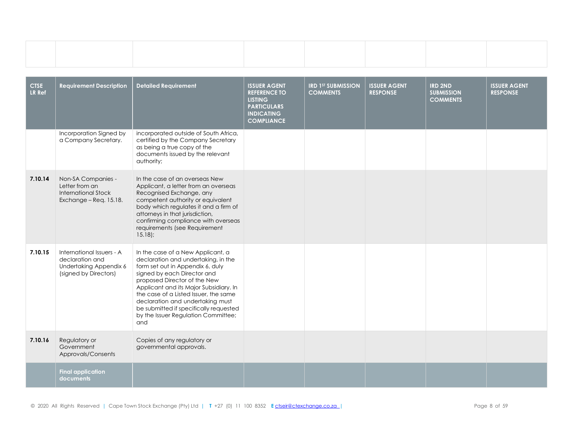| <b>CTSE</b><br><b>LR Ref</b> | <b>Requirement Description</b>                                                                  | <b>Detailed Requirement</b>                                                                                                                                                                                                                                                                                                                                                                | <b>ISSUER AGENT</b><br><b>REFERENCE TO</b><br><b>LISTING</b><br><b>PARTICULARS</b><br><b>INDICATING</b><br><b>COMPLIANCE</b> | <b>IRD 1ST SUBMISSION</b><br><b>COMMENTS</b> | <b>ISSUER AGENT</b><br><b>RESPONSE</b> | <b>IRD 2ND</b><br><b>SUBMISSION</b><br><b>COMMENTS</b> | <b>ISSUER AGENT</b><br><b>RESPONSE</b> |
|------------------------------|-------------------------------------------------------------------------------------------------|--------------------------------------------------------------------------------------------------------------------------------------------------------------------------------------------------------------------------------------------------------------------------------------------------------------------------------------------------------------------------------------------|------------------------------------------------------------------------------------------------------------------------------|----------------------------------------------|----------------------------------------|--------------------------------------------------------|----------------------------------------|
|                              | Incorporation Signed by<br>a Company Secretary.                                                 | incorporated outside of South Africa,<br>certified by the Company Secretary<br>as being a true copy of the<br>documents issued by the relevant<br>authority;                                                                                                                                                                                                                               |                                                                                                                              |                                              |                                        |                                                        |                                        |
| 7.10.14                      | Non-SA Companies -<br>Letter from an<br><b>International Stock</b><br>Exchange - Req. 15.18.    | In the case of an overseas New<br>Applicant, a letter from an overseas<br>Recognised Exchange, any<br>competent authority or equivalent<br>body which regulates it and a firm of<br>attorneys in that jurisdiction,<br>confirming compliance with overseas<br>requirements (see Requirement<br>$15.18$ :                                                                                   |                                                                                                                              |                                              |                                        |                                                        |                                        |
| 7.10.15                      | International Issuers - A<br>declaration and<br>Undertaking Appendix 6<br>(signed by Directors) | In the case of a New Applicant, a<br>declaration and undertaking, in the<br>form set out in Appendix 6, duly<br>signed by each Director and<br>proposed Director of the New<br>Applicant and its Major Subsidiary. In<br>the case of a Listed Issuer, the same<br>declaration and undertaking must<br>be submitted if specifically requested<br>by the Issuer Regulation Committee;<br>and |                                                                                                                              |                                              |                                        |                                                        |                                        |
| 7.10.16                      | Regulatory or<br>Government<br>Approvals/Consents                                               | Copies of any regulatory or<br>governmental approvals.                                                                                                                                                                                                                                                                                                                                     |                                                                                                                              |                                              |                                        |                                                        |                                        |
|                              | <b>Final application</b><br>documents                                                           |                                                                                                                                                                                                                                                                                                                                                                                            |                                                                                                                              |                                              |                                        |                                                        |                                        |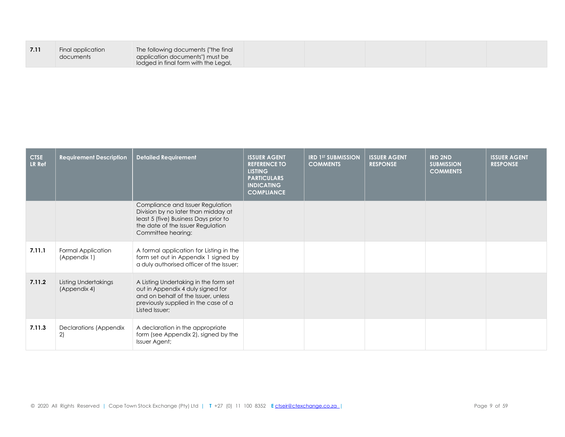|--|--|

| <b>CTSE</b><br>LR Ref | <b>Requirement Description</b>              | <b>Detailed Requirement</b>                                                                                                                                                 | <b>ISSUER AGENT</b><br><b>REFERENCE TO</b><br><b>LISTING</b><br><b>PARTICULARS</b><br><b>INDICATING</b><br><b>COMPLIANCE</b> | <b>IRD 1ST SUBMISSION</b><br><b>COMMENTS</b> | <b>ISSUER AGENT</b><br><b>RESPONSE</b> | <b>IRD 2ND</b><br><b>SUBMISSION</b><br><b>COMMENTS</b> | <b>ISSUER AGENT</b><br><b>RESPONSE</b> |
|-----------------------|---------------------------------------------|-----------------------------------------------------------------------------------------------------------------------------------------------------------------------------|------------------------------------------------------------------------------------------------------------------------------|----------------------------------------------|----------------------------------------|--------------------------------------------------------|----------------------------------------|
|                       |                                             | Compliance and Issuer Regulation<br>Division by no later than midday at<br>least 5 (five) Business Days prior to<br>the date of the Issuer Regulation<br>Committee hearing: |                                                                                                                              |                                              |                                        |                                                        |                                        |
| 7.11.1                | Formal Application<br>(Appendix 1)          | A formal application for Listing in the<br>form set out in Appendix 1 signed by<br>a duly authorised officer of the Issuer;                                                 |                                                                                                                              |                                              |                                        |                                                        |                                        |
| 7.11.2                | <b>Listing Undertakings</b><br>(Appendix 4) | A Listing Undertaking in the form set<br>out in Appendix 4 duly signed for<br>and on behalf of the Issuer, unless<br>previously supplied in the case of a<br>Listed Issuer; |                                                                                                                              |                                              |                                        |                                                        |                                        |
| 7.11.3                | Declarations (Appendix<br>2)                | A declaration in the appropriate<br>form (see Appendix 2), signed by the<br>Issuer Agent;                                                                                   |                                                                                                                              |                                              |                                        |                                                        |                                        |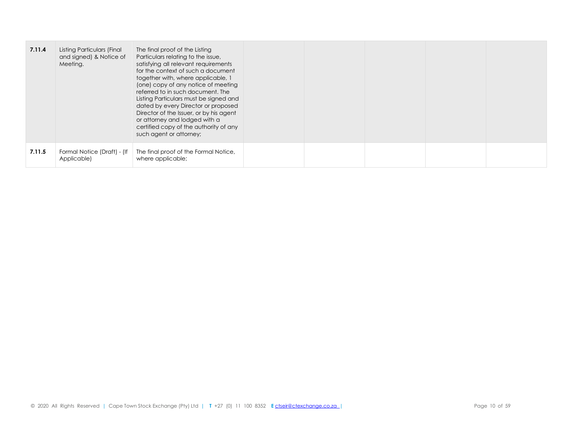| 7.11.4 | Listing Particulars (Final<br>and signed) & Notice of<br>Meeting. | The final proof of the Listing<br>Particulars relating to the issue,<br>satisfying all relevant requirements<br>for the context of such a document<br>together with, where applicable, 1<br>(one) copy of any notice of meeting<br>referred to in such document. The<br>Listing Particulars must be signed and<br>dated by every Director or proposed<br>Director of the Issuer, or by his agent<br>or attorney and lodged with a<br>certified copy of the authority of any<br>such agent or attorney; |  |  |  |
|--------|-------------------------------------------------------------------|--------------------------------------------------------------------------------------------------------------------------------------------------------------------------------------------------------------------------------------------------------------------------------------------------------------------------------------------------------------------------------------------------------------------------------------------------------------------------------------------------------|--|--|--|
| 7.11.5 | Formal Notice (Draft) - (If<br>Applicable)                        | The final proof of the Formal Notice,<br>where applicable;                                                                                                                                                                                                                                                                                                                                                                                                                                             |  |  |  |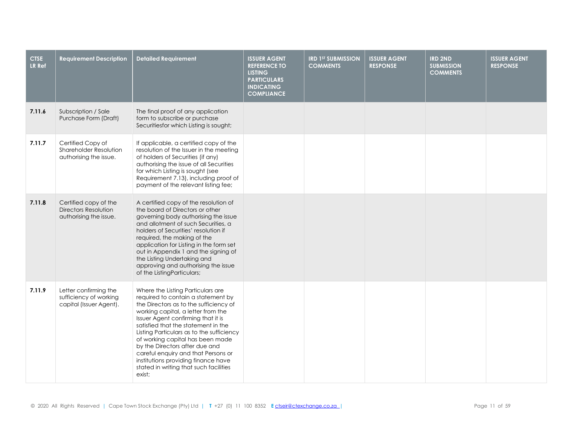| <b>CTSE</b><br>LR Ref | <b>Requirement Description</b>                                                 | <b>Detailed Requirement</b>                                                                                                                                                                                                                                                                                                                                                                                                                                                               | <b>ISSUER AGENT</b><br><b>REFERENCE TO</b><br><b>LISTING</b><br><b>PARTICULARS</b><br><b>INDICATING</b><br><b>COMPLIANCE</b> | <b>IRD 1ST SUBMISSION</b><br><b>COMMENTS</b> | <b>ISSUER AGENT</b><br><b>RESPONSE</b> | <b>IRD 2ND</b><br><b>SUBMISSION</b><br><b>COMMENTS</b> | <b>ISSUER AGENT</b><br><b>RESPONSE</b> |
|-----------------------|--------------------------------------------------------------------------------|-------------------------------------------------------------------------------------------------------------------------------------------------------------------------------------------------------------------------------------------------------------------------------------------------------------------------------------------------------------------------------------------------------------------------------------------------------------------------------------------|------------------------------------------------------------------------------------------------------------------------------|----------------------------------------------|----------------------------------------|--------------------------------------------------------|----------------------------------------|
| 7.11.6                | Subscription / Sale<br>Purchase Form (Draft)                                   | The final proof of any application<br>form to subscribe or purchase<br>Securitiesfor which Listing is sought;                                                                                                                                                                                                                                                                                                                                                                             |                                                                                                                              |                                              |                                        |                                                        |                                        |
| 7.11.7                | Certified Copy of<br>Shareholder Resolution<br>authorising the issue.          | If applicable, a certified copy of the<br>resolution of the Issuer in the meeting<br>of holders of Securities (if any)<br>authorising the issue of all Securities<br>for which Listing is sought (see<br>Requirement 7.13), including proof of<br>payment of the relevant listing fee;                                                                                                                                                                                                    |                                                                                                                              |                                              |                                        |                                                        |                                        |
| 7.11.8                | Certified copy of the<br><b>Directors Resolution</b><br>authorising the issue. | A certified copy of the resolution of<br>the board of Directors or other<br>governing body authorising the issue<br>and allotment of such Securities, a<br>holders of Securities' resolution if<br>required, the making of the<br>application for Listing in the form set<br>out in Appendix 1 and the signing of<br>the Listing Undertaking and<br>approving and authorising the issue<br>of the ListingParticulars;                                                                     |                                                                                                                              |                                              |                                        |                                                        |                                        |
| 7.11.9                | Letter confirming the<br>sufficiency of working<br>capital (Issuer Agent).     | Where the Listing Particulars are<br>required to contain a statement by<br>the Directors as to the sufficiency of<br>working capital, a letter from the<br>Issuer Agent confirming that it is<br>satisfied that the statement in the<br>Listing Particulars as to the sufficiency<br>of working capital has been made<br>by the Directors after due and<br>careful enquiry and that Persons or<br>institutions providing finance have<br>stated in writing that such facilities<br>exist; |                                                                                                                              |                                              |                                        |                                                        |                                        |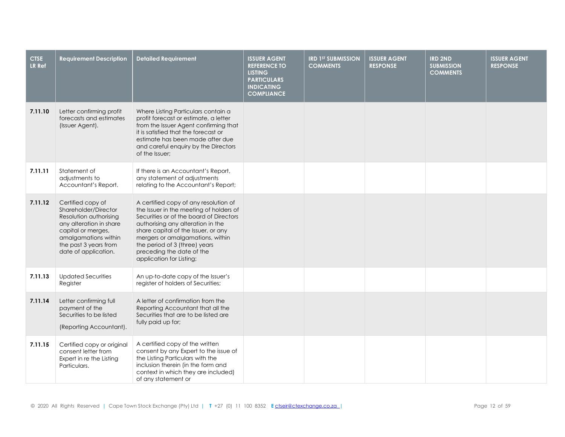| <b>CTSE</b><br><b>LR Ref</b> | <b>Requirement Description</b>                                                                                                                                                                | <b>Detailed Requirement</b>                                                                                                                                                                                                                                                                                                           | <b>ISSUER AGENT</b><br><b>REFERENCE TO</b><br><b>LISTING</b><br><b>PARTICULARS</b><br><b>INDICATING</b><br><b>COMPLIANCE</b> | <b>IRD 1ST SUBMISSION</b><br><b>COMMENTS</b> | <b>ISSUER AGENT</b><br><b>RESPONSE</b> | <b>IRD 2ND</b><br><b>SUBMISSION</b><br><b>COMMENTS</b> | <b>ISSUER AGENT</b><br><b>RESPONSE</b> |
|------------------------------|-----------------------------------------------------------------------------------------------------------------------------------------------------------------------------------------------|---------------------------------------------------------------------------------------------------------------------------------------------------------------------------------------------------------------------------------------------------------------------------------------------------------------------------------------|------------------------------------------------------------------------------------------------------------------------------|----------------------------------------------|----------------------------------------|--------------------------------------------------------|----------------------------------------|
| 7.11.10                      | Letter confirming profit<br>forecasts and estimates<br>(Issuer Agent).                                                                                                                        | Where Listing Particulars contain a<br>profit forecast or estimate, a letter<br>from the Issuer Agent confirming that<br>it is satisfied that the forecast or<br>estimate has been made after due<br>and careful enquiry by the Directors<br>of the Issuer;                                                                           |                                                                                                                              |                                              |                                        |                                                        |                                        |
| 7.11.11                      | Statement of<br>adjustments to<br>Accountant's Report.                                                                                                                                        | If there is an Accountant's Report,<br>any statement of adjustments<br>relating to the Accountant's Report;                                                                                                                                                                                                                           |                                                                                                                              |                                              |                                        |                                                        |                                        |
| 7.11.12                      | Certified copy of<br>Shareholder/Director<br>Resolution authorising<br>any alteration in share<br>capital or merges,<br>amalgamations within<br>the past 3 years from<br>date of application. | A certified copy of any resolution of<br>the Issuer in the meeting of holders of<br>Securities or of the board of Directors<br>authorising any alteration in the<br>share capital of the Issuer, or any<br>mergers or amalgamations, within<br>the period of 3 (three) years<br>preceding the date of the<br>application for Listing; |                                                                                                                              |                                              |                                        |                                                        |                                        |
| 7.11.13                      | <b>Updated Securities</b><br>Register                                                                                                                                                         | An up-to-date copy of the Issuer's<br>register of holders of Securities;                                                                                                                                                                                                                                                              |                                                                                                                              |                                              |                                        |                                                        |                                        |
| 7.11.14                      | Letter confirming full<br>payment of the<br>Securities to be listed<br>(Reporting Accountant).                                                                                                | A letter of confirmation from the<br>Reporting Accountant that all the<br>Securities that are to be listed are<br>fully paid up for;                                                                                                                                                                                                  |                                                                                                                              |                                              |                                        |                                                        |                                        |
| 7.11.15                      | Certified copy or original<br>consent letter from<br>Expert in re the Listing<br>Particulars.                                                                                                 | A certified copy of the written<br>consent by any Expert to the issue of<br>the Listing Particulars with the<br>inclusion therein (in the form and<br>context in which they are included)<br>of any statement or                                                                                                                      |                                                                                                                              |                                              |                                        |                                                        |                                        |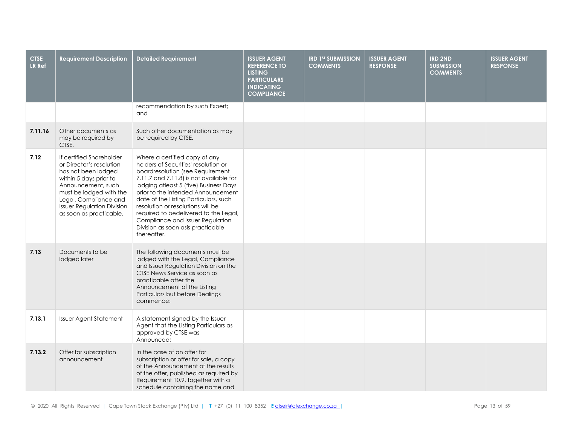| <b>CTSE</b><br>LR Ref | <b>Requirement Description</b>                                                                                                                                                                                                                  | Detailed Requirement                                                                                                                                                                                                                                                                                                                                                                                                                                | <b>ISSUER AGENT</b><br><b>REFERENCE TO</b><br><b>LISTING</b><br><b>PARTICULARS</b><br><b>INDICATING</b><br><b>COMPLIANCE</b> | <b>IRD 1ST SUBMISSION</b><br><b>COMMENTS</b> | <b>ISSUER AGENT</b><br><b>RESPONSE</b> | <b>IRD 2ND</b><br><b>SUBMISSION</b><br><b>COMMENTS</b> | <b>ISSUER AGENT</b><br><b>RESPONSE</b> |
|-----------------------|-------------------------------------------------------------------------------------------------------------------------------------------------------------------------------------------------------------------------------------------------|-----------------------------------------------------------------------------------------------------------------------------------------------------------------------------------------------------------------------------------------------------------------------------------------------------------------------------------------------------------------------------------------------------------------------------------------------------|------------------------------------------------------------------------------------------------------------------------------|----------------------------------------------|----------------------------------------|--------------------------------------------------------|----------------------------------------|
|                       |                                                                                                                                                                                                                                                 | recommendation by such Expert;<br>and                                                                                                                                                                                                                                                                                                                                                                                                               |                                                                                                                              |                                              |                                        |                                                        |                                        |
| 7.11.16               | Other documents as<br>may be required by<br>CTSE.                                                                                                                                                                                               | Such other documentation as may<br>be required by CTSE.                                                                                                                                                                                                                                                                                                                                                                                             |                                                                                                                              |                                              |                                        |                                                        |                                        |
| 7.12                  | If certified Shareholder<br>or Director's resolution<br>has not been lodged<br>within 5 days prior to<br>Announcement, such<br>must be lodged with the<br>Legal, Compliance and<br><b>Issuer Regulation Division</b><br>as soon as practicable. | Where a certified copy of any<br>holders of Securities' resolution or<br>boardresolution (see Requirement<br>7.11.7 and 7.11.8) is not available for<br>lodging atleast 5 (five) Business Days<br>prior to the intended Announcement<br>date of the Listing Particulars, such<br>resolution or resolutions will be<br>required to bedelivered to the Legal,<br>Compliance and Issuer Regulation<br>Division as soon asis practicable<br>thereafter. |                                                                                                                              |                                              |                                        |                                                        |                                        |
| 7.13                  | Documents to be<br>lodged later                                                                                                                                                                                                                 | The following documents must be<br>lodged with the Legal, Compliance<br>and Issuer Regulation Division on the<br>CTSE News Service as soon as<br>practicable after the<br>Announcement of the Listing<br>Particulars but before Dealings<br>commence:                                                                                                                                                                                               |                                                                                                                              |                                              |                                        |                                                        |                                        |
| 7.13.1                | <b>Issuer Agent Statement</b>                                                                                                                                                                                                                   | A statement signed by the Issuer<br>Agent that the Listing Particulars as<br>approved by CTSE was<br>Announced:                                                                                                                                                                                                                                                                                                                                     |                                                                                                                              |                                              |                                        |                                                        |                                        |
| 7.13.2                | Offer for subscription<br>announcement                                                                                                                                                                                                          | In the case of an offer for<br>subscription or offer for sale, a copy<br>of the Announcement of the results<br>of the offer, published as required by<br>Requirement 10.9, together with a<br>schedule containing the name and                                                                                                                                                                                                                      |                                                                                                                              |                                              |                                        |                                                        |                                        |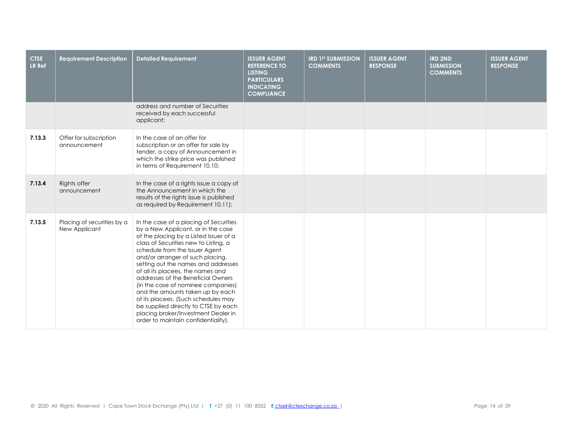| <b>CTSE</b><br><b>LR Ref</b> | <b>Requirement Description</b>              | <b>Detailed Requirement</b>                                                                                                                                                                                                                                                                                                                                                                                                                                                                                                                                                                    | <b>ISSUER AGENT</b><br><b>REFERENCE TO</b><br><b>LISTING</b><br><b>PARTICULARS</b><br><b>INDICATING</b><br><b>COMPLIANCE</b> | <b>IRD 1ST SUBMISSION</b><br><b>COMMENTS</b> | <b>ISSUER AGENT</b><br><b>RESPONSE</b> | <b>IRD 2ND</b><br><b>SUBMISSION</b><br><b>COMMENTS</b> | <b>ISSUER AGENT</b><br><b>RESPONSE</b> |
|------------------------------|---------------------------------------------|------------------------------------------------------------------------------------------------------------------------------------------------------------------------------------------------------------------------------------------------------------------------------------------------------------------------------------------------------------------------------------------------------------------------------------------------------------------------------------------------------------------------------------------------------------------------------------------------|------------------------------------------------------------------------------------------------------------------------------|----------------------------------------------|----------------------------------------|--------------------------------------------------------|----------------------------------------|
|                              |                                             | address and number of Securities<br>received by each successful<br>applicant;                                                                                                                                                                                                                                                                                                                                                                                                                                                                                                                  |                                                                                                                              |                                              |                                        |                                                        |                                        |
| 7.13.3                       | Offer for subscription<br>announcement      | In the case of an offer for<br>subscription or an offer for sale by<br>tender, a copy of Announcement in<br>which the strike price was published<br>in terms of Requirement 10.10;                                                                                                                                                                                                                                                                                                                                                                                                             |                                                                                                                              |                                              |                                        |                                                        |                                        |
| 7.13.4                       | Rights offer<br>announcement                | In the case of a rights issue a copy of<br>the Announcement in which the<br>results of the rights issue is published<br>as required by Requirement 10.11);                                                                                                                                                                                                                                                                                                                                                                                                                                     |                                                                                                                              |                                              |                                        |                                                        |                                        |
| 7.13.5                       | Placing of securities by a<br>New Applicant | In the case of a placing of Securities<br>by a New Applicant, or in the case<br>of the placing by a Listed Issuer of a<br>class of Securities new to Listing, a<br>schedule from the Issuer Agent<br>and/or arranger of such placing,<br>setting out the names and addresses<br>of all its placees, the names and<br>addresses of the Beneficial Owners<br>(in the case of nominee companies)<br>and the amounts taken up by each<br>of its placees. (Such schedules may<br>be supplied directly to CTSE by each<br>placing broker/Investment Dealer in<br>order to maintain confidentiality). |                                                                                                                              |                                              |                                        |                                                        |                                        |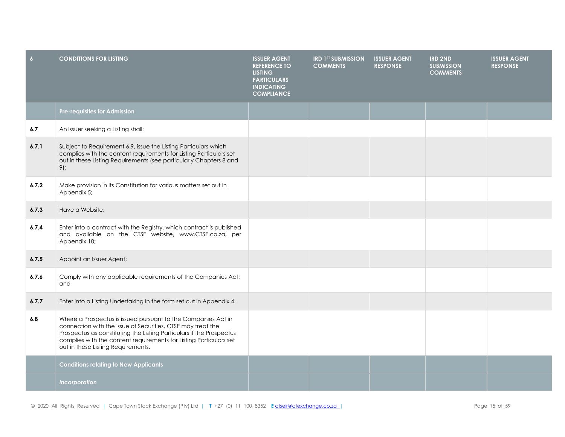| $\overline{6}$ | <b>CONDITIONS FOR LISTING</b>                                                                                                                                                                                                                                                                                    | <b>ISSUER AGENT</b><br><b>REFERENCE TO</b><br><b>LISTING</b><br><b>PARTICULARS</b><br><b>INDICATING</b><br><b>COMPLIANCE</b> | <b>IRD 1ST SUBMISSION</b><br><b>COMMENTS</b> | <b>ISSUER AGENT</b><br><b>RESPONSE</b> | <b>IRD 2ND</b><br><b>SUBMISSION</b><br><b>COMMENTS</b> | <b>ISSUER AGENT</b><br><b>RESPONSE</b> |
|----------------|------------------------------------------------------------------------------------------------------------------------------------------------------------------------------------------------------------------------------------------------------------------------------------------------------------------|------------------------------------------------------------------------------------------------------------------------------|----------------------------------------------|----------------------------------------|--------------------------------------------------------|----------------------------------------|
|                | Pre-requisites for Admission                                                                                                                                                                                                                                                                                     |                                                                                                                              |                                              |                                        |                                                        |                                        |
| 6.7            | An Issuer seeking a Listing shall:                                                                                                                                                                                                                                                                               |                                                                                                                              |                                              |                                        |                                                        |                                        |
| 6.7.1          | Subject to Requirement 6.9, issue the Listing Particulars which<br>complies with the content requirements for Listing Particulars set<br>out in these Listing Requirements (see particularly Chapters 8 and<br>$9)$ ;                                                                                            |                                                                                                                              |                                              |                                        |                                                        |                                        |
| 6.7.2          | Make provision in its Constitution for various matters set out in<br>Appendix 5;                                                                                                                                                                                                                                 |                                                                                                                              |                                              |                                        |                                                        |                                        |
| 6.7.3          | Have a Website;                                                                                                                                                                                                                                                                                                  |                                                                                                                              |                                              |                                        |                                                        |                                        |
| 6.7.4          | Enter into a contract with the Registry, which contract is published<br>and available on the CTSE website, www.CTSE.co.za, per<br>Appendix 10;                                                                                                                                                                   |                                                                                                                              |                                              |                                        |                                                        |                                        |
| 6.7.5          | Appoint an Issuer Agent;                                                                                                                                                                                                                                                                                         |                                                                                                                              |                                              |                                        |                                                        |                                        |
| 6.7.6          | Comply with any applicable requirements of the Companies Act;<br>and                                                                                                                                                                                                                                             |                                                                                                                              |                                              |                                        |                                                        |                                        |
| 6.7.7          | Enter into a Listing Undertaking in the form set out in Appendix 4.                                                                                                                                                                                                                                              |                                                                                                                              |                                              |                                        |                                                        |                                        |
| 6.8            | Where a Prospectus is issued pursuant to the Companies Act in<br>connection with the issue of Securities, CTSE may treat the<br>Prospectus as constituting the Listing Particulars if the Prospectus<br>complies with the content requirements for Listing Particulars set<br>out in these Listing Requirements. |                                                                                                                              |                                              |                                        |                                                        |                                        |
|                | <b>Conditions relating to New Applicants</b>                                                                                                                                                                                                                                                                     |                                                                                                                              |                                              |                                        |                                                        |                                        |
|                | Incorporation                                                                                                                                                                                                                                                                                                    |                                                                                                                              |                                              |                                        |                                                        |                                        |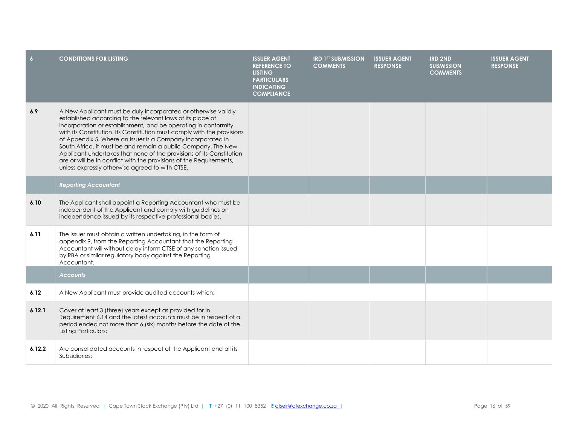| $6\overline{6}$ | <b>CONDITIONS FOR LISTING</b>                                                                                                                                                                                                                                                                                                                                                                                                                                                                                                                                                                               | <b>ISSUER AGENT</b><br><b>REFERENCE TO</b><br><b>LISTING</b><br><b>PARTICULARS</b><br><b>INDICATING</b><br><b>COMPLIANCE</b> | <b>IRD 1ST SUBMISSION</b><br><b>COMMENTS</b> | <b>ISSUER AGENT</b><br><b>RESPONSE</b> | <b>IRD 2ND</b><br><b>SUBMISSION</b><br><b>COMMENTS</b> | <b>ISSUER AGENT</b><br><b>RESPONSE</b> |
|-----------------|-------------------------------------------------------------------------------------------------------------------------------------------------------------------------------------------------------------------------------------------------------------------------------------------------------------------------------------------------------------------------------------------------------------------------------------------------------------------------------------------------------------------------------------------------------------------------------------------------------------|------------------------------------------------------------------------------------------------------------------------------|----------------------------------------------|----------------------------------------|--------------------------------------------------------|----------------------------------------|
| 6.9             | A New Applicant must be duly incorporated or otherwise validly<br>established according to the relevant laws of its place of<br>incorporation or establishment, and be operating in conformity<br>with its Constitution. Its Constitution must comply with the provisions<br>of Appendix 5. Where an Issuer is a Company incorporated in<br>South Africa, it must be and remain a public Company. The New<br>Applicant undertakes that none of the provisions of its Constitution<br>are or will be in conflict with the provisions of the Requirements,<br>unless expressly otherwise agreed to with CTSE. |                                                                                                                              |                                              |                                        |                                                        |                                        |
|                 | <b>Reporting Accountant</b>                                                                                                                                                                                                                                                                                                                                                                                                                                                                                                                                                                                 |                                                                                                                              |                                              |                                        |                                                        |                                        |
| 6.10            | The Applicant shall appoint a Reporting Accountant who must be<br>independent of the Applicant and comply with guidelines on<br>independence issued by its respective professional bodies.                                                                                                                                                                                                                                                                                                                                                                                                                  |                                                                                                                              |                                              |                                        |                                                        |                                        |
| 6.11            | The Issuer must obtain a written undertaking, in the form of<br>appendix 9, from the Reporting Accountant that the Reporting<br>Accountant will without delay inform CTSE of any sanction issued<br>byIRBA or similar regulatory body against the Reporting<br>Accountant.                                                                                                                                                                                                                                                                                                                                  |                                                                                                                              |                                              |                                        |                                                        |                                        |
|                 | <b>Accounts</b>                                                                                                                                                                                                                                                                                                                                                                                                                                                                                                                                                                                             |                                                                                                                              |                                              |                                        |                                                        |                                        |
| 6.12            | A New Applicant must provide audited accounts which:                                                                                                                                                                                                                                                                                                                                                                                                                                                                                                                                                        |                                                                                                                              |                                              |                                        |                                                        |                                        |
| 6.12.1          | Cover at least 3 (three) years except as provided for in<br>Requirement 6.14 and the latest accounts must be in respect of a<br>period ended not more than 6 (six) months before the date of the<br>Listing Particulars;                                                                                                                                                                                                                                                                                                                                                                                    |                                                                                                                              |                                              |                                        |                                                        |                                        |
| 6.12.2          | Are consolidated accounts in respect of the Applicant and all its<br>Subsidiaries:                                                                                                                                                                                                                                                                                                                                                                                                                                                                                                                          |                                                                                                                              |                                              |                                        |                                                        |                                        |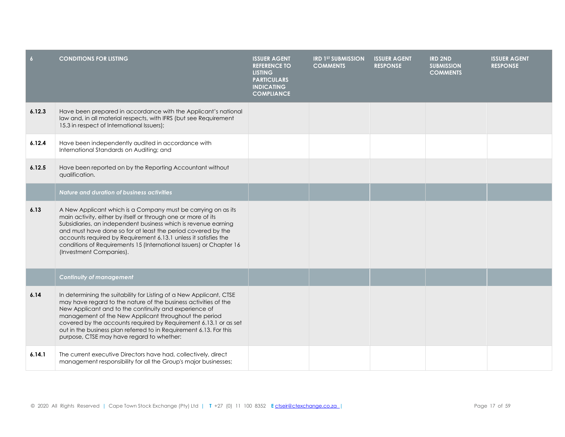| $\overline{6}$ | <b>CONDITIONS FOR LISTING</b>                                                                                                                                                                                                                                                                                                                                                                                                                   | <b>ISSUER AGENT</b><br><b>REFERENCE TO</b><br><b>LISTING</b><br><b>PARTICULARS</b><br><b>INDICATING</b><br><b>COMPLIANCE</b> | <b>IRD 1ST SUBMISSION</b><br><b>COMMENTS</b> | <b>ISSUER AGENT</b><br><b>RESPONSE</b> | <b>IRD 2ND</b><br><b>SUBMISSION</b><br><b>COMMENTS</b> | <b>ISSUER AGENT</b><br><b>RESPONSE</b> |
|----------------|-------------------------------------------------------------------------------------------------------------------------------------------------------------------------------------------------------------------------------------------------------------------------------------------------------------------------------------------------------------------------------------------------------------------------------------------------|------------------------------------------------------------------------------------------------------------------------------|----------------------------------------------|----------------------------------------|--------------------------------------------------------|----------------------------------------|
| 6.12.3         | Have been prepared in accordance with the Applicant's national<br>law and, in all material respects, with IFRS (but see Requirement<br>15.3 in respect of International Issuers);                                                                                                                                                                                                                                                               |                                                                                                                              |                                              |                                        |                                                        |                                        |
| 6.12.4         | Have been independently audited in accordance with<br>International Standards on Auditing; and                                                                                                                                                                                                                                                                                                                                                  |                                                                                                                              |                                              |                                        |                                                        |                                        |
| 6.12.5         | Have been reported on by the Reporting Accountant without<br>qualification.                                                                                                                                                                                                                                                                                                                                                                     |                                                                                                                              |                                              |                                        |                                                        |                                        |
|                | <b>Nature and duration of business activities</b>                                                                                                                                                                                                                                                                                                                                                                                               |                                                                                                                              |                                              |                                        |                                                        |                                        |
| 6.13           | A New Applicant which is a Company must be carrying on as its<br>main activity, either by itself or through one or more of its<br>Subsidiaries, an independent business which is revenue earning<br>and must have done so for at least the period covered by the<br>accounts required by Requirement 6.13.1 unless it satisfies the<br>conditions of Requirements 15 (International Issuers) or Chapter 16<br>(Investment Companies).           |                                                                                                                              |                                              |                                        |                                                        |                                        |
|                | <b>Continuity of management</b>                                                                                                                                                                                                                                                                                                                                                                                                                 |                                                                                                                              |                                              |                                        |                                                        |                                        |
| 6.14           | In determining the suitability for Listing of a New Applicant, CTSE<br>may have regard to the nature of the business activities of the<br>New Applicant and to the continuity and experience of<br>management of the New Applicant throughout the period<br>covered by the accounts required by Requirement 6.13.1 or as set<br>out in the business plan referred to in Requirement 6.13. For this<br>purpose, CTSE may have regard to whether: |                                                                                                                              |                                              |                                        |                                                        |                                        |
| 6.14.1         | The current executive Directors have had, collectively, direct<br>management responsibility for all the Group's major businesses;                                                                                                                                                                                                                                                                                                               |                                                                                                                              |                                              |                                        |                                                        |                                        |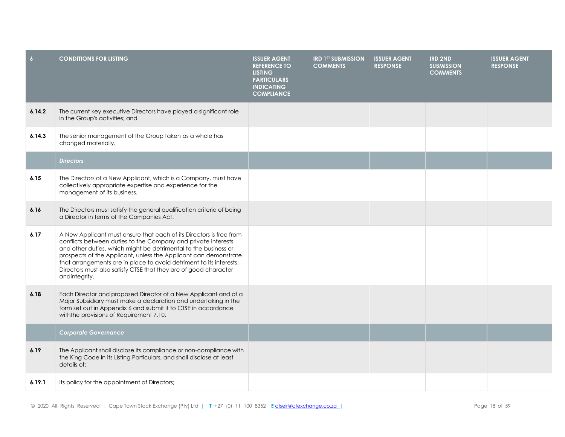| $6\overline{6}$ | <b>CONDITIONS FOR LISTING</b>                                                                                                                                                                                                                                                                                                                                                                                                           | <b>ISSUER AGENT</b><br><b>REFERENCE TO</b><br><b>LISTING</b><br><b>PARTICULARS</b><br><b>INDICATING</b><br><b>COMPLIANCE</b> | <b>IRD 1ST SUBMISSION</b><br><b>COMMENTS</b> | <b>ISSUER AGENT</b><br><b>RESPONSE</b> | <b>IRD 2ND</b><br><b>SUBMISSION</b><br><b>COMMENTS</b> | <b>ISSUER AGENT</b><br><b>RESPONSE</b> |
|-----------------|-----------------------------------------------------------------------------------------------------------------------------------------------------------------------------------------------------------------------------------------------------------------------------------------------------------------------------------------------------------------------------------------------------------------------------------------|------------------------------------------------------------------------------------------------------------------------------|----------------------------------------------|----------------------------------------|--------------------------------------------------------|----------------------------------------|
| 6.14.2          | The current key executive Directors have played a significant role<br>in the Group's activities; and                                                                                                                                                                                                                                                                                                                                    |                                                                                                                              |                                              |                                        |                                                        |                                        |
| 6.14.3          | The senior management of the Group taken as a whole has<br>changed materially.                                                                                                                                                                                                                                                                                                                                                          |                                                                                                                              |                                              |                                        |                                                        |                                        |
|                 | <b>Directors</b>                                                                                                                                                                                                                                                                                                                                                                                                                        |                                                                                                                              |                                              |                                        |                                                        |                                        |
| 6.15            | The Directors of a New Applicant, which is a Company, must have<br>collectively appropriate expertise and experience for the<br>management of its business.                                                                                                                                                                                                                                                                             |                                                                                                                              |                                              |                                        |                                                        |                                        |
| 6.16            | The Directors must satisfy the general qualification criteria of being<br>a Director in terms of the Companies Act.                                                                                                                                                                                                                                                                                                                     |                                                                                                                              |                                              |                                        |                                                        |                                        |
| 6.17            | A New Applicant must ensure that each of its Directors is free from<br>conflicts between duties to the Company and private interests<br>and other duties, which might be detrimental to the business or<br>prospects of the Applicant, unless the Applicant can demonstrate<br>that arrangements are in place to avoid detriment to its interests.<br>Directors must also satisfy CTSE that they are of good character<br>andintegrity. |                                                                                                                              |                                              |                                        |                                                        |                                        |
| 6.18            | Each Director and proposed Director of a New Applicant and of a<br>Major Subsidiary must make a declaration and undertaking in the<br>form set out in Appendix 6 and submit it to CTSE in accordance<br>with the provisions of Requirement 7.10.                                                                                                                                                                                        |                                                                                                                              |                                              |                                        |                                                        |                                        |
|                 | <b>Corporate Governance</b>                                                                                                                                                                                                                                                                                                                                                                                                             |                                                                                                                              |                                              |                                        |                                                        |                                        |
| 6.19            | The Applicant shall disclose its compliance or non-compliance with<br>the King Code in its Listing Particulars, and shall disclose at least<br>details of:                                                                                                                                                                                                                                                                              |                                                                                                                              |                                              |                                        |                                                        |                                        |
| 6.19.1          | Its policy for the appointment of Directors;                                                                                                                                                                                                                                                                                                                                                                                            |                                                                                                                              |                                              |                                        |                                                        |                                        |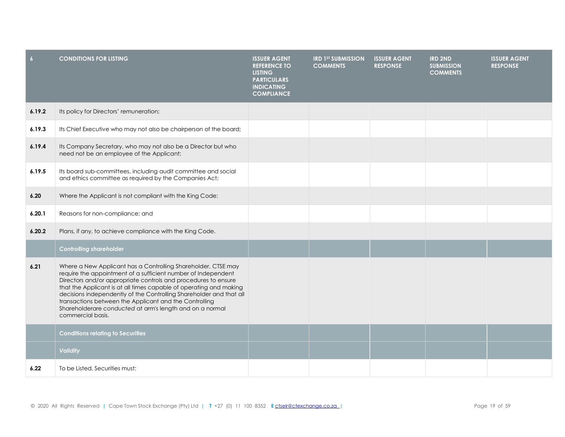| $\overline{6}$ | <b>CONDITIONS FOR LISTING</b>                                                                                                                                                                                                                                                                                                                                                                                                                                                            | <b>ISSUER AGENT</b><br><b>REFERENCE TO</b><br><b>LISTING</b><br><b>PARTICULARS</b><br><b>INDICATING</b><br><b>COMPLIANCE</b> | <b>IRD 1ST SUBMISSION</b><br><b>COMMENTS</b> | <b>ISSUER AGENT</b><br><b>RESPONSE</b> | <b>IRD 2ND</b><br><b>SUBMISSION</b><br><b>COMMENTS</b> | <b>ISSUER AGENT</b><br><b>RESPONSE</b> |
|----------------|------------------------------------------------------------------------------------------------------------------------------------------------------------------------------------------------------------------------------------------------------------------------------------------------------------------------------------------------------------------------------------------------------------------------------------------------------------------------------------------|------------------------------------------------------------------------------------------------------------------------------|----------------------------------------------|----------------------------------------|--------------------------------------------------------|----------------------------------------|
| 6.19.2         | Its policy for Directors' remuneration;                                                                                                                                                                                                                                                                                                                                                                                                                                                  |                                                                                                                              |                                              |                                        |                                                        |                                        |
| 6.19.3         | Its Chief Executive who may not also be chairperson of the board;                                                                                                                                                                                                                                                                                                                                                                                                                        |                                                                                                                              |                                              |                                        |                                                        |                                        |
| 6.19.4         | Its Company Secretary, who may not also be a Director but who<br>need not be an employee of the Applicant;                                                                                                                                                                                                                                                                                                                                                                               |                                                                                                                              |                                              |                                        |                                                        |                                        |
| 6.19.5         | Its board sub-committees, including audit committee and social<br>and ethics committee as required by the Companies Act;                                                                                                                                                                                                                                                                                                                                                                 |                                                                                                                              |                                              |                                        |                                                        |                                        |
| 6.20           | Where the Applicant is not compliant with the King Code:                                                                                                                                                                                                                                                                                                                                                                                                                                 |                                                                                                                              |                                              |                                        |                                                        |                                        |
| 6.20.1         | Reasons for non-compliance; and                                                                                                                                                                                                                                                                                                                                                                                                                                                          |                                                                                                                              |                                              |                                        |                                                        |                                        |
| 6.20.2         | Plans, if any, to achieve compliance with the King Code.                                                                                                                                                                                                                                                                                                                                                                                                                                 |                                                                                                                              |                                              |                                        |                                                        |                                        |
|                | <b>Controlling shareholder</b>                                                                                                                                                                                                                                                                                                                                                                                                                                                           |                                                                                                                              |                                              |                                        |                                                        |                                        |
| 6.21           | Where a New Applicant has a Controlling Shareholder, CTSE may<br>require the appointment of a sufficient number of Independent<br>Directors and/or appropriate controls and procedures to ensure<br>that the Applicant is at all times capable of operating and making<br>decisions independently of the Controlling Shareholder and that all<br>transactions between the Applicant and the Controlling<br>Shareholderare conducted at arm's length and on a normal<br>commercial basis. |                                                                                                                              |                                              |                                        |                                                        |                                        |
|                | <b>Conditions relating to Securities</b>                                                                                                                                                                                                                                                                                                                                                                                                                                                 |                                                                                                                              |                                              |                                        |                                                        |                                        |
|                | <b>Validity</b>                                                                                                                                                                                                                                                                                                                                                                                                                                                                          |                                                                                                                              |                                              |                                        |                                                        |                                        |
| 6.22           | To be Listed, Securities must:                                                                                                                                                                                                                                                                                                                                                                                                                                                           |                                                                                                                              |                                              |                                        |                                                        |                                        |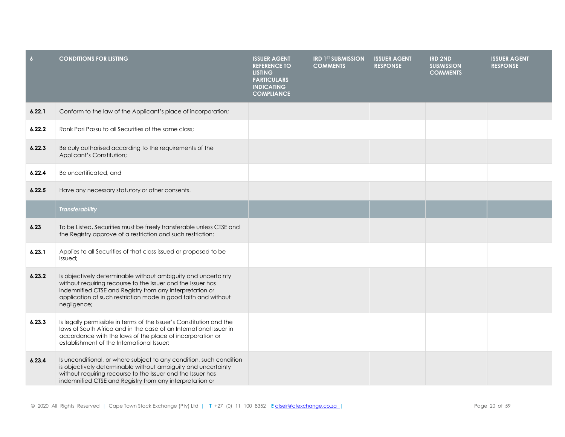| $\overline{6}$ | <b>CONDITIONS FOR LISTING</b>                                                                                                                                                                                                                                             | <b>ISSUER AGENT</b><br><b>REFERENCE TO</b><br><b>LISTING</b><br><b>PARTICULARS</b><br><b>INDICATING</b><br><b>COMPLIANCE</b> | <b>IRD 1ST SUBMISSION</b><br><b>COMMENTS</b> | <b>ISSUER AGENT</b><br><b>RESPONSE</b> | <b>IRD 2ND</b><br><b>SUBMISSION</b><br><b>COMMENTS</b> | <b>ISSUER AGENT</b><br><b>RESPONSE</b> |
|----------------|---------------------------------------------------------------------------------------------------------------------------------------------------------------------------------------------------------------------------------------------------------------------------|------------------------------------------------------------------------------------------------------------------------------|----------------------------------------------|----------------------------------------|--------------------------------------------------------|----------------------------------------|
| 6.22.1         | Conform to the law of the Applicant's place of incorporation;                                                                                                                                                                                                             |                                                                                                                              |                                              |                                        |                                                        |                                        |
| 6.22.2         | Rank Pari Passu to all Securities of the same class;                                                                                                                                                                                                                      |                                                                                                                              |                                              |                                        |                                                        |                                        |
| 6.22.3         | Be duly authorised according to the requirements of the<br>Applicant's Constitution;                                                                                                                                                                                      |                                                                                                                              |                                              |                                        |                                                        |                                        |
| 6.22.4         | Be uncertificated, and                                                                                                                                                                                                                                                    |                                                                                                                              |                                              |                                        |                                                        |                                        |
| 6.22.5         | Have any necessary statutory or other consents.                                                                                                                                                                                                                           |                                                                                                                              |                                              |                                        |                                                        |                                        |
|                | <b>Transferability</b>                                                                                                                                                                                                                                                    |                                                                                                                              |                                              |                                        |                                                        |                                        |
| 6.23           | To be Listed, Securities must be freely transferable unless CTSE and<br>the Registry approve of a restriction and such restriction:                                                                                                                                       |                                                                                                                              |                                              |                                        |                                                        |                                        |
| 6.23.1         | Applies to all Securities of that class issued or proposed to be<br>issued:                                                                                                                                                                                               |                                                                                                                              |                                              |                                        |                                                        |                                        |
| 6.23.2         | Is objectively determinable without ambiguity and uncertainty<br>without requiring recourse to the Issuer and the Issuer has<br>indemnified CTSE and Registry from any interpretation or<br>application of such restriction made in good faith and without<br>negligence; |                                                                                                                              |                                              |                                        |                                                        |                                        |
| 6.23.3         | Is legally permissible in terms of the Issuer's Constitution and the<br>laws of South Africa and in the case of an International Issuer in<br>accordance with the laws of the place of incorporation or<br>establishment of the International Issuer:                     |                                                                                                                              |                                              |                                        |                                                        |                                        |
| 6.23.4         | Is unconditional, or where subject to any condition, such condition<br>is objectively determinable without ambiguity and uncertainty<br>without requiring recourse to the Issuer and the Issuer has<br>indemnified CTSE and Registry from any interpretation or           |                                                                                                                              |                                              |                                        |                                                        |                                        |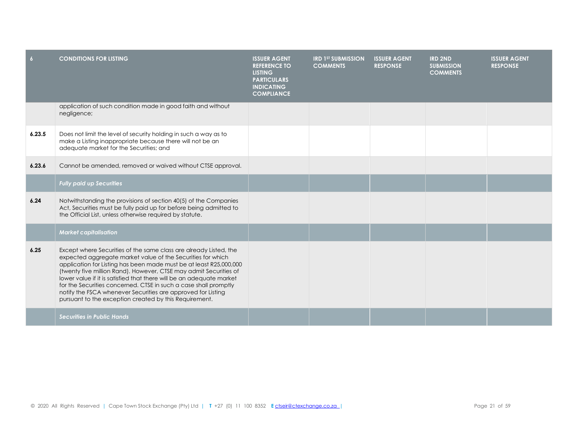| $\overline{6}$ | <b>CONDITIONS FOR LISTING</b>                                                                                                                                                                                                                                                                                                                                                                                                                                                                                                                     | <b>ISSUER AGENT</b><br><b>REFERENCE TO</b><br><b>LISTING</b><br><b>PARTICULARS</b><br><b>INDICATING</b><br><b>COMPLIANCE</b> | <b>IRD 1ST SUBMISSION</b><br><b>COMMENTS</b> | <b>ISSUER AGENT</b><br><b>RESPONSE</b> | <b>IRD 2ND</b><br><b>SUBMISSION</b><br><b>COMMENTS</b> | <b>ISSUER AGENT</b><br><b>RESPONSE</b> |
|----------------|---------------------------------------------------------------------------------------------------------------------------------------------------------------------------------------------------------------------------------------------------------------------------------------------------------------------------------------------------------------------------------------------------------------------------------------------------------------------------------------------------------------------------------------------------|------------------------------------------------------------------------------------------------------------------------------|----------------------------------------------|----------------------------------------|--------------------------------------------------------|----------------------------------------|
|                | application of such condition made in good faith and without<br>negligence;                                                                                                                                                                                                                                                                                                                                                                                                                                                                       |                                                                                                                              |                                              |                                        |                                                        |                                        |
| 6.23.5         | Does not limit the level of security holding in such a way as to<br>make a Listing inappropriate because there will not be an<br>adequate market for the Securities; and                                                                                                                                                                                                                                                                                                                                                                          |                                                                                                                              |                                              |                                        |                                                        |                                        |
| 6.23.6         | Cannot be amended, removed or waived without CTSE approval.                                                                                                                                                                                                                                                                                                                                                                                                                                                                                       |                                                                                                                              |                                              |                                        |                                                        |                                        |
|                | <b>Fully paid up Securities</b>                                                                                                                                                                                                                                                                                                                                                                                                                                                                                                                   |                                                                                                                              |                                              |                                        |                                                        |                                        |
| 6.24           | Notwithstanding the provisions of section 40(5) of the Companies<br>Act, Securities must be fully paid up for before being admitted to<br>the Official List, unless otherwise required by statute.                                                                                                                                                                                                                                                                                                                                                |                                                                                                                              |                                              |                                        |                                                        |                                        |
|                | <b>Market capitalisation</b>                                                                                                                                                                                                                                                                                                                                                                                                                                                                                                                      |                                                                                                                              |                                              |                                        |                                                        |                                        |
| 6.25           | Except where Securities of the same class are already Listed, the<br>expected aggregate market value of the Securities for which<br>application for Listing has been made must be at least R25,000,000<br>(twenty five million Rand). However, CTSE may admit Securities of<br>lower value if it is satisfied that there will be an adequate market<br>for the Securities concerned. CTSE in such a case shall promptly<br>notify the FSCA whenever Securities are approved for Listing<br>pursuant to the exception created by this Requirement. |                                                                                                                              |                                              |                                        |                                                        |                                        |
|                | <b>Securities in Public Hands</b>                                                                                                                                                                                                                                                                                                                                                                                                                                                                                                                 |                                                                                                                              |                                              |                                        |                                                        |                                        |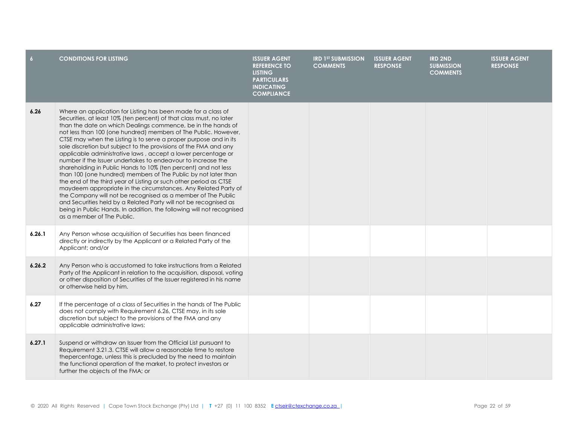| $\overline{6}$ | <b>CONDITIONS FOR LISTING</b>                                                                                                                                                                                                                                                                                                                                                                                                                                                                                                                                                                                                                                                                                                                                                                                                                                                                                                                                                                                                                                          | <b>ISSUER AGENT</b><br><b>REFERENCE TO</b><br><b>LISTING</b><br><b>PARTICULARS</b><br><b>INDICATING</b><br><b>COMPLIANCE</b> | <b>IRD 1ST SUBMISSION</b><br><b>COMMENTS</b> | <b>ISSUER AGENT</b><br><b>RESPONSE</b> | <b>IRD 2ND</b><br><b>SUBMISSION</b><br><b>COMMENTS</b> | <b>ISSUER AGENT</b><br><b>RESPONSE</b> |
|----------------|------------------------------------------------------------------------------------------------------------------------------------------------------------------------------------------------------------------------------------------------------------------------------------------------------------------------------------------------------------------------------------------------------------------------------------------------------------------------------------------------------------------------------------------------------------------------------------------------------------------------------------------------------------------------------------------------------------------------------------------------------------------------------------------------------------------------------------------------------------------------------------------------------------------------------------------------------------------------------------------------------------------------------------------------------------------------|------------------------------------------------------------------------------------------------------------------------------|----------------------------------------------|----------------------------------------|--------------------------------------------------------|----------------------------------------|
| 6.26           | Where an application for Listing has been made for a class of<br>Securities, at least 10% (ten percent) of that class must, no later<br>than the date on which Dealings commence, be in the hands of<br>not less than 100 (one hundred) members of The Public. However,<br>CTSE may when the Listing is to serve a proper purpose and in its<br>sole discretion but subject to the provisions of the FMA and any<br>applicable administrative laws, accept a lower percentage or<br>number if the Issuer undertakes to endeavour to increase the<br>shareholding in Public Hands to 10% (ten percent) and not less<br>than 100 (one hundred) members of The Public by not later than<br>the end of the third year of Listing or such other period as CTSE<br>maydeem appropriate in the circumstances. Any Related Party of<br>the Company will not be recognised as a member of The Public<br>and Securities held by a Related Party will not be recognised as<br>being in Public Hands. In addition, the following will not recognised<br>as a member of The Public. |                                                                                                                              |                                              |                                        |                                                        |                                        |
| 6.26.1         | Any Person whose acquisition of Securities has been financed<br>directly or indirectly by the Applicant or a Related Party of the<br>Applicant; and/or                                                                                                                                                                                                                                                                                                                                                                                                                                                                                                                                                                                                                                                                                                                                                                                                                                                                                                                 |                                                                                                                              |                                              |                                        |                                                        |                                        |
| 6.26.2         | Any Person who is accustomed to take instructions from a Related<br>Party of the Applicant in relation to the acquisition, disposal, voting<br>or other disposition of Securities of the Issuer registered in his name<br>or otherwise held by him.                                                                                                                                                                                                                                                                                                                                                                                                                                                                                                                                                                                                                                                                                                                                                                                                                    |                                                                                                                              |                                              |                                        |                                                        |                                        |
| 6.27           | If the percentage of a class of Securities in the hands of The Public<br>does not comply with Requirement 6.26, CTSE may, in its sole<br>discretion but subject to the provisions of the FMA and any<br>applicable administrative laws:                                                                                                                                                                                                                                                                                                                                                                                                                                                                                                                                                                                                                                                                                                                                                                                                                                |                                                                                                                              |                                              |                                        |                                                        |                                        |
| 6.27.1         | Suspend or withdraw an Issuer from the Official List pursuant to<br>Requirement 3.21.3. CTSE will allow a reasonable time to restore<br>thepercentage, unless this is precluded by the need to maintain<br>the functional operation of the market, to protect investors or<br>further the objects of the FMA; or                                                                                                                                                                                                                                                                                                                                                                                                                                                                                                                                                                                                                                                                                                                                                       |                                                                                                                              |                                              |                                        |                                                        |                                        |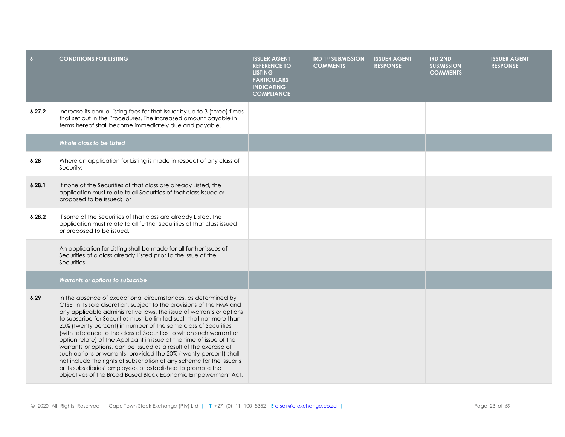| $\overline{6}$ | <b>CONDITIONS FOR LISTING</b>                                                                                                                                                                                                                                                                                                                                                                                                                                                                                                                                                                                                                                                                                                                                                                                                                               | <b>ISSUER AGENT</b><br><b>REFERENCE TO</b><br><b>LISTING</b><br><b>PARTICULARS</b><br><b>INDICATING</b><br><b>COMPLIANCE</b> | <b>IRD 1ST SUBMISSION</b><br><b>COMMENTS</b> | <b>ISSUER AGENT</b><br><b>RESPONSE</b> | <b>IRD 2ND</b><br><b>SUBMISSION</b><br><b>COMMENTS</b> | <b>ISSUER AGENT</b><br><b>RESPONSE</b> |
|----------------|-------------------------------------------------------------------------------------------------------------------------------------------------------------------------------------------------------------------------------------------------------------------------------------------------------------------------------------------------------------------------------------------------------------------------------------------------------------------------------------------------------------------------------------------------------------------------------------------------------------------------------------------------------------------------------------------------------------------------------------------------------------------------------------------------------------------------------------------------------------|------------------------------------------------------------------------------------------------------------------------------|----------------------------------------------|----------------------------------------|--------------------------------------------------------|----------------------------------------|
| 6.27.2         | Increase its annual listing fees for that Issuer by up to 3 (three) times<br>that set out in the Procedures. The increased amount payable in<br>terms hereof shall become immediately due and payable.                                                                                                                                                                                                                                                                                                                                                                                                                                                                                                                                                                                                                                                      |                                                                                                                              |                                              |                                        |                                                        |                                        |
|                | Whole class to be Listed                                                                                                                                                                                                                                                                                                                                                                                                                                                                                                                                                                                                                                                                                                                                                                                                                                    |                                                                                                                              |                                              |                                        |                                                        |                                        |
| 6.28           | Where an application for Listing is made in respect of any class of<br>Security:                                                                                                                                                                                                                                                                                                                                                                                                                                                                                                                                                                                                                                                                                                                                                                            |                                                                                                                              |                                              |                                        |                                                        |                                        |
| 6.28.1         | If none of the Securities of that class are already Listed, the<br>application must relate to all Securities of that class issued or<br>proposed to be issued; or                                                                                                                                                                                                                                                                                                                                                                                                                                                                                                                                                                                                                                                                                           |                                                                                                                              |                                              |                                        |                                                        |                                        |
| 6.28.2         | If some of the Securities of that class are already Listed, the<br>application must relate to all further Securities of that class issued<br>or proposed to be issued.                                                                                                                                                                                                                                                                                                                                                                                                                                                                                                                                                                                                                                                                                      |                                                                                                                              |                                              |                                        |                                                        |                                        |
|                | An application for Listing shall be made for all further issues of<br>Securities of a class already Listed prior to the issue of the<br>Securities.                                                                                                                                                                                                                                                                                                                                                                                                                                                                                                                                                                                                                                                                                                         |                                                                                                                              |                                              |                                        |                                                        |                                        |
|                | Warrants or options to subscribe                                                                                                                                                                                                                                                                                                                                                                                                                                                                                                                                                                                                                                                                                                                                                                                                                            |                                                                                                                              |                                              |                                        |                                                        |                                        |
| 6.29           | In the absence of exceptional circumstances, as determined by<br>CTSE, in its sole discretion, subject to the provisions of the FMA and<br>any applicable administrative laws, the issue of warrants or options<br>to subscribe for Securities must be limited such that not more than<br>20% (twenty percent) in number of the same class of Securities<br>(with reference to the class of Securities to which such warrant or<br>option relate) of the Applicant in issue at the time of issue of the<br>warrants or options, can be issued as a result of the exercise of<br>such options or warrants, provided the 20% (twenty percent) shall<br>not include the rights of subscription of any scheme for the Issuer's<br>or its subsidiaries' employees or established to promote the<br>objectives of the Broad Based Black Economic Empowerment Act. |                                                                                                                              |                                              |                                        |                                                        |                                        |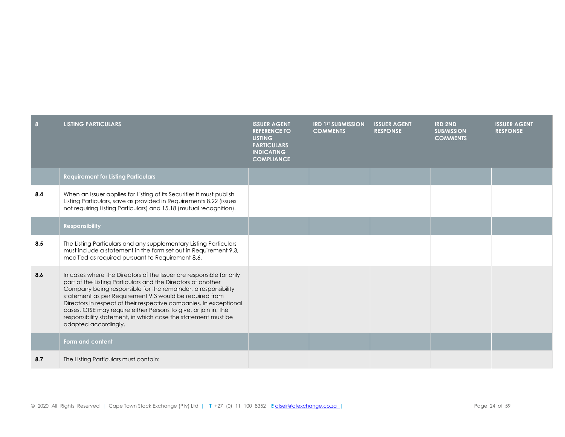| 8   | <b>LISTING PARTICULARS</b>                                                                                                                                                                                                                                                                                                                                                                                                                                                                        | <b>ISSUER AGENT</b><br><b>REFERENCE TO</b><br><b>LISTING</b><br><b>PARTICULARS</b><br><b>INDICATING</b><br><b>COMPLIANCE</b> | <b>IRD 1ST SUBMISSION</b><br><b>COMMENTS</b> | <b>ISSUER AGENT</b><br><b>RESPONSE</b> | <b>IRD 2ND</b><br><b>SUBMISSION</b><br><b>COMMENTS</b> | <b>ISSUER AGENT</b><br><b>RESPONSE</b> |
|-----|---------------------------------------------------------------------------------------------------------------------------------------------------------------------------------------------------------------------------------------------------------------------------------------------------------------------------------------------------------------------------------------------------------------------------------------------------------------------------------------------------|------------------------------------------------------------------------------------------------------------------------------|----------------------------------------------|----------------------------------------|--------------------------------------------------------|----------------------------------------|
|     | <b>Requirement for Listing Particulars</b>                                                                                                                                                                                                                                                                                                                                                                                                                                                        |                                                                                                                              |                                              |                                        |                                                        |                                        |
| 8.4 | When an Issuer applies for Listing of its Securities it must publish<br>Listing Particulars, save as provided in Requirements 8.22 (issues<br>not requiring Listing Particulars) and 15.18 (mutual recognition).                                                                                                                                                                                                                                                                                  |                                                                                                                              |                                              |                                        |                                                        |                                        |
|     | <b>Responsibility</b>                                                                                                                                                                                                                                                                                                                                                                                                                                                                             |                                                                                                                              |                                              |                                        |                                                        |                                        |
| 8.5 | The Listing Particulars and any supplementary Listing Particulars<br>must include a statement in the form set out in Requirement 9.3,<br>modified as required pursuant to Requirement 8.6.                                                                                                                                                                                                                                                                                                        |                                                                                                                              |                                              |                                        |                                                        |                                        |
| 8.6 | In cases where the Directors of the Issuer are responsible for only<br>part of the Listing Particulars and the Directors of another<br>Company being responsible for the remainder, a responsibility<br>statement as per Requirement 9.3 would be required from<br>Directors in respect of their respective companies. In exceptional<br>cases, CTSE may require either Persons to give, or join in, the<br>responsibility statement, in which case the statement must be<br>adapted accordingly. |                                                                                                                              |                                              |                                        |                                                        |                                        |
|     | Form and content                                                                                                                                                                                                                                                                                                                                                                                                                                                                                  |                                                                                                                              |                                              |                                        |                                                        |                                        |
| 8.7 | The Listing Particulars must contain:                                                                                                                                                                                                                                                                                                                                                                                                                                                             |                                                                                                                              |                                              |                                        |                                                        |                                        |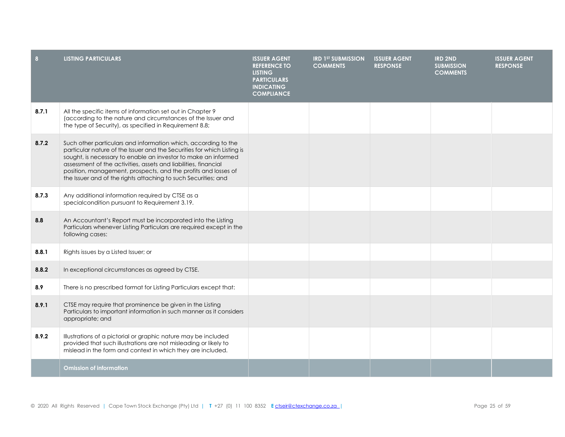| $\vert$ 8 | <b>LISTING PARTICULARS</b>                                                                                                                                                                                                                                                                                                                                                                                         | <b>ISSUER AGENT</b><br><b>REFERENCE TO</b><br><b>LISTING</b><br><b>PARTICULARS</b><br><b>INDICATING</b><br><b>COMPLIANCE</b> | <b>IRD 1ST SUBMISSION</b><br><b>COMMENTS</b> | <b>ISSUER AGENT</b><br><b>RESPONSE</b> | <b>IRD 2ND</b><br><b>SUBMISSION</b><br><b>COMMENTS</b> | <b>ISSUER AGENT</b><br><b>RESPONSE</b> |
|-----------|--------------------------------------------------------------------------------------------------------------------------------------------------------------------------------------------------------------------------------------------------------------------------------------------------------------------------------------------------------------------------------------------------------------------|------------------------------------------------------------------------------------------------------------------------------|----------------------------------------------|----------------------------------------|--------------------------------------------------------|----------------------------------------|
| 8.7.1     | All the specific items of information set out in Chapter 9<br>(according to the nature and circumstances of the Issuer and<br>the type of Security), as specified in Requirement 8.8;                                                                                                                                                                                                                              |                                                                                                                              |                                              |                                        |                                                        |                                        |
| 8.7.2     | Such other particulars and information which, according to the<br>particular nature of the Issuer and the Securities for which Listing is<br>sought, is necessary to enable an investor to make an informed<br>assessment of the activities, assets and liabilities, financial<br>position, management, prospects, and the profits and losses of<br>the Issuer and of the rights attaching to such Securities; and |                                                                                                                              |                                              |                                        |                                                        |                                        |
| 8.7.3     | Any additional information required by CTSE as a<br>specialcondition pursuant to Requirement 3.19.                                                                                                                                                                                                                                                                                                                 |                                                                                                                              |                                              |                                        |                                                        |                                        |
| 8.8       | An Accountant's Report must be incorporated into the Listing<br>Particulars whenever Listing Particulars are required except in the<br>following cases:                                                                                                                                                                                                                                                            |                                                                                                                              |                                              |                                        |                                                        |                                        |
| 8.8.1     | Rights issues by a Listed Issuer; or                                                                                                                                                                                                                                                                                                                                                                               |                                                                                                                              |                                              |                                        |                                                        |                                        |
| 8.8.2     | In exceptional circumstances as agreed by CTSE.                                                                                                                                                                                                                                                                                                                                                                    |                                                                                                                              |                                              |                                        |                                                        |                                        |
| 8.9       | There is no prescribed format for Listing Particulars except that:                                                                                                                                                                                                                                                                                                                                                 |                                                                                                                              |                                              |                                        |                                                        |                                        |
| 8.9.1     | CTSE may require that prominence be given in the Listing<br>Particulars to important information in such manner as it considers<br>appropriate; and                                                                                                                                                                                                                                                                |                                                                                                                              |                                              |                                        |                                                        |                                        |
| 8.9.2     | Illustrations of a pictorial or graphic nature may be included<br>provided that such illustrations are not misleading or likely to<br>mislead in the form and context in which they are included.                                                                                                                                                                                                                  |                                                                                                                              |                                              |                                        |                                                        |                                        |
|           | <b>Omission of information</b>                                                                                                                                                                                                                                                                                                                                                                                     |                                                                                                                              |                                              |                                        |                                                        |                                        |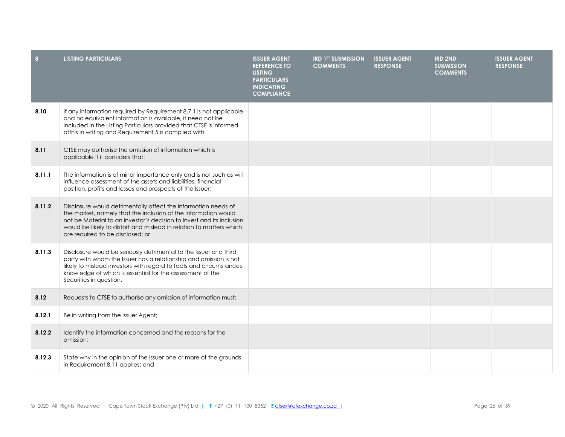| 8      | <b>LISTING PARTICULARS</b>                                                                                                                                                                                                                                                                                           | <b>ISSUER AGENT</b><br><b>REFERENCE TO</b><br><b>LISTING</b><br><b>PARTICULARS</b><br><b>INDICATING</b><br><b>COMPLIANCE</b> | <b>IRD 1ST SUBMISSION</b><br><b>COMMENTS</b> | <b>ISSUER AGENT</b><br><b>RESPONSE</b> | <b>IRD 2ND</b><br><b>SUBMISSION</b><br><b>COMMENTS</b> | <b>ISSUER AGENT</b><br><b>RESPONSE</b> |
|--------|----------------------------------------------------------------------------------------------------------------------------------------------------------------------------------------------------------------------------------------------------------------------------------------------------------------------|------------------------------------------------------------------------------------------------------------------------------|----------------------------------------------|----------------------------------------|--------------------------------------------------------|----------------------------------------|
| 8.10   | If any information required by Requirement 8.7.1 is not applicable<br>and no equivalent information is available, it need not be<br>included in the Listing Particulars provided that CTSE is informed<br>ofthis in writing and Requirement 5 is complied with.                                                      |                                                                                                                              |                                              |                                        |                                                        |                                        |
| 8.11   | CTSE may authorise the omission of information which is<br>applicable if it considers that:                                                                                                                                                                                                                          |                                                                                                                              |                                              |                                        |                                                        |                                        |
| 8.11.1 | The information is of minor importance only and is not such as will<br>influence assessment of the assets and liabilities, financial<br>position, profits and losses and prospects of the Issuer;                                                                                                                    |                                                                                                                              |                                              |                                        |                                                        |                                        |
| 8.11.2 | Disclosure would detrimentally affect the information needs of<br>the market, namely that the inclusion of the information would<br>not be Material to an investor's decision to invest and its inclusion<br>would be likely to distort and mislead in relation to matters which<br>are required to be disclosed; or |                                                                                                                              |                                              |                                        |                                                        |                                        |
| 8.11.3 | Disclosure would be seriously detrimental to the Issuer or a third<br>party with whom the Issuer has a relationship and omission is not<br>likely to mislead investors with regard to facts and circumstances,<br>knowledge of which is essential for the assessment of the<br>Securities in question.               |                                                                                                                              |                                              |                                        |                                                        |                                        |
| 8.12   | Requests to CTSE to authorise any omission of information must:                                                                                                                                                                                                                                                      |                                                                                                                              |                                              |                                        |                                                        |                                        |
| 8.12.1 | Be in writing from the Issuer Agent;                                                                                                                                                                                                                                                                                 |                                                                                                                              |                                              |                                        |                                                        |                                        |
| 8.12.2 | Identify the information concerned and the reasons for the<br>omission;                                                                                                                                                                                                                                              |                                                                                                                              |                                              |                                        |                                                        |                                        |
| 8.12.3 | State why in the opinion of the Issuer one or more of the grounds<br>in Requirement 8.11 applies; and                                                                                                                                                                                                                |                                                                                                                              |                                              |                                        |                                                        |                                        |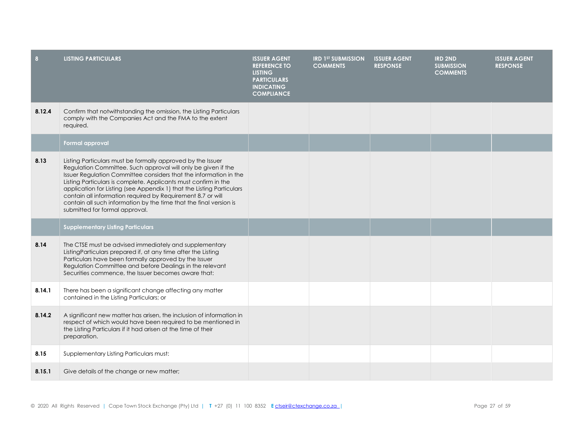| 8      | <b>LISTING PARTICULARS</b>                                                                                                                                                                                                                                                                                                                                                                                                                                                                                           | <b>ISSUER AGENT</b><br><b>REFERENCE TO</b><br><b>LISTING</b><br><b>PARTICULARS</b><br><b>INDICATING</b><br><b>COMPLIANCE</b> | <b>IRD 1ST SUBMISSION</b><br><b>COMMENTS</b> | <b>ISSUER AGENT</b><br><b>RESPONSE</b> | <b>IRD 2ND</b><br><b>SUBMISSION</b><br><b>COMMENTS</b> | <b>ISSUER AGENT</b><br><b>RESPONSE</b> |
|--------|----------------------------------------------------------------------------------------------------------------------------------------------------------------------------------------------------------------------------------------------------------------------------------------------------------------------------------------------------------------------------------------------------------------------------------------------------------------------------------------------------------------------|------------------------------------------------------------------------------------------------------------------------------|----------------------------------------------|----------------------------------------|--------------------------------------------------------|----------------------------------------|
| 8.12.4 | Confirm that notwithstanding the omission, the Listing Particulars<br>comply with the Companies Act and the FMA to the extent<br>required.                                                                                                                                                                                                                                                                                                                                                                           |                                                                                                                              |                                              |                                        |                                                        |                                        |
|        | Formal approval                                                                                                                                                                                                                                                                                                                                                                                                                                                                                                      |                                                                                                                              |                                              |                                        |                                                        |                                        |
| 8.13   | Listing Particulars must be formally approved by the Issuer<br>Regulation Committee. Such approval will only be given if the<br>Issuer Regulation Committee considers that the information in the<br>Listing Particulars is complete. Applicants must confirm in the<br>application for Listing (see Appendix 1) that the Listing Particulars<br>contain all information required by Requirement 8.7 or will<br>contain all such information by the time that the final version is<br>submitted for formal approval. |                                                                                                                              |                                              |                                        |                                                        |                                        |
|        | <b>Supplementary Listing Particulars</b>                                                                                                                                                                                                                                                                                                                                                                                                                                                                             |                                                                                                                              |                                              |                                        |                                                        |                                        |
| 8.14   | The CTSE must be advised immediately and supplementary<br>ListingParticulars prepared if, at any time after the Listing<br>Particulars have been formally approved by the Issuer<br>Regulation Committee and before Dealings in the relevant<br>Securities commence, the Issuer becomes aware that:                                                                                                                                                                                                                  |                                                                                                                              |                                              |                                        |                                                        |                                        |
| 8.14.1 | There has been a significant change affecting any matter<br>contained in the Listing Particulars; or                                                                                                                                                                                                                                                                                                                                                                                                                 |                                                                                                                              |                                              |                                        |                                                        |                                        |
| 8.14.2 | A significant new matter has arisen, the inclusion of information in<br>respect of which would have been required to be mentioned in<br>the Listing Particulars if it had arisen at the time of their<br>preparation.                                                                                                                                                                                                                                                                                                |                                                                                                                              |                                              |                                        |                                                        |                                        |
| 8.15   | Supplementary Listing Particulars must:                                                                                                                                                                                                                                                                                                                                                                                                                                                                              |                                                                                                                              |                                              |                                        |                                                        |                                        |
| 8.15.1 | Give details of the change or new matter;                                                                                                                                                                                                                                                                                                                                                                                                                                                                            |                                                                                                                              |                                              |                                        |                                                        |                                        |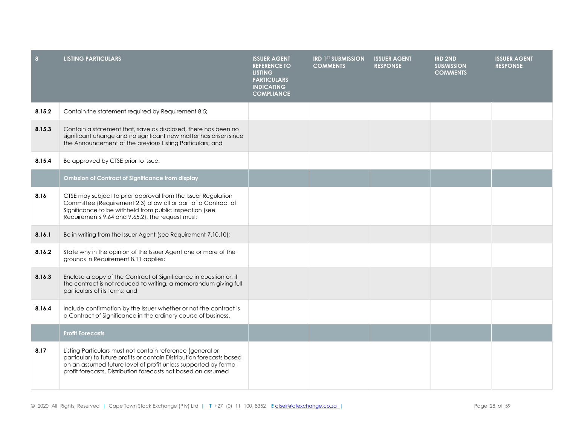| 8      | <b>LISTING PARTICULARS</b>                                                                                                                                                                                                                                              | <b>ISSUER AGENT</b><br><b>REFERENCE TO</b><br><b>LISTING</b><br><b>PARTICULARS</b><br><b>INDICATING</b><br><b>COMPLIANCE</b> | <b>IRD 1ST SUBMISSION</b><br><b>COMMENTS</b> | <b>ISSUER AGENT</b><br><b>RESPONSE</b> | <b>IRD 2ND</b><br><b>SUBMISSION</b><br><b>COMMENTS</b> | <b>ISSUER AGENT</b><br><b>RESPONSE</b> |
|--------|-------------------------------------------------------------------------------------------------------------------------------------------------------------------------------------------------------------------------------------------------------------------------|------------------------------------------------------------------------------------------------------------------------------|----------------------------------------------|----------------------------------------|--------------------------------------------------------|----------------------------------------|
| 8.15.2 | Contain the statement required by Requirement 8.5;                                                                                                                                                                                                                      |                                                                                                                              |                                              |                                        |                                                        |                                        |
| 8.15.3 | Contain a statement that, save as disclosed, there has been no<br>significant change and no significant new matter has arisen since<br>the Announcement of the previous Listing Particulars; and                                                                        |                                                                                                                              |                                              |                                        |                                                        |                                        |
| 8.15.4 | Be approved by CTSE prior to issue.                                                                                                                                                                                                                                     |                                                                                                                              |                                              |                                        |                                                        |                                        |
|        | <b>Omission of Contract of Significance from display</b>                                                                                                                                                                                                                |                                                                                                                              |                                              |                                        |                                                        |                                        |
| 8.16   | CTSE may subject to prior approval from the Issuer Regulation<br>Committee (Requirement 2.3) allow all or part of a Contract of<br>Significance to be withheld from public inspection (see<br>Requirements 9.64 and 9.65.2). The request must:                          |                                                                                                                              |                                              |                                        |                                                        |                                        |
| 8.16.1 | Be in writing from the Issuer Agent (see Requirement 7.10.10);                                                                                                                                                                                                          |                                                                                                                              |                                              |                                        |                                                        |                                        |
| 8.16.2 | State why in the opinion of the Issuer Agent one or more of the<br>grounds in Requirement 8.11 applies;                                                                                                                                                                 |                                                                                                                              |                                              |                                        |                                                        |                                        |
| 8.16.3 | Enclose a copy of the Contract of Significance in question or, if<br>the contract is not reduced to writing, a memorandum giving full<br>particulars of its terms; and                                                                                                  |                                                                                                                              |                                              |                                        |                                                        |                                        |
| 8.16.4 | Include confirmation by the Issuer whether or not the contract is<br>a Contract of Significance in the ordinary course of business.                                                                                                                                     |                                                                                                                              |                                              |                                        |                                                        |                                        |
|        | <b>Profit Forecasts</b>                                                                                                                                                                                                                                                 |                                                                                                                              |                                              |                                        |                                                        |                                        |
| 8.17   | Listing Particulars must not contain reference (general or<br>particular) to future profits or contain Distribution forecasts based<br>on an assumed future level of profit unless supported by formal<br>profit forecasts. Distribution forecasts not based on assumed |                                                                                                                              |                                              |                                        |                                                        |                                        |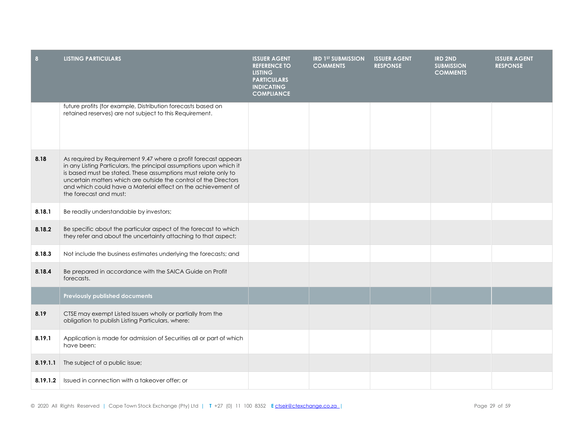| 8        | <b>LISTING PARTICULARS</b>                                                                                                                                                                                                                                                                                                                                             | <b>ISSUER AGENT</b><br><b>REFERENCE TO</b><br><b>LISTING</b><br><b>PARTICULARS</b><br><b>INDICATING</b><br><b>COMPLIANCE</b> | <b>IRD 1ST SUBMISSION</b><br><b>COMMENTS</b> | <b>ISSUER AGENT</b><br><b>RESPONSE</b> | <b>IRD 2ND</b><br><b>SUBMISSION</b><br><b>COMMENTS</b> | <b>ISSUER AGENT</b><br><b>RESPONSE</b> |
|----------|------------------------------------------------------------------------------------------------------------------------------------------------------------------------------------------------------------------------------------------------------------------------------------------------------------------------------------------------------------------------|------------------------------------------------------------------------------------------------------------------------------|----------------------------------------------|----------------------------------------|--------------------------------------------------------|----------------------------------------|
|          | future profits (for example, Distribution forecasts based on<br>retained reserves) are not subject to this Requirement.                                                                                                                                                                                                                                                |                                                                                                                              |                                              |                                        |                                                        |                                        |
| 8.18     | As required by Requirement 9.47 where a profit forecast appears<br>in any Listing Particulars, the principal assumptions upon which it<br>is based must be stated. These assumptions must relate only to<br>uncertain matters which are outside the control of the Directors<br>and which could have a Material effect on the achievement of<br>the forecast and must: |                                                                                                                              |                                              |                                        |                                                        |                                        |
| 8.18.1   | Be readily understandable by investors;                                                                                                                                                                                                                                                                                                                                |                                                                                                                              |                                              |                                        |                                                        |                                        |
| 8.18.2   | Be specific about the particular aspect of the forecast to which<br>they refer and about the uncertainty attaching to that aspect;                                                                                                                                                                                                                                     |                                                                                                                              |                                              |                                        |                                                        |                                        |
| 8.18.3   | Not include the business estimates underlying the forecasts; and                                                                                                                                                                                                                                                                                                       |                                                                                                                              |                                              |                                        |                                                        |                                        |
| 8.18.4   | Be prepared in accordance with the SAICA Guide on Profit<br>forecasts.                                                                                                                                                                                                                                                                                                 |                                                                                                                              |                                              |                                        |                                                        |                                        |
|          | <b>Previously published documents</b>                                                                                                                                                                                                                                                                                                                                  |                                                                                                                              |                                              |                                        |                                                        |                                        |
| 8.19     | CTSE may exempt Listed Issuers wholly or partially from the<br>obligation to publish Listing Particulars, where:                                                                                                                                                                                                                                                       |                                                                                                                              |                                              |                                        |                                                        |                                        |
| 8.19.1   | Application is made for admission of Securities all or part of which<br>have been:                                                                                                                                                                                                                                                                                     |                                                                                                                              |                                              |                                        |                                                        |                                        |
| 8.19.1.1 | The subject of a public issue;                                                                                                                                                                                                                                                                                                                                         |                                                                                                                              |                                              |                                        |                                                        |                                        |
| 8.19.1.2 | Issued in connection with a takeover offer; or                                                                                                                                                                                                                                                                                                                         |                                                                                                                              |                                              |                                        |                                                        |                                        |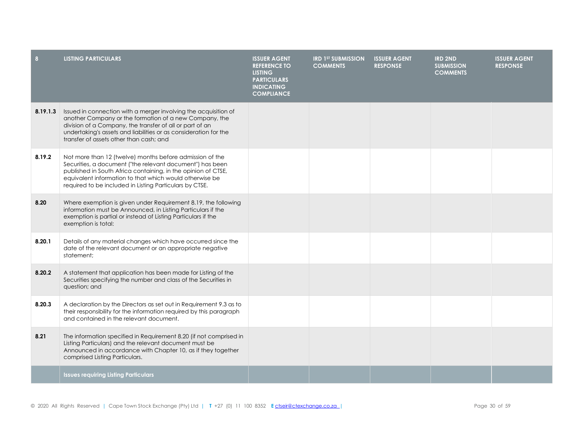| 8        | <b>LISTING PARTICULARS</b>                                                                                                                                                                                                                                                                                   | <b>ISSUER AGENT</b><br><b>REFERENCE TO</b><br><b>LISTING</b><br><b>PARTICULARS</b><br><b>INDICATING</b><br><b>COMPLIANCE</b> | <b>IRD 1ST SUBMISSION</b><br><b>COMMENTS</b> | <b>ISSUER AGENT</b><br><b>RESPONSE</b> | <b>IRD 2ND</b><br><b>SUBMISSION</b><br><b>COMMENTS</b> | <b>ISSUER AGENT</b><br><b>RESPONSE</b> |
|----------|--------------------------------------------------------------------------------------------------------------------------------------------------------------------------------------------------------------------------------------------------------------------------------------------------------------|------------------------------------------------------------------------------------------------------------------------------|----------------------------------------------|----------------------------------------|--------------------------------------------------------|----------------------------------------|
| 8.19.1.3 | Issued in connection with a merger involving the acquisition of<br>another Company or the formation of a new Company, the<br>division of a Company, the transfer of all or part of an<br>undertaking's assets and liabilities or as consideration for the<br>transfer of assets other than cash; and         |                                                                                                                              |                                              |                                        |                                                        |                                        |
| 8.19.2   | Not more than 12 (twelve) months before admission of the<br>Securities, a document ("the relevant document") has been<br>published in South Africa containing, in the opinion of CTSE,<br>equivalent information to that which would otherwise be<br>required to be included in Listing Particulars by CTSE. |                                                                                                                              |                                              |                                        |                                                        |                                        |
| 8.20     | Where exemption is given under Requirement 8.19, the following<br>information must be Announced, in Listing Particulars if the<br>exemption is partial or instead of Listing Particulars if the<br>exemption is total:                                                                                       |                                                                                                                              |                                              |                                        |                                                        |                                        |
| 8.20.1   | Details of any material changes which have occurred since the<br>date of the relevant document or an appropriate negative<br>statement;                                                                                                                                                                      |                                                                                                                              |                                              |                                        |                                                        |                                        |
| 8.20.2   | A statement that application has been made for Listing of the<br>Securities specifying the number and class of the Securities in<br>question; and                                                                                                                                                            |                                                                                                                              |                                              |                                        |                                                        |                                        |
| 8.20.3   | A declaration by the Directors as set out in Requirement 9.3 as to<br>their responsibility for the information required by this paragraph<br>and contained in the relevant document.                                                                                                                         |                                                                                                                              |                                              |                                        |                                                        |                                        |
| 8.21     | The information specified in Requirement 8.20 (if not comprised in<br>Listing Particulars) and the relevant document must be<br>Announced in accordance with Chapter 10, as if they together<br>comprised Listing Particulars.                                                                               |                                                                                                                              |                                              |                                        |                                                        |                                        |
|          | <b>Issues requiring Listing Particulars</b>                                                                                                                                                                                                                                                                  |                                                                                                                              |                                              |                                        |                                                        |                                        |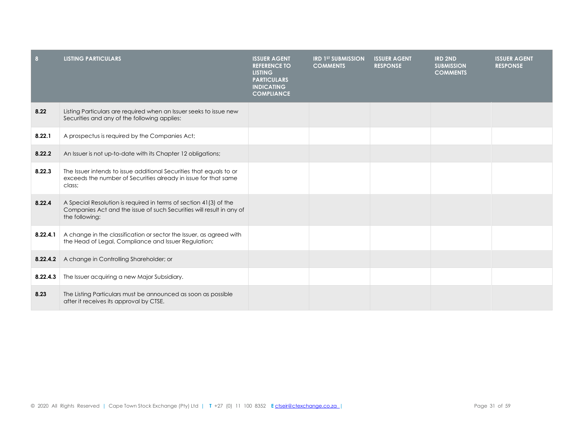| 8        | <b>LISTING PARTICULARS</b>                                                                                                                                  | <b>ISSUER AGENT</b><br><b>REFERENCE TO</b><br><b>LISTING</b><br><b>PARTICULARS</b><br><b>INDICATING</b><br><b>COMPLIANCE</b> | <b>IRD 1ST SUBMISSION</b><br><b>COMMENTS</b> | <b>ISSUER AGENT</b><br><b>RESPONSE</b> | <b>IRD 2ND</b><br><b>SUBMISSION</b><br><b>COMMENTS</b> | <b>ISSUER AGENT</b><br><b>RESPONSE</b> |
|----------|-------------------------------------------------------------------------------------------------------------------------------------------------------------|------------------------------------------------------------------------------------------------------------------------------|----------------------------------------------|----------------------------------------|--------------------------------------------------------|----------------------------------------|
| 8.22     | Listing Particulars are required when an Issuer seeks to issue new<br>Securities and any of the following applies:                                          |                                                                                                                              |                                              |                                        |                                                        |                                        |
| 8.22.1   | A prospectus is required by the Companies Act;                                                                                                              |                                                                                                                              |                                              |                                        |                                                        |                                        |
| 8.22.2   | An Issuer is not up-to-date with its Chapter 12 obligations;                                                                                                |                                                                                                                              |                                              |                                        |                                                        |                                        |
| 8.22.3   | The Issuer intends to issue additional Securities that equals to or<br>exceeds the number of Securities already in issue for that same<br>class;            |                                                                                                                              |                                              |                                        |                                                        |                                        |
| 8.22.4   | A Special Resolution is required in terms of section 41(3) of the<br>Companies Act and the issue of such Securities will result in any of<br>the following: |                                                                                                                              |                                              |                                        |                                                        |                                        |
| 8.22.4.1 | A change in the classification or sector the Issuer, as agreed with<br>the Head of Legal, Compliance and Issuer Regulation;                                 |                                                                                                                              |                                              |                                        |                                                        |                                        |
| 8.22.4.2 | A change in Controlling Shareholder; or                                                                                                                     |                                                                                                                              |                                              |                                        |                                                        |                                        |
| 8.22.4.3 | The Issuer acquiring a new Major Subsidiary.                                                                                                                |                                                                                                                              |                                              |                                        |                                                        |                                        |
| 8.23     | The Listing Particulars must be announced as soon as possible<br>after it receives its approval by CTSE.                                                    |                                                                                                                              |                                              |                                        |                                                        |                                        |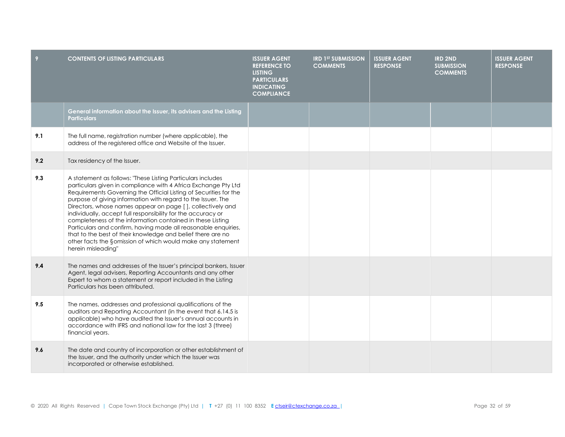| 9   | <b>CONTENTS OF LISTING PARTICULARS</b>                                                                                                                                                                                                                                                                                                                                                                                                                                                                                                                                                                                                                                               | <b>ISSUER AGENT</b><br><b>REFERENCE TO</b><br><b>LISTING</b><br><b>PARTICULARS</b><br><b>INDICATING</b><br><b>COMPLIANCE</b> | <b>IRD 1ST SUBMISSION</b><br><b>COMMENTS</b> | <b>ISSUER AGENT</b><br><b>RESPONSE</b> | <b>IRD 2ND</b><br><b>SUBMISSION</b><br><b>COMMENTS</b> | <b>ISSUER AGENT</b><br><b>RESPONSE</b> |
|-----|--------------------------------------------------------------------------------------------------------------------------------------------------------------------------------------------------------------------------------------------------------------------------------------------------------------------------------------------------------------------------------------------------------------------------------------------------------------------------------------------------------------------------------------------------------------------------------------------------------------------------------------------------------------------------------------|------------------------------------------------------------------------------------------------------------------------------|----------------------------------------------|----------------------------------------|--------------------------------------------------------|----------------------------------------|
|     | General information about the Issuer, its advisers and the Listing<br><b>Particulars</b>                                                                                                                                                                                                                                                                                                                                                                                                                                                                                                                                                                                             |                                                                                                                              |                                              |                                        |                                                        |                                        |
| 9.1 | The full name, registration number (where applicable), the<br>address of the registered office and Website of the Issuer.                                                                                                                                                                                                                                                                                                                                                                                                                                                                                                                                                            |                                                                                                                              |                                              |                                        |                                                        |                                        |
| 9.2 | Tax residency of the Issuer.                                                                                                                                                                                                                                                                                                                                                                                                                                                                                                                                                                                                                                                         |                                                                                                                              |                                              |                                        |                                                        |                                        |
| 9.3 | A statement as follows: "These Listing Particulars includes<br>particulars given in compliance with 4 Africa Exchange Pty Ltd<br>Requirements Governing the Official Listing of Securities for the<br>purpose of giving information with regard to the Issuer. The<br>Directors, whose names appear on page [], collectively and<br>individually, accept full responsibility for the accuracy or<br>completeness of the information contained in these Listing<br>Particulars and confirm, having made all reasonable enquiries,<br>that to the best of their knowledge and belief there are no<br>other facts the §omission of which would make any statement<br>herein misleading" |                                                                                                                              |                                              |                                        |                                                        |                                        |
| 9.4 | The names and addresses of the Issuer's principal bankers, Issuer<br>Agent, legal advisers, Reporting Accountants and any other<br>Expert to whom a statement or report included in the Listing<br>Particulars has been attributed.                                                                                                                                                                                                                                                                                                                                                                                                                                                  |                                                                                                                              |                                              |                                        |                                                        |                                        |
| 9.5 | The names, addresses and professional qualifications of the<br>auditors and Reporting Accountant (in the event that 6.14.5 is<br>applicable) who have audited the Issuer's annual accounts in<br>accordance with IFRS and national law for the last 3 (three)<br>financial years.                                                                                                                                                                                                                                                                                                                                                                                                    |                                                                                                                              |                                              |                                        |                                                        |                                        |
| 9.6 | The date and country of incorporation or other establishment of<br>the Issuer, and the authority under which the Issuer was<br>incorporated or otherwise established.                                                                                                                                                                                                                                                                                                                                                                                                                                                                                                                |                                                                                                                              |                                              |                                        |                                                        |                                        |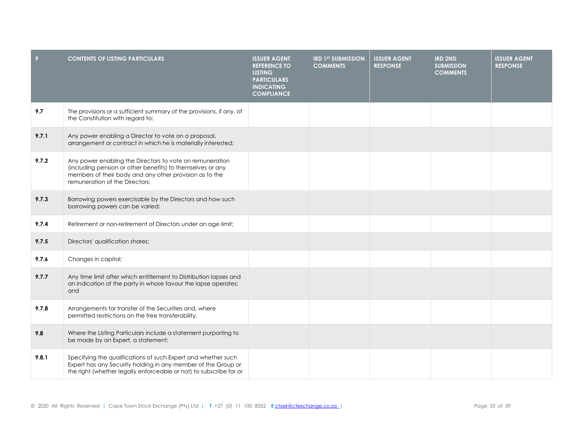| 9     | <b>CONTENTS OF LISTING PARTICULARS</b>                                                                                                                                                                              | <b>ISSUER AGENT</b><br><b>REFERENCE TO</b><br><b>LISTING</b><br><b>PARTICULARS</b><br><b>INDICATING</b><br><b>COMPLIANCE</b> | <b>IRD 1ST SUBMISSION</b><br><b>COMMENTS</b> | <b>ISSUER AGENT</b><br><b>RESPONSE</b> | <b>IRD 2ND</b><br><b>SUBMISSION</b><br><b>COMMENTS</b> | <b>ISSUER AGENT</b><br><b>RESPONSE</b> |
|-------|---------------------------------------------------------------------------------------------------------------------------------------------------------------------------------------------------------------------|------------------------------------------------------------------------------------------------------------------------------|----------------------------------------------|----------------------------------------|--------------------------------------------------------|----------------------------------------|
| 9.7   | The provisions or a sufficient summary of the provisions, if any, of<br>the Constitution with regard to:                                                                                                            |                                                                                                                              |                                              |                                        |                                                        |                                        |
| 9.7.1 | Any power enabling a Director to vote on a proposal,<br>arrangement or contract in which he is materially interested;                                                                                               |                                                                                                                              |                                              |                                        |                                                        |                                        |
| 9.7.2 | Any power enabling the Directors to vote on remuneration<br>(including pension or other benefits) to themselves or any<br>members of their body and any other provision as to the<br>remuneration of the Directors; |                                                                                                                              |                                              |                                        |                                                        |                                        |
| 9.7.3 | Borrowing powers exercisable by the Directors and how such<br>borrowing powers can be varied;                                                                                                                       |                                                                                                                              |                                              |                                        |                                                        |                                        |
| 9.7.4 | Retirement or non-retirement of Directors under an age limit;                                                                                                                                                       |                                                                                                                              |                                              |                                        |                                                        |                                        |
| 9.7.5 | Directors' qualification shares;                                                                                                                                                                                    |                                                                                                                              |                                              |                                        |                                                        |                                        |
| 9.7.6 | Changes in capital;                                                                                                                                                                                                 |                                                                                                                              |                                              |                                        |                                                        |                                        |
| 9.7.7 | Any time limit after which entitlement to Distribution lapses and<br>an indication of the party in whose favour the lapse operates;<br>and                                                                          |                                                                                                                              |                                              |                                        |                                                        |                                        |
| 9.7.8 | Arrangements for transfer of the Securities and, where<br>permitted restrictions on the free transferability.                                                                                                       |                                                                                                                              |                                              |                                        |                                                        |                                        |
| 9.8   | Where the Listing Particulars include a statement purporting to<br>be made by an Expert, a statement:                                                                                                               |                                                                                                                              |                                              |                                        |                                                        |                                        |
| 9.8.1 | Specifying the qualifications of such Expert and whether such<br>Expert has any Security holding in any member of the Group or<br>the right (whether legally enforceable or not) to subscribe for or                |                                                                                                                              |                                              |                                        |                                                        |                                        |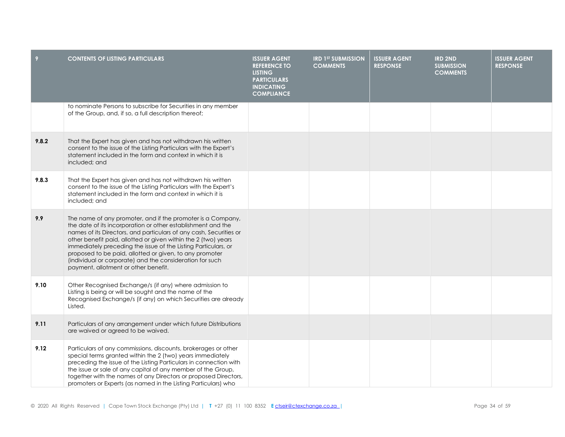| 9     | <b>CONTENTS OF LISTING PARTICULARS</b>                                                                                                                                                                                                                                                                                                                                                                                                                                                               | <b>ISSUER AGENT</b><br><b>REFERENCE TO</b><br><b>LISTING</b><br><b>PARTICULARS</b><br><b>INDICATING</b><br><b>COMPLIANCE</b> | <b>IRD 1ST SUBMISSION</b><br><b>COMMENTS</b> | <b>ISSUER AGENT</b><br><b>RESPONSE</b> | <b>IRD 2ND</b><br><b>SUBMISSION</b><br><b>COMMENTS</b> | <b>ISSUER AGENT</b><br><b>RESPONSE</b> |
|-------|------------------------------------------------------------------------------------------------------------------------------------------------------------------------------------------------------------------------------------------------------------------------------------------------------------------------------------------------------------------------------------------------------------------------------------------------------------------------------------------------------|------------------------------------------------------------------------------------------------------------------------------|----------------------------------------------|----------------------------------------|--------------------------------------------------------|----------------------------------------|
|       | to nominate Persons to subscribe for Securities in any member<br>of the Group, and, if so, a full description thereof;                                                                                                                                                                                                                                                                                                                                                                               |                                                                                                                              |                                              |                                        |                                                        |                                        |
| 9.8.2 | That the Expert has given and has not withdrawn his written<br>consent to the issue of the Listing Particulars with the Expert's<br>statement included in the form and context in which it is<br>included; and                                                                                                                                                                                                                                                                                       |                                                                                                                              |                                              |                                        |                                                        |                                        |
| 9.8.3 | That the Expert has given and has not withdrawn his written<br>consent to the issue of the Listing Particulars with the Expert's<br>statement included in the form and context in which it is<br>included; and                                                                                                                                                                                                                                                                                       |                                                                                                                              |                                              |                                        |                                                        |                                        |
| 9.9   | The name of any promoter, and if the promoter is a Company,<br>the date of its incorporation or other establishment and the<br>names of its Directors, and particulars of any cash, Securities or<br>other benefit paid, allotted or given within the 2 (two) years<br>immediately preceding the issue of the Listing Particulars, or<br>proposed to be paid, allotted or given, to any promoter<br>(individual or corporate) and the consideration for such<br>payment, allotment or other benefit. |                                                                                                                              |                                              |                                        |                                                        |                                        |
| 9.10  | Other Recognised Exchange/s (if any) where admission to<br>Listing is being or will be sought and the name of the<br>Recognised Exchange/s (if any) on which Securities are already<br>Listed.                                                                                                                                                                                                                                                                                                       |                                                                                                                              |                                              |                                        |                                                        |                                        |
| 9.11  | Particulars of any arrangement under which future Distributions<br>are waived or agreed to be waived.                                                                                                                                                                                                                                                                                                                                                                                                |                                                                                                                              |                                              |                                        |                                                        |                                        |
| 9.12  | Particulars of any commissions, discounts, brokerages or other<br>special terms granted within the 2 (two) years immediately<br>preceding the issue of the Listing Particulars in connection with<br>the issue or sale of any capital of any member of the Group,<br>together with the names of any Directors or proposed Directors,<br>promoters or Experts (as named in the Listing Particulars) who                                                                                               |                                                                                                                              |                                              |                                        |                                                        |                                        |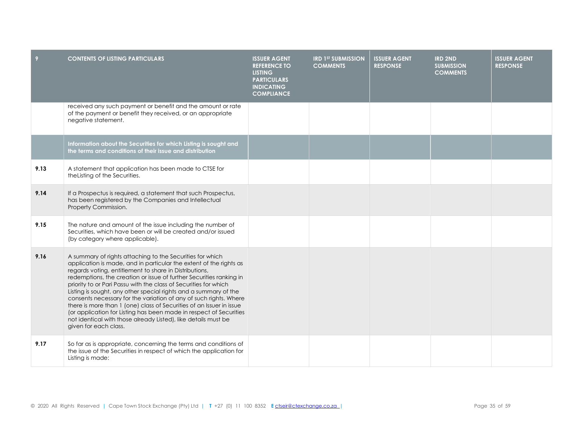| 9    | <b>CONTENTS OF LISTING PARTICULARS</b>                                                                                                                                                                                                                                                                                                                                                                                                                                                                                                                                                                                                                                                                                 | <b>ISSUER AGENT</b><br><b>REFERENCE TO</b><br><b>LISTING</b><br><b>PARTICULARS</b><br><b>INDICATING</b><br><b>COMPLIANCE</b> | <b>IRD 1ST SUBMISSION</b><br><b>COMMENTS</b> | <b>ISSUER AGENT</b><br><b>RESPONSE</b> | <b>IRD 2ND</b><br><b>SUBMISSION</b><br><b>COMMENTS</b> | <b>ISSUER AGENT</b><br><b>RESPONSE</b> |
|------|------------------------------------------------------------------------------------------------------------------------------------------------------------------------------------------------------------------------------------------------------------------------------------------------------------------------------------------------------------------------------------------------------------------------------------------------------------------------------------------------------------------------------------------------------------------------------------------------------------------------------------------------------------------------------------------------------------------------|------------------------------------------------------------------------------------------------------------------------------|----------------------------------------------|----------------------------------------|--------------------------------------------------------|----------------------------------------|
|      | received any such payment or benefit and the amount or rate<br>of the payment or benefit they received, or an appropriate<br>negative statement.                                                                                                                                                                                                                                                                                                                                                                                                                                                                                                                                                                       |                                                                                                                              |                                              |                                        |                                                        |                                        |
|      | Information about the Securities for which Listing is sought and<br>the terms and conditions of their issue and distribution                                                                                                                                                                                                                                                                                                                                                                                                                                                                                                                                                                                           |                                                                                                                              |                                              |                                        |                                                        |                                        |
| 9.13 | A statement that application has been made to CTSE for<br>the Listing of the Securities.                                                                                                                                                                                                                                                                                                                                                                                                                                                                                                                                                                                                                               |                                                                                                                              |                                              |                                        |                                                        |                                        |
| 9.14 | If a Prospectus is required, a statement that such Prospectus,<br>has been registered by the Companies and Intellectual<br>Property Commission.                                                                                                                                                                                                                                                                                                                                                                                                                                                                                                                                                                        |                                                                                                                              |                                              |                                        |                                                        |                                        |
| 9.15 | The nature and amount of the issue including the number of<br>Securities, which have been or will be created and/or issued<br>(by category where applicable).                                                                                                                                                                                                                                                                                                                                                                                                                                                                                                                                                          |                                                                                                                              |                                              |                                        |                                                        |                                        |
| 9.16 | A summary of rights attaching to the Securities for which<br>application is made, and in particular the extent of the rights as<br>regards voting, entitlement to share in Distributions,<br>redemptions, the creation or issue of further Securities ranking in<br>priority to or Pari Passu with the class of Securities for which<br>Listing is sought, any other special rights and a summary of the<br>consents necessary for the variation of any of such rights. Where<br>there is more than 1 (one) class of Securities of an Issuer in issue<br>(or application for Listing has been made in respect of Securities<br>not identical with those already Listed), like details must be<br>given for each class. |                                                                                                                              |                                              |                                        |                                                        |                                        |
| 9.17 | So far as is appropriate, concerning the terms and conditions of<br>the issue of the Securities in respect of which the application for<br>Listing is made:                                                                                                                                                                                                                                                                                                                                                                                                                                                                                                                                                            |                                                                                                                              |                                              |                                        |                                                        |                                        |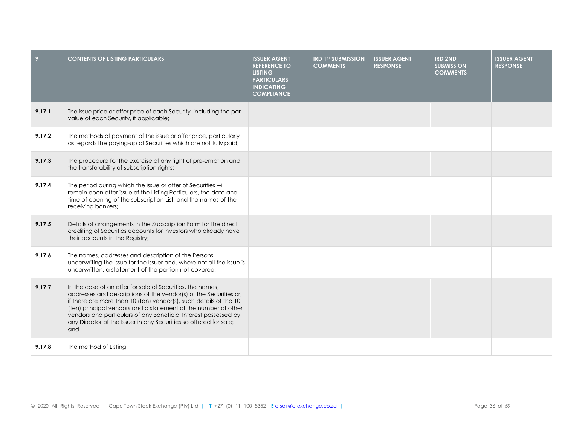| 9      | <b>CONTENTS OF LISTING PARTICULARS</b>                                                                                                                                                                                                                                                                                                                                                                                | <b>ISSUER AGENT</b><br><b>REFERENCE TO</b><br><b>LISTING</b><br><b>PARTICULARS</b><br><b>INDICATING</b><br><b>COMPLIANCE</b> | <b>IRD 1ST SUBMISSION</b><br><b>COMMENTS</b> | <b>ISSUER AGENT</b><br><b>RESPONSE</b> | <b>IRD 2ND</b><br><b>SUBMISSION</b><br><b>COMMENTS</b> | <b>ISSUER AGENT</b><br><b>RESPONSE</b> |
|--------|-----------------------------------------------------------------------------------------------------------------------------------------------------------------------------------------------------------------------------------------------------------------------------------------------------------------------------------------------------------------------------------------------------------------------|------------------------------------------------------------------------------------------------------------------------------|----------------------------------------------|----------------------------------------|--------------------------------------------------------|----------------------------------------|
| 9.17.1 | The issue price or offer price of each Security, including the par<br>value of each Security, if applicable;                                                                                                                                                                                                                                                                                                          |                                                                                                                              |                                              |                                        |                                                        |                                        |
| 9.17.2 | The methods of payment of the issue or offer price, particularly<br>as regards the paying-up of Securities which are not fully paid;                                                                                                                                                                                                                                                                                  |                                                                                                                              |                                              |                                        |                                                        |                                        |
| 9.17.3 | The procedure for the exercise of any right of pre-emption and<br>the transferability of subscription rights;                                                                                                                                                                                                                                                                                                         |                                                                                                                              |                                              |                                        |                                                        |                                        |
| 9.17.4 | The period during which the issue or offer of Securities will<br>remain open after issue of the Listing Particulars, the date and<br>time of opening of the subscription List, and the names of the<br>receiving bankers;                                                                                                                                                                                             |                                                                                                                              |                                              |                                        |                                                        |                                        |
| 9.17.5 | Details of arrangements in the Subscription Form for the direct<br>crediting of Securities accounts for investors who already have<br>their accounts in the Registry;                                                                                                                                                                                                                                                 |                                                                                                                              |                                              |                                        |                                                        |                                        |
| 9.17.6 | The names, addresses and description of the Persons<br>underwriting the issue for the Issuer and, where not all the issue is<br>underwritten, a statement of the portion not covered;                                                                                                                                                                                                                                 |                                                                                                                              |                                              |                                        |                                                        |                                        |
| 9.17.7 | In the case of an offer for sale of Securities, the names,<br>addresses and descriptions of the vendor(s) of the Securities or,<br>if there are more than 10 (ten) vendor(s), such details of the 10<br>(ten) principal vendors and a statement of the number of other<br>vendors and particulars of any Beneficial Interest possessed by<br>any Director of the Issuer in any Securities so offered for sale;<br>and |                                                                                                                              |                                              |                                        |                                                        |                                        |
| 9.17.8 | The method of Listing.                                                                                                                                                                                                                                                                                                                                                                                                |                                                                                                                              |                                              |                                        |                                                        |                                        |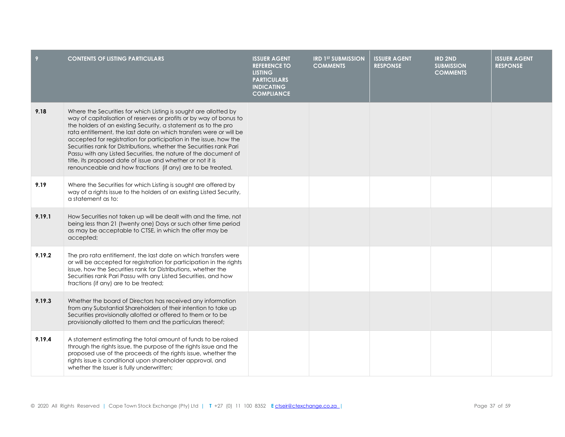| 9      | <b>CONTENTS OF LISTING PARTICULARS</b>                                                                                                                                                                                                                                                                                                                                                                                                                                                                                                                                                                                    | <b>ISSUER AGENT</b><br><b>REFERENCE TO</b><br><b>LISTING</b><br><b>PARTICULARS</b><br><b>INDICATING</b><br><b>COMPLIANCE</b> | <b>IRD 1ST SUBMISSION</b><br><b>COMMENTS</b> | <b>ISSUER AGENT</b><br><b>RESPONSE</b> | <b>IRD 2ND</b><br><b>SUBMISSION</b><br><b>COMMENTS</b> | <b>ISSUER AGENT</b><br><b>RESPONSE</b> |
|--------|---------------------------------------------------------------------------------------------------------------------------------------------------------------------------------------------------------------------------------------------------------------------------------------------------------------------------------------------------------------------------------------------------------------------------------------------------------------------------------------------------------------------------------------------------------------------------------------------------------------------------|------------------------------------------------------------------------------------------------------------------------------|----------------------------------------------|----------------------------------------|--------------------------------------------------------|----------------------------------------|
| 9.18   | Where the Securities for which Listing is sought are allotted by<br>way of capitalisation of reserves or profits or by way of bonus to<br>the holders of an existing Security, a statement as to the pro<br>rata entitlement, the last date on which transfers were or will be<br>accepted for registration for participation in the issue, how the<br>Securities rank for Distributions, whether the Securities rank Pari<br>Passu with any Listed Securities, the nature of the document of<br>title, its proposed date of issue and whether or not it is<br>renounceable and how fractions (if any) are to be treated. |                                                                                                                              |                                              |                                        |                                                        |                                        |
| 9.19   | Where the Securities for which Listing is sought are offered by<br>way of a rights issue to the holders of an existing Listed Security,<br>a statement as to:                                                                                                                                                                                                                                                                                                                                                                                                                                                             |                                                                                                                              |                                              |                                        |                                                        |                                        |
| 9.19.1 | How Securities not taken up will be dealt with and the time, not<br>being less than 21 (twenty one) Days or such other time period<br>as may be acceptable to CTSE, in which the offer may be<br>accepted;                                                                                                                                                                                                                                                                                                                                                                                                                |                                                                                                                              |                                              |                                        |                                                        |                                        |
| 9.19.2 | The pro rata entitlement, the last date on which transfers were<br>or will be accepted for registration for participation in the rights<br>issue, how the Securities rank for Distributions, whether the<br>Securities rank Pari Passu with any Listed Securities, and how<br>fractions (if any) are to be treated;                                                                                                                                                                                                                                                                                                       |                                                                                                                              |                                              |                                        |                                                        |                                        |
| 9.19.3 | Whether the board of Directors has received any information<br>from any Substantial Shareholders of their intention to take up<br>Securities provisionally allotted or offered to them or to be<br>provisionally allotted to them and the particulars thereof;                                                                                                                                                                                                                                                                                                                                                            |                                                                                                                              |                                              |                                        |                                                        |                                        |
| 9.19.4 | A statement estimating the total amount of funds to be raised<br>through the rights issue, the purpose of the rights issue and the<br>proposed use of the proceeds of the rights issue, whether the<br>rights issue is conditional upon shareholder approval, and<br>whether the Issuer is fully underwritten;                                                                                                                                                                                                                                                                                                            |                                                                                                                              |                                              |                                        |                                                        |                                        |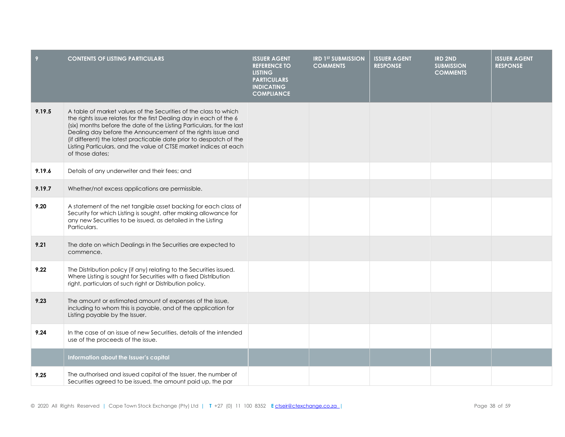| 9      | <b>CONTENTS OF LISTING PARTICULARS</b>                                                                                                                                                                                                                                                                                                                                                                                                         | <b>ISSUER AGENT</b><br><b>REFERENCE TO</b><br><b>LISTING</b><br><b>PARTICULARS</b><br><b>INDICATING</b><br><b>COMPLIANCE</b> | <b>IRD 1ST SUBMISSION</b><br><b>COMMENTS</b> | <b>ISSUER AGENT</b><br><b>RESPONSE</b> | <b>IRD 2ND</b><br><b>SUBMISSION</b><br><b>COMMENTS</b> | <b>ISSUER AGENT</b><br><b>RESPONSE</b> |
|--------|------------------------------------------------------------------------------------------------------------------------------------------------------------------------------------------------------------------------------------------------------------------------------------------------------------------------------------------------------------------------------------------------------------------------------------------------|------------------------------------------------------------------------------------------------------------------------------|----------------------------------------------|----------------------------------------|--------------------------------------------------------|----------------------------------------|
| 9.19.5 | A table of market values of the Securities of the class to which<br>the rights issue relates for the first Dealing day in each of the 6<br>(six) months before the date of the Listing Particulars, for the last<br>Dealing day before the Announcement of the rights issue and<br>(if different) the latest practicable date prior to despatch of the<br>Listing Particulars, and the value of CTSE market indices at each<br>of those dates; |                                                                                                                              |                                              |                                        |                                                        |                                        |
| 9.19.6 | Details of any underwriter and their fees; and                                                                                                                                                                                                                                                                                                                                                                                                 |                                                                                                                              |                                              |                                        |                                                        |                                        |
| 9.19.7 | Whether/not excess applications are permissible.                                                                                                                                                                                                                                                                                                                                                                                               |                                                                                                                              |                                              |                                        |                                                        |                                        |
| 9.20   | A statement of the net tangible asset backing for each class of<br>Security for which Listing is sought, after making allowance for<br>any new Securities to be issued, as detailed in the Listing<br>Particulars.                                                                                                                                                                                                                             |                                                                                                                              |                                              |                                        |                                                        |                                        |
| 9.21   | The date on which Dealings in the Securities are expected to<br>commence.                                                                                                                                                                                                                                                                                                                                                                      |                                                                                                                              |                                              |                                        |                                                        |                                        |
| 9.22   | The Distribution policy (if any) relating to the Securities issued.<br>Where Listing is sought for Securities with a fixed Distribution<br>right, particulars of such right or Distribution policy.                                                                                                                                                                                                                                            |                                                                                                                              |                                              |                                        |                                                        |                                        |
| 9.23   | The amount or estimated amount of expenses of the issue,<br>including to whom this is payable, and of the application for<br>Listing payable by the Issuer.                                                                                                                                                                                                                                                                                    |                                                                                                                              |                                              |                                        |                                                        |                                        |
| 9.24   | In the case of an issue of new Securities, details of the intended<br>use of the proceeds of the issue.                                                                                                                                                                                                                                                                                                                                        |                                                                                                                              |                                              |                                        |                                                        |                                        |
|        | Information about the Issuer's capital                                                                                                                                                                                                                                                                                                                                                                                                         |                                                                                                                              |                                              |                                        |                                                        |                                        |
| 9.25   | The authorised and issued capital of the Issuer, the number of<br>Securities agreed to be issued, the amount paid up, the par                                                                                                                                                                                                                                                                                                                  |                                                                                                                              |                                              |                                        |                                                        |                                        |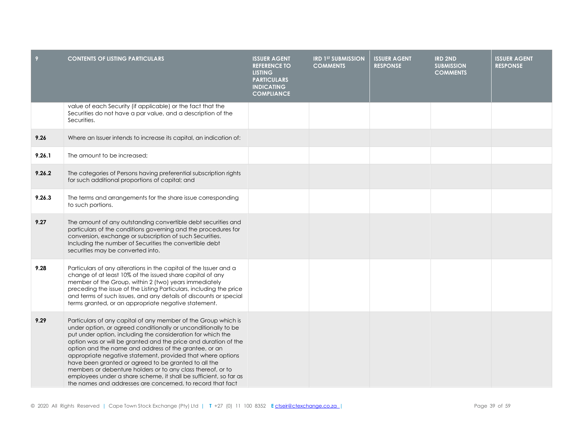| 9      | <b>CONTENTS OF LISTING PARTICULARS</b>                                                                                                                                                                                                                                                                                                                                                                                                                                                                                                                                                                                                               | <b>ISSUER AGENT</b><br><b>REFERENCE TO</b><br><b>LISTING</b><br><b>PARTICULARS</b><br><b>INDICATING</b><br><b>COMPLIANCE</b> | <b>IRD 1ST SUBMISSION</b><br><b>COMMENTS</b> | <b>ISSUER AGENT</b><br><b>RESPONSE</b> | <b>IRD 2ND</b><br><b>SUBMISSION</b><br><b>COMMENTS</b> | <b>ISSUER AGENT</b><br><b>RESPONSE</b> |
|--------|------------------------------------------------------------------------------------------------------------------------------------------------------------------------------------------------------------------------------------------------------------------------------------------------------------------------------------------------------------------------------------------------------------------------------------------------------------------------------------------------------------------------------------------------------------------------------------------------------------------------------------------------------|------------------------------------------------------------------------------------------------------------------------------|----------------------------------------------|----------------------------------------|--------------------------------------------------------|----------------------------------------|
|        | value of each Security (if applicable) or the fact that the<br>Securities do not have a par value, and a description of the<br>Securities.                                                                                                                                                                                                                                                                                                                                                                                                                                                                                                           |                                                                                                                              |                                              |                                        |                                                        |                                        |
| 9.26   | Where an Issuer intends to increase its capital, an indication of:                                                                                                                                                                                                                                                                                                                                                                                                                                                                                                                                                                                   |                                                                                                                              |                                              |                                        |                                                        |                                        |
| 9.26.1 | The amount to be increased;                                                                                                                                                                                                                                                                                                                                                                                                                                                                                                                                                                                                                          |                                                                                                                              |                                              |                                        |                                                        |                                        |
| 9.26.2 | The categories of Persons having preferential subscription rights<br>for such additional proportions of capital; and                                                                                                                                                                                                                                                                                                                                                                                                                                                                                                                                 |                                                                                                                              |                                              |                                        |                                                        |                                        |
| 9.26.3 | The terms and arrangements for the share issue corresponding<br>to such portions.                                                                                                                                                                                                                                                                                                                                                                                                                                                                                                                                                                    |                                                                                                                              |                                              |                                        |                                                        |                                        |
| 9.27   | The amount of any outstanding convertible debt securities and<br>particulars of the conditions governing and the procedures for<br>conversion, exchange or subscription of such Securities.<br>Including the number of Securities the convertible debt<br>securities may be converted into.                                                                                                                                                                                                                                                                                                                                                          |                                                                                                                              |                                              |                                        |                                                        |                                        |
| 9.28   | Particulars of any alterations in the capital of the Issuer and a<br>change of at least 10% of the issued share capital of any<br>member of the Group, within 2 (two) years immediately<br>preceding the issue of the Listing Particulars, including the price<br>and terms of such issues, and any details of discounts or special<br>terms granted, or an appropriate negative statement.                                                                                                                                                                                                                                                          |                                                                                                                              |                                              |                                        |                                                        |                                        |
| 9.29   | Particulars of any capital of any member of the Group which is<br>under option, or agreed conditionally or unconditionally to be<br>put under option, including the consideration for which the<br>option was or will be granted and the price and duration of the<br>option and the name and address of the grantee, or an<br>appropriate negative statement, provided that where options<br>have been granted or agreed to be granted to all the<br>members or debenture holders or to any class thereof, or to<br>employees under a share scheme, it shall be sufficient, so far as<br>the names and addresses are concerned, to record that fact |                                                                                                                              |                                              |                                        |                                                        |                                        |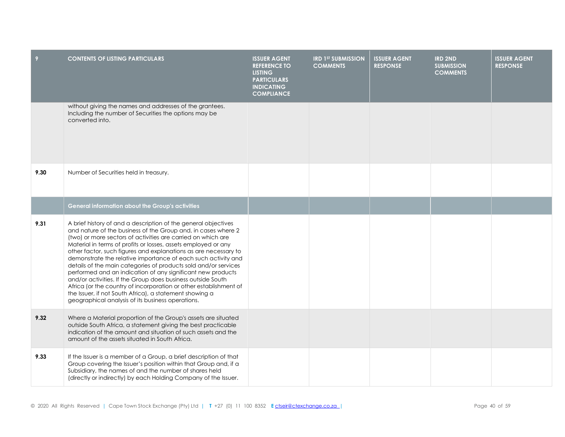| 9    | <b>CONTENTS OF LISTING PARTICULARS</b>                                                                                                                                                                                                                                                                                                                                                                                                                                                                                                                                                                                                                                                                                                                                                      | <b>ISSUER AGENT</b><br><b>REFERENCE TO</b><br><b>LISTING</b><br><b>PARTICULARS</b><br><b>INDICATING</b><br><b>COMPLIANCE</b> | <b>IRD 1ST SUBMISSION</b><br><b>COMMENTS</b> | <b>ISSUER AGENT</b><br><b>RESPONSE</b> | <b>IRD 2ND</b><br><b>SUBMISSION</b><br><b>COMMENTS</b> | <b>ISSUER AGENT</b><br><b>RESPONSE</b> |
|------|---------------------------------------------------------------------------------------------------------------------------------------------------------------------------------------------------------------------------------------------------------------------------------------------------------------------------------------------------------------------------------------------------------------------------------------------------------------------------------------------------------------------------------------------------------------------------------------------------------------------------------------------------------------------------------------------------------------------------------------------------------------------------------------------|------------------------------------------------------------------------------------------------------------------------------|----------------------------------------------|----------------------------------------|--------------------------------------------------------|----------------------------------------|
|      | without giving the names and addresses of the grantees.<br>Including the number of Securities the options may be<br>converted into.                                                                                                                                                                                                                                                                                                                                                                                                                                                                                                                                                                                                                                                         |                                                                                                                              |                                              |                                        |                                                        |                                        |
| 9.30 | Number of Securities held in treasury.                                                                                                                                                                                                                                                                                                                                                                                                                                                                                                                                                                                                                                                                                                                                                      |                                                                                                                              |                                              |                                        |                                                        |                                        |
|      | General information about the Group's activities                                                                                                                                                                                                                                                                                                                                                                                                                                                                                                                                                                                                                                                                                                                                            |                                                                                                                              |                                              |                                        |                                                        |                                        |
| 9.31 | A brief history of and a description of the general objectives<br>and nature of the business of the Group and, in cases where 2<br>(two) or more sectors of activities are carried on which are<br>Material in terms of profits or losses, assets employed or any<br>other factor, such figures and explanations as are necessary to<br>demonstrate the relative importance of each such activity and<br>details of the main categories of products sold and/or services<br>performed and an indication of any significant new products<br>and/or activities. If the Group does business outside South<br>Africa (or the country of incorporation or other establishment of<br>the Issuer, if not South Africa), a statement showing a<br>geographical analysis of its business operations. |                                                                                                                              |                                              |                                        |                                                        |                                        |
| 9.32 | Where a Material proportion of the Group's assets are situated<br>outside South Africa, a statement giving the best practicable<br>indication of the amount and situation of such assets and the<br>amount of the assets situated in South Africa.                                                                                                                                                                                                                                                                                                                                                                                                                                                                                                                                          |                                                                                                                              |                                              |                                        |                                                        |                                        |
| 9.33 | If the Issuer is a member of a Group, a brief description of that<br>Group covering the Issuer's position within that Group and, if a<br>Subsidiary, the names of and the number of shares held<br>(directly or indirectly) by each Holding Company of the Issuer.                                                                                                                                                                                                                                                                                                                                                                                                                                                                                                                          |                                                                                                                              |                                              |                                        |                                                        |                                        |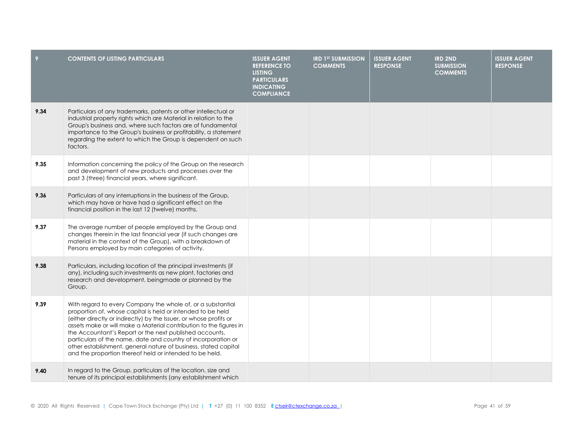| 9    | <b>CONTENTS OF LISTING PARTICULARS</b>                                                                                                                                                                                                                                                                                                                                                                                                                                                                                           | <b>ISSUER AGENT</b><br><b>REFERENCE TO</b><br><b>LISTING</b><br><b>PARTICULARS</b><br><b>INDICATING</b><br><b>COMPLIANCE</b> | <b>IRD 1ST SUBMISSION</b><br><b>COMMENTS</b> | <b>ISSUER AGENT</b><br><b>RESPONSE</b> | <b>IRD 2ND</b><br><b>SUBMISSION</b><br><b>COMMENTS</b> | <b>ISSUER AGENT</b><br><b>RESPONSE</b> |
|------|----------------------------------------------------------------------------------------------------------------------------------------------------------------------------------------------------------------------------------------------------------------------------------------------------------------------------------------------------------------------------------------------------------------------------------------------------------------------------------------------------------------------------------|------------------------------------------------------------------------------------------------------------------------------|----------------------------------------------|----------------------------------------|--------------------------------------------------------|----------------------------------------|
| 9.34 | Particulars of any trademarks, patents or other intellectual or<br>industrial property rights which are Material in relation to the<br>Group's business and, where such factors are of fundamental<br>importance to the Group's business or profitability, a statement<br>regarding the extent to which the Group is dependent on such<br>factors.                                                                                                                                                                               |                                                                                                                              |                                              |                                        |                                                        |                                        |
| 9.35 | Information concerning the policy of the Group on the research<br>and development of new products and processes over the<br>past 3 (three) financial years, where significant.                                                                                                                                                                                                                                                                                                                                                   |                                                                                                                              |                                              |                                        |                                                        |                                        |
| 9.36 | Particulars of any interruptions in the business of the Group,<br>which may have or have had a significant effect on the<br>financial position in the last 12 (twelve) months.                                                                                                                                                                                                                                                                                                                                                   |                                                                                                                              |                                              |                                        |                                                        |                                        |
| 9.37 | The average number of people employed by the Group and<br>changes therein in the last financial year (if such changes are<br>material in the context of the Group), with a breakdown of<br>Persons employed by main categories of activity.                                                                                                                                                                                                                                                                                      |                                                                                                                              |                                              |                                        |                                                        |                                        |
| 9.38 | Particulars, including location of the principal investments (if<br>any), including such investments as new plant, factories and<br>research and development, beingmade or planned by the<br>Group.                                                                                                                                                                                                                                                                                                                              |                                                                                                                              |                                              |                                        |                                                        |                                        |
| 9.39 | With regard to every Company the whole of, or a substantial<br>proportion of, whose capital is held or intended to be held<br>(either directly or indirectly) by the Issuer, or whose profits or<br>assets make or will make a Material contribution to the figures in<br>the Accountant's Report or the next published accounts,<br>particulars of the name, date and country of incorporation or<br>other establishment, general nature of business, stated capital<br>and the proportion thereof held or intended to be held. |                                                                                                                              |                                              |                                        |                                                        |                                        |
| 9.40 | In regard to the Group, particulars of the location, size and<br>tenure of its principal establishments (any establishment which                                                                                                                                                                                                                                                                                                                                                                                                 |                                                                                                                              |                                              |                                        |                                                        |                                        |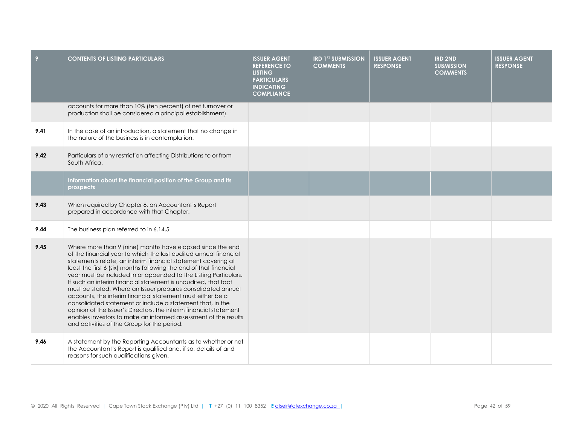| 9    | <b>CONTENTS OF LISTING PARTICULARS</b>                                                                                                                                                                                                                                                                                                                                                                                                                                                                                                                                                                                                                                                                                                                                                          | <b>ISSUER AGENT</b><br><b>REFERENCE TO</b><br><b>LISTING</b><br><b>PARTICULARS</b><br><b>INDICATING</b><br><b>COMPLIANCE</b> | <b>IRD 1ST SUBMISSION</b><br><b>COMMENTS</b> | <b>ISSUER AGENT</b><br><b>RESPONSE</b> | <b>IRD 2ND</b><br><b>SUBMISSION</b><br><b>COMMENTS</b> | <b>ISSUER AGENT</b><br><b>RESPONSE</b> |
|------|-------------------------------------------------------------------------------------------------------------------------------------------------------------------------------------------------------------------------------------------------------------------------------------------------------------------------------------------------------------------------------------------------------------------------------------------------------------------------------------------------------------------------------------------------------------------------------------------------------------------------------------------------------------------------------------------------------------------------------------------------------------------------------------------------|------------------------------------------------------------------------------------------------------------------------------|----------------------------------------------|----------------------------------------|--------------------------------------------------------|----------------------------------------|
|      | accounts for more than 10% (ten percent) of net turnover or<br>production shall be considered a principal establishment).                                                                                                                                                                                                                                                                                                                                                                                                                                                                                                                                                                                                                                                                       |                                                                                                                              |                                              |                                        |                                                        |                                        |
| 9.41 | In the case of an introduction, a statement that no change in<br>the nature of the business is in contemplation.                                                                                                                                                                                                                                                                                                                                                                                                                                                                                                                                                                                                                                                                                |                                                                                                                              |                                              |                                        |                                                        |                                        |
| 9.42 | Particulars of any restriction affecting Distributions to or from<br>South Africa.                                                                                                                                                                                                                                                                                                                                                                                                                                                                                                                                                                                                                                                                                                              |                                                                                                                              |                                              |                                        |                                                        |                                        |
|      | Information about the financial position of the Group and its<br>prospects                                                                                                                                                                                                                                                                                                                                                                                                                                                                                                                                                                                                                                                                                                                      |                                                                                                                              |                                              |                                        |                                                        |                                        |
| 9.43 | When required by Chapter 8, an Accountant's Report<br>prepared in accordance with that Chapter.                                                                                                                                                                                                                                                                                                                                                                                                                                                                                                                                                                                                                                                                                                 |                                                                                                                              |                                              |                                        |                                                        |                                        |
| 9.44 | The business plan referred to in 6.14.5                                                                                                                                                                                                                                                                                                                                                                                                                                                                                                                                                                                                                                                                                                                                                         |                                                                                                                              |                                              |                                        |                                                        |                                        |
| 9.45 | Where more than 9 (nine) months have elapsed since the end<br>of the financial year to which the last audited annual financial<br>statements relate, an interim financial statement covering at<br>least the first 6 (six) months following the end of that financial<br>year must be included in or appended to the Listing Particulars.<br>If such an interim financial statement is unaudited, that fact<br>must be stated. Where an Issuer prepares consolidated annual<br>accounts, the interim financial statement must either be a<br>consolidated statement or include a statement that, in the<br>opinion of the Issuer's Directors, the interim financial statement<br>enables investors to make an informed assessment of the results<br>and activities of the Group for the period. |                                                                                                                              |                                              |                                        |                                                        |                                        |
| 9.46 | A statement by the Reporting Accountants as to whether or not<br>the Accountant's Report is qualified and, if so, details of and<br>reasons for such qualifications given.                                                                                                                                                                                                                                                                                                                                                                                                                                                                                                                                                                                                                      |                                                                                                                              |                                              |                                        |                                                        |                                        |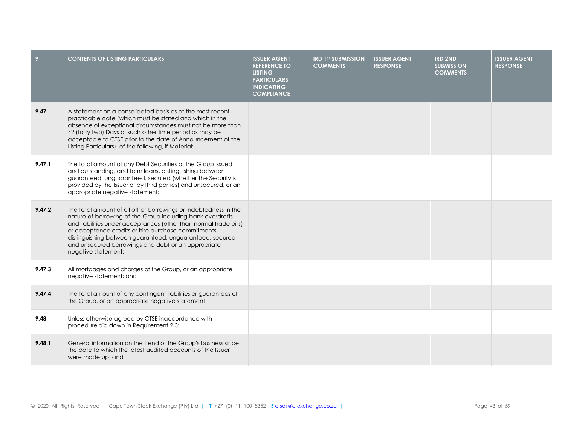| 9      | <b>CONTENTS OF LISTING PARTICULARS</b>                                                                                                                                                                                                                                                                                                                                                              | <b>ISSUER AGENT</b><br><b>REFERENCE TO</b><br><b>LISTING</b><br><b>PARTICULARS</b><br><b>INDICATING</b><br><b>COMPLIANCE</b> | <b>IRD 1ST SUBMISSION</b><br><b>COMMENTS</b> | <b>ISSUER AGENT</b><br><b>RESPONSE</b> | <b>IRD 2ND</b><br><b>SUBMISSION</b><br><b>COMMENTS</b> | <b>ISSUER AGENT</b><br><b>RESPONSE</b> |
|--------|-----------------------------------------------------------------------------------------------------------------------------------------------------------------------------------------------------------------------------------------------------------------------------------------------------------------------------------------------------------------------------------------------------|------------------------------------------------------------------------------------------------------------------------------|----------------------------------------------|----------------------------------------|--------------------------------------------------------|----------------------------------------|
| 9.47   | A statement on a consolidated basis as at the most recent<br>practicable date (which must be stated and which in the<br>absence of exceptional circumstances must not be more than<br>42 (forty two) Days or such other time period as may be<br>acceptable to CTSE prior to the date of Announcement of the<br>Listing Particulars) of the following, if Material:                                 |                                                                                                                              |                                              |                                        |                                                        |                                        |
| 9.47.1 | The total amount of any Debt Securities of the Group issued<br>and outstanding, and term loans, distinguishing between<br>guaranteed, unguaranteed, secured (whether the Security is<br>provided by the Issuer or by third parties) and unsecured, or an<br>appropriate negative statement;                                                                                                         |                                                                                                                              |                                              |                                        |                                                        |                                        |
| 9.47.2 | The total amount of all other borrowings or indebtedness in the<br>nature of borrowing of the Group including bank overdrafts<br>and liabilities under acceptances (other than normal trade bills)<br>or acceptance credits or hire purchase commitments,<br>distinguishing between guaranteed, unguaranteed, secured<br>and unsecured borrowings and debt or an appropriate<br>negative statement; |                                                                                                                              |                                              |                                        |                                                        |                                        |
| 9.47.3 | All mortgages and charges of the Group, or an appropriate<br>negative statement; and                                                                                                                                                                                                                                                                                                                |                                                                                                                              |                                              |                                        |                                                        |                                        |
| 9.47.4 | The total amount of any contingent liabilities or guarantees of<br>the Group, or an appropriate negative statement.                                                                                                                                                                                                                                                                                 |                                                                                                                              |                                              |                                        |                                                        |                                        |
| 9.48   | Unless otherwise agreed by CTSE inaccordance with<br>procedurelaid down in Requirement 2.3:                                                                                                                                                                                                                                                                                                         |                                                                                                                              |                                              |                                        |                                                        |                                        |
| 9.48.1 | General information on the trend of the Group's business since<br>the date to which the latest audited accounts of the Issuer<br>were made up; and                                                                                                                                                                                                                                                  |                                                                                                                              |                                              |                                        |                                                        |                                        |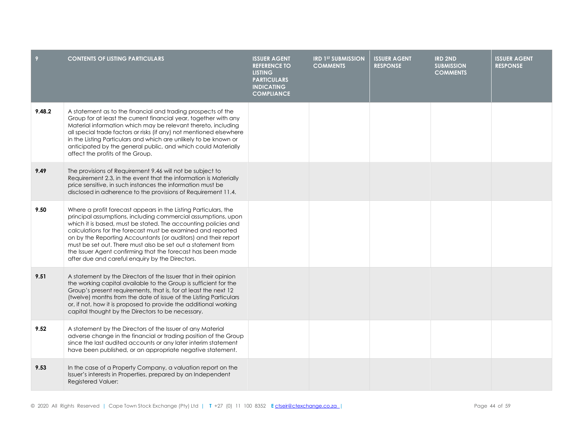|        | <b>CONTENTS OF LISTING PARTICULARS</b>                                                                                                                                                                                                                                                                                                                                                                                                                                                                                | <b>ISSUER AGENT</b><br><b>REFERENCE TO</b><br><b>LISTING</b><br><b>PARTICULARS</b><br><b>INDICATING</b><br><b>COMPLIANCE</b> | <b>IRD 1ST SUBMISSION</b><br><b>COMMENTS</b> | <b>ISSUER AGENT</b><br><b>RESPONSE</b> | <b>IRD 2ND</b><br><b>SUBMISSION</b><br><b>COMMENTS</b> | <b>ISSUER AGENT</b><br><b>RESPONSE</b> |
|--------|-----------------------------------------------------------------------------------------------------------------------------------------------------------------------------------------------------------------------------------------------------------------------------------------------------------------------------------------------------------------------------------------------------------------------------------------------------------------------------------------------------------------------|------------------------------------------------------------------------------------------------------------------------------|----------------------------------------------|----------------------------------------|--------------------------------------------------------|----------------------------------------|
| 9.48.2 | A statement as to the financial and trading prospects of the<br>Group for at least the current financial year, together with any<br>Material information which may be relevant thereto, including<br>all special trade factors or risks (if any) not mentioned elsewhere<br>in the Listing Particulars and which are unlikely to be known or<br>anticipated by the general public, and which could Materially<br>affect the profits of the Group.                                                                     |                                                                                                                              |                                              |                                        |                                                        |                                        |
| 9.49   | The provisions of Requirement 9.46 will not be subject to<br>Requirement 2.3, in the event that the information is Materially<br>price sensitive, in such instances the information must be<br>disclosed in adherence to the provisions of Requirement 11.4.                                                                                                                                                                                                                                                          |                                                                                                                              |                                              |                                        |                                                        |                                        |
| 9.50   | Where a profit forecast appears in the Listing Particulars, the<br>principal assumptions, including commercial assumptions, upon<br>which it is based, must be stated. The accounting policies and<br>calculations for the forecast must be examined and reported<br>on by the Reporting Accountants (or auditors) and their report<br>must be set out. There must also be set out a statement from<br>the Issuer Agent confirming that the forecast has been made<br>after due and careful enquiry by the Directors. |                                                                                                                              |                                              |                                        |                                                        |                                        |
| 9.51   | A statement by the Directors of the Issuer that in their opinion<br>the working capital available to the Group is sufficient for the<br>Group's present requirements, that is, for at least the next 12<br>(twelve) months from the date of issue of the Listing Particulars<br>or, if not, how it is proposed to provide the additional working<br>capital thought by the Directors to be necessary.                                                                                                                 |                                                                                                                              |                                              |                                        |                                                        |                                        |
| 9.52   | A statement by the Directors of the Issuer of any Material<br>adverse change in the financial or trading position of the Group<br>since the last audited accounts or any later interim statement<br>have been published, or an appropriate negative statement.                                                                                                                                                                                                                                                        |                                                                                                                              |                                              |                                        |                                                        |                                        |
| 9.53   | In the case of a Property Company, a valuation report on the<br>Issuer's interests in Properties, prepared by an Independent<br><b>Registered Valuer:</b>                                                                                                                                                                                                                                                                                                                                                             |                                                                                                                              |                                              |                                        |                                                        |                                        |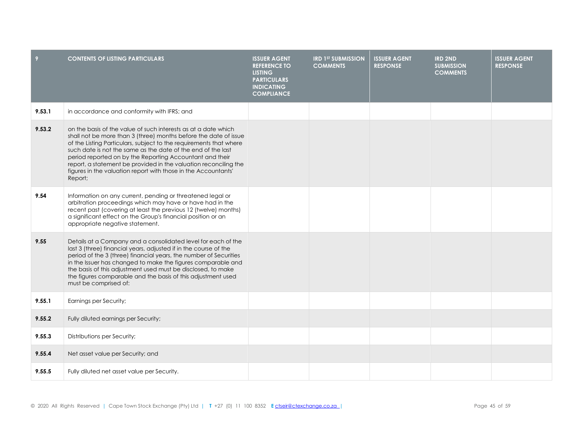| 9      | <b>CONTENTS OF LISTING PARTICULARS</b>                                                                                                                                                                                                                                                                                                                                                                                                                                                | <b>ISSUER AGENT</b><br><b>REFERENCE TO</b><br><b>LISTING</b><br><b>PARTICULARS</b><br><b>INDICATING</b><br><b>COMPLIANCE</b> | <b>IRD 1ST SUBMISSION</b><br><b>COMMENTS</b> | <b>ISSUER AGENT</b><br><b>RESPONSE</b> | <b>IRD 2ND</b><br><b>SUBMISSION</b><br><b>COMMENTS</b> | <b>ISSUER AGENT</b><br><b>RESPONSE</b> |
|--------|---------------------------------------------------------------------------------------------------------------------------------------------------------------------------------------------------------------------------------------------------------------------------------------------------------------------------------------------------------------------------------------------------------------------------------------------------------------------------------------|------------------------------------------------------------------------------------------------------------------------------|----------------------------------------------|----------------------------------------|--------------------------------------------------------|----------------------------------------|
| 9.53.1 | in accordance and conformity with IFRS; and                                                                                                                                                                                                                                                                                                                                                                                                                                           |                                                                                                                              |                                              |                                        |                                                        |                                        |
| 9.53.2 | on the basis of the value of such interests as at a date which<br>shall not be more than 3 (three) months before the date of issue<br>of the Listing Particulars, subject to the requirements that where<br>such date is not the same as the date of the end of the last<br>period reported on by the Reporting Accountant and their<br>report, a statement be provided in the valuation reconciling the<br>figures in the valuation report with those in the Accountants'<br>Report; |                                                                                                                              |                                              |                                        |                                                        |                                        |
| 9.54   | Information on any current, pending or threatened legal or<br>arbitration proceedings which may have or have had in the<br>recent past (covering at least the previous 12 (twelve) months)<br>a significant effect on the Group's financial position or an<br>appropriate negative statement.                                                                                                                                                                                         |                                                                                                                              |                                              |                                        |                                                        |                                        |
| 9.55   | Details at a Company and a consolidated level for each of the<br>last 3 (three) financial years, adjusted if in the course of the<br>period of the 3 (three) financial years, the number of Securities<br>in the Issuer has changed to make the figures comparable and<br>the basis of this adjustment used must be disclosed, to make<br>the figures comparable and the basis of this adjustment used<br>must be comprised of:                                                       |                                                                                                                              |                                              |                                        |                                                        |                                        |
| 9.55.1 | Earnings per Security;                                                                                                                                                                                                                                                                                                                                                                                                                                                                |                                                                                                                              |                                              |                                        |                                                        |                                        |
| 9.55.2 | Fully diluted earnings per Security;                                                                                                                                                                                                                                                                                                                                                                                                                                                  |                                                                                                                              |                                              |                                        |                                                        |                                        |
| 9.55.3 | Distributions per Security;                                                                                                                                                                                                                                                                                                                                                                                                                                                           |                                                                                                                              |                                              |                                        |                                                        |                                        |
| 9.55.4 | Net asset value per Security; and                                                                                                                                                                                                                                                                                                                                                                                                                                                     |                                                                                                                              |                                              |                                        |                                                        |                                        |
| 9.55.5 | Fully diluted net asset value per Security.                                                                                                                                                                                                                                                                                                                                                                                                                                           |                                                                                                                              |                                              |                                        |                                                        |                                        |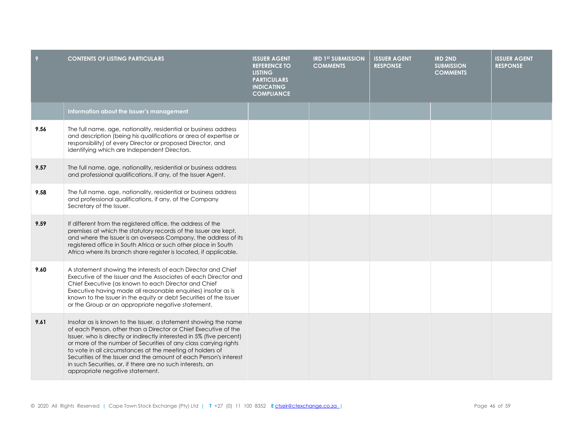| 9    | <b>CONTENTS OF LISTING PARTICULARS</b>                                                                                                                                                                                                                                                                                                                                                                                                                                                                             | <b>ISSUER AGENT</b><br><b>REFERENCE TO</b><br><b>LISTING</b><br><b>PARTICULARS</b><br><b>INDICATING</b><br><b>COMPLIANCE</b> | <b>IRD 1ST SUBMISSION</b><br><b>COMMENTS</b> | <b>ISSUER AGENT</b><br><b>RESPONSE</b> | <b>IRD 2ND</b><br><b>SUBMISSION</b><br><b>COMMENTS</b> | <b>ISSUER AGENT</b><br><b>RESPONSE</b> |
|------|--------------------------------------------------------------------------------------------------------------------------------------------------------------------------------------------------------------------------------------------------------------------------------------------------------------------------------------------------------------------------------------------------------------------------------------------------------------------------------------------------------------------|------------------------------------------------------------------------------------------------------------------------------|----------------------------------------------|----------------------------------------|--------------------------------------------------------|----------------------------------------|
|      | Information about the Issuer's management                                                                                                                                                                                                                                                                                                                                                                                                                                                                          |                                                                                                                              |                                              |                                        |                                                        |                                        |
| 9.56 | The full name, age, nationality, residential or business address<br>and description (being his qualifications or area of expertise or<br>responsibility) of every Director or proposed Director, and<br>identifying which are Independent Directors.                                                                                                                                                                                                                                                               |                                                                                                                              |                                              |                                        |                                                        |                                        |
| 9.57 | The full name, age, nationality, residential or business address<br>and professional qualifications, if any, of the Issuer Agent.                                                                                                                                                                                                                                                                                                                                                                                  |                                                                                                                              |                                              |                                        |                                                        |                                        |
| 9.58 | The full name, age, nationality, residential or business address<br>and professional qualifications, if any, of the Company<br>Secretary of the Issuer.                                                                                                                                                                                                                                                                                                                                                            |                                                                                                                              |                                              |                                        |                                                        |                                        |
| 9.59 | If different from the registered office, the address of the<br>premises at which the statutory records of the Issuer are kept,<br>and where the Issuer is an overseas Company, the address of its<br>registered office in South Africa or such other place in South<br>Africa where its branch share register is located, if applicable.                                                                                                                                                                           |                                                                                                                              |                                              |                                        |                                                        |                                        |
| 9.60 | A statement showing the interests of each Director and Chief<br>Executive of the Issuer and the Associates of each Director and<br>Chief Executive (as known to each Director and Chief<br>Executive having made all reasonable enquiries) insofar as is<br>known to the Issuer in the equity or debt Securities of the Issuer<br>or the Group or an appropriate negative statement.                                                                                                                               |                                                                                                                              |                                              |                                        |                                                        |                                        |
| 9.61 | Insofar as is known to the Issuer, a statement showing the name<br>of each Person, other than a Director or Chief Executive of the<br>Issuer, who is directly or indirectly interested in 5% (five percent)<br>or more of the number of Securities of any class carrying rights<br>to vote in all circumstances at the meeting of holders of<br>Securities of the Issuer and the amount of each Person's interest<br>in such Securities, or, if there are no such interests, an<br>appropriate negative statement. |                                                                                                                              |                                              |                                        |                                                        |                                        |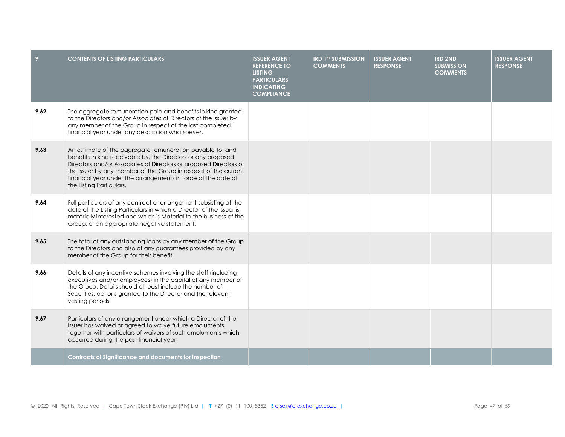| 9    | <b>CONTENTS OF LISTING PARTICULARS</b>                                                                                                                                                                                                                                                                                                                          | <b>ISSUER AGENT</b><br><b>REFERENCE TO</b><br><b>LISTING</b><br><b>PARTICULARS</b><br><b>INDICATING</b><br><b>COMPLIANCE</b> | <b>IRD 1ST SUBMISSION</b><br><b>COMMENTS</b> | <b>ISSUER AGENT</b><br><b>RESPONSE</b> | <b>IRD 2ND</b><br><b>SUBMISSION</b><br><b>COMMENTS</b> | <b>ISSUER AGENT</b><br><b>RESPONSE</b> |
|------|-----------------------------------------------------------------------------------------------------------------------------------------------------------------------------------------------------------------------------------------------------------------------------------------------------------------------------------------------------------------|------------------------------------------------------------------------------------------------------------------------------|----------------------------------------------|----------------------------------------|--------------------------------------------------------|----------------------------------------|
| 9.62 | The aggregate remuneration paid and benefits in kind granted<br>to the Directors and/or Associates of Directors of the Issuer by<br>any member of the Group in respect of the last completed<br>financial year under any description whatsoever.                                                                                                                |                                                                                                                              |                                              |                                        |                                                        |                                        |
| 9.63 | An estimate of the aggregate remuneration payable to, and<br>benefits in kind receivable by, the Directors or any proposed<br>Directors and/or Associates of Directors or proposed Directors of<br>the Issuer by any member of the Group in respect of the current<br>financial year under the arrangements in force at the date of<br>the Listing Particulars. |                                                                                                                              |                                              |                                        |                                                        |                                        |
| 9.64 | Full particulars of any contract or arrangement subsisting at the<br>date of the Listing Particulars in which a Director of the Issuer is<br>materially interested and which is Material to the business of the<br>Group, or an appropriate negative statement.                                                                                                 |                                                                                                                              |                                              |                                        |                                                        |                                        |
| 9.65 | The total of any outstanding loans by any member of the Group<br>to the Directors and also of any guarantees provided by any<br>member of the Group for their benefit.                                                                                                                                                                                          |                                                                                                                              |                                              |                                        |                                                        |                                        |
| 9.66 | Details of any incentive schemes involving the staff (including<br>executives and/or employees) in the capital of any member of<br>the Group. Details should at least include the number of<br>Securities, options granted to the Director and the relevant<br>vesting periods.                                                                                 |                                                                                                                              |                                              |                                        |                                                        |                                        |
| 9.67 | Particulars of any arrangement under which a Director of the<br>Issuer has waived or agreed to waive future emoluments<br>together with particulars of waivers of such emoluments which<br>occurred during the past financial year.                                                                                                                             |                                                                                                                              |                                              |                                        |                                                        |                                        |
|      | <b>Contracts of Significance and documents for inspection</b>                                                                                                                                                                                                                                                                                                   |                                                                                                                              |                                              |                                        |                                                        |                                        |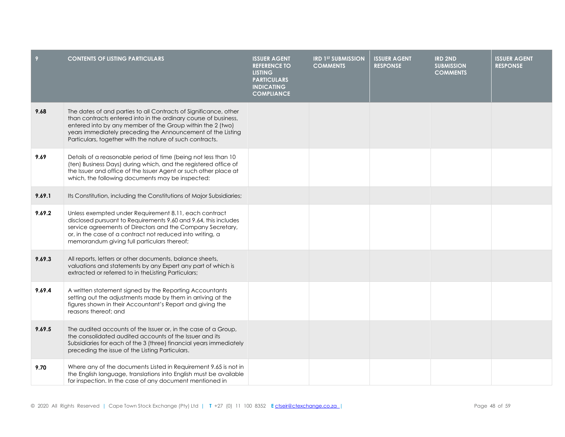| 9      | <b>CONTENTS OF LISTING PARTICULARS</b>                                                                                                                                                                                                                                                                                       | <b>ISSUER AGENT</b><br><b>REFERENCE TO</b><br><b>LISTING</b><br><b>PARTICULARS</b><br><b>INDICATING</b><br><b>COMPLIANCE</b> | <b>IRD 1ST SUBMISSION</b><br><b>COMMENTS</b> | <b>ISSUER AGENT</b><br><b>RESPONSE</b> | <b>IRD 2ND</b><br><b>SUBMISSION</b><br><b>COMMENTS</b> | <b>ISSUER AGENT</b><br><b>RESPONSE</b> |
|--------|------------------------------------------------------------------------------------------------------------------------------------------------------------------------------------------------------------------------------------------------------------------------------------------------------------------------------|------------------------------------------------------------------------------------------------------------------------------|----------------------------------------------|----------------------------------------|--------------------------------------------------------|----------------------------------------|
| 9.68   | The dates of and parties to all Contracts of Significance, other<br>than contracts entered into in the ordinary course of business,<br>entered into by any member of the Group within the 2 (two)<br>years immediately preceding the Announcement of the Listing<br>Particulars, together with the nature of such contracts. |                                                                                                                              |                                              |                                        |                                                        |                                        |
| 9.69   | Details of a reasonable period of time (being not less than 10<br>(ten) Business Days) during which, and the registered office of<br>the Issuer and office of the Issuer Agent or such other place at<br>which, the following documents may be inspected:                                                                    |                                                                                                                              |                                              |                                        |                                                        |                                        |
| 9.69.1 | Its Constitution, including the Constitutions of Major Subsidiaries;                                                                                                                                                                                                                                                         |                                                                                                                              |                                              |                                        |                                                        |                                        |
| 9.69.2 | Unless exempted under Requirement 8.11, each contract<br>disclosed pursuant to Requirements 9.60 and 9.64, this includes<br>service agreements of Directors and the Company Secretary,<br>or, in the case of a contract not reduced into writing, a<br>memorandum giving full particulars thereof;                           |                                                                                                                              |                                              |                                        |                                                        |                                        |
| 9.69.3 | All reports, letters or other documents, balance sheets,<br>valuations and statements by any Expert any part of which is<br>extracted or referred to in the Listing Particulars;                                                                                                                                             |                                                                                                                              |                                              |                                        |                                                        |                                        |
| 9.69.4 | A written statement signed by the Reporting Accountants<br>setting out the adjustments made by them in arriving at the<br>figures shown in their Accountant's Report and giving the<br>reasons thereof: and                                                                                                                  |                                                                                                                              |                                              |                                        |                                                        |                                        |
| 9.69.5 | The audited accounts of the Issuer or, in the case of a Group,<br>the consolidated audited accounts of the Issuer and its<br>Subsidiaries for each of the 3 (three) financial years immediately<br>preceding the issue of the Listing Particulars.                                                                           |                                                                                                                              |                                              |                                        |                                                        |                                        |
| 9.70   | Where any of the documents Listed in Requirement 9.65 is not in<br>the English language, translations into English must be available<br>for inspection. In the case of any document mentioned in                                                                                                                             |                                                                                                                              |                                              |                                        |                                                        |                                        |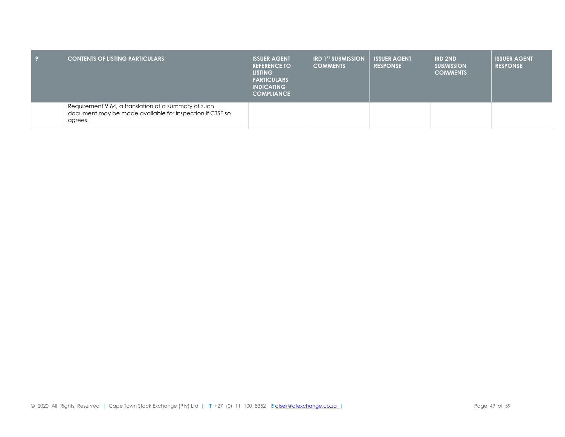| <b>CONTENTS OF LISTING PARTICULARS</b>                                                                                      | <b>ISSUER AGENT</b><br><b>REFERENCE TO</b><br><b>LISTING</b><br><b>PARTICULARS</b><br><b>INDICATING</b><br><b>COMPLIANCE</b> | <b>IRD 1ST SUBMISSION</b><br><b>COMMENTS</b> | <b>ISSUER AGENT</b><br><b>RESPONSE</b> | <b>IRD 2ND</b><br><b>SUBMISSION</b><br><b>COMMENTS</b> | <b>ISSUER AGENT</b><br><b>RESPONSE</b> |
|-----------------------------------------------------------------------------------------------------------------------------|------------------------------------------------------------------------------------------------------------------------------|----------------------------------------------|----------------------------------------|--------------------------------------------------------|----------------------------------------|
| Requirement 9.64, a translation of a summary of such<br>document may be made available for inspection if CTSE so<br>agrees. |                                                                                                                              |                                              |                                        |                                                        |                                        |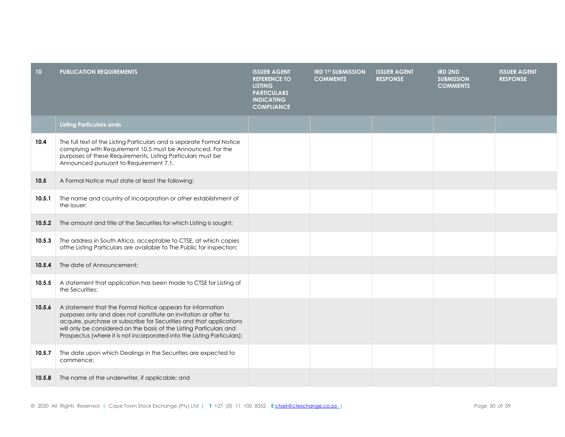| 10 <sub>1</sub> | <b>PUBLICATION REQUIREMENTS</b>                                                                                                                                                                                                                                                                                                                        | <b>ISSUER AGENT</b><br><b>REFERENCE TO</b><br><b>LISTING</b><br><b>PARTICULARS</b><br><b>INDICATING</b><br><b>COMPLIANCE</b> | <b>IRD 1ST SUBMISSION</b><br><b>COMMENTS</b> | <b>ISSUER AGENT</b><br><b>RESPONSE</b> | <b>IRD 2ND</b><br><b>SUBMISSION</b><br><b>COMMENTS</b> | <b>ISSUER AGENT</b><br><b>RESPONSE</b> |
|-----------------|--------------------------------------------------------------------------------------------------------------------------------------------------------------------------------------------------------------------------------------------------------------------------------------------------------------------------------------------------------|------------------------------------------------------------------------------------------------------------------------------|----------------------------------------------|----------------------------------------|--------------------------------------------------------|----------------------------------------|
|                 | <b>Listing Particulars ands</b>                                                                                                                                                                                                                                                                                                                        |                                                                                                                              |                                              |                                        |                                                        |                                        |
| 10.4            | The full text of the Listing Particulars and a separate Formal Notice<br>complying with Requirement 10.5 must be Announced. For the<br>purposes of these Requirements, Listing Particulars must be<br>Announced pursuant to Requirement 7.1.                                                                                                           |                                                                                                                              |                                              |                                        |                                                        |                                        |
| 10.5            | A Formal Notice must state at least the following:                                                                                                                                                                                                                                                                                                     |                                                                                                                              |                                              |                                        |                                                        |                                        |
| 10.5.1          | The name and country of incorporation or other establishment of<br>the Issuer:                                                                                                                                                                                                                                                                         |                                                                                                                              |                                              |                                        |                                                        |                                        |
| 10.5.2          | The amount and title of the Securities for which Listing is sought;                                                                                                                                                                                                                                                                                    |                                                                                                                              |                                              |                                        |                                                        |                                        |
| 10.5.3          | The address in South Africa, acceptable to CTSE, at which copies<br>of the Listing Particulars are available to The Public for inspection;                                                                                                                                                                                                             |                                                                                                                              |                                              |                                        |                                                        |                                        |
| 10.5.4          | The date of Announcement;                                                                                                                                                                                                                                                                                                                              |                                                                                                                              |                                              |                                        |                                                        |                                        |
| 10.5.5          | A statement that application has been made to CTSE for Listing of<br>the Securities:                                                                                                                                                                                                                                                                   |                                                                                                                              |                                              |                                        |                                                        |                                        |
| 10.5.6          | A statement that the Formal Notice appears for information<br>purposes only and does not constitute an invitation or offer to<br>acquire, purchase or subscribe for Securities and that applications<br>will only be considered on the basis of the Listing Particulars and<br>Prospectus (where it is not incorporated into the Listing Particulars); |                                                                                                                              |                                              |                                        |                                                        |                                        |
| 10.5.7          | The date upon which Dealings in the Securities are expected to<br>commence;                                                                                                                                                                                                                                                                            |                                                                                                                              |                                              |                                        |                                                        |                                        |
| 10.5.8          | The name of the underwriter, if applicable; and                                                                                                                                                                                                                                                                                                        |                                                                                                                              |                                              |                                        |                                                        |                                        |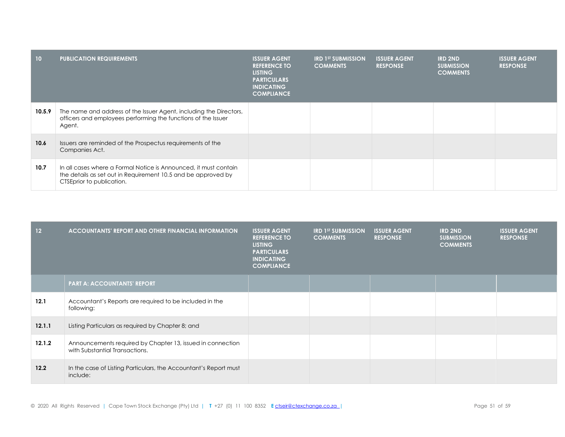| 10 <sup>°</sup> | <b>PUBLICATION REQUIREMENTS</b>                                                                                                                                | <b>ISSUER AGENT</b><br><b>REFERENCE TO</b><br><b>LISTING</b><br><b>PARTICULARS</b><br><b>INDICATING</b><br><b>COMPLIANCE</b> | <b>IRD 1ST SUBMISSION</b><br><b>COMMENTS</b> | <b>ISSUER AGENT</b><br><b>RESPONSE</b> | <b>IRD 2ND</b><br><b>SUBMISSION</b><br><b>COMMENTS</b> | <b>ISSUER AGENT</b><br><b>RESPONSE</b> |
|-----------------|----------------------------------------------------------------------------------------------------------------------------------------------------------------|------------------------------------------------------------------------------------------------------------------------------|----------------------------------------------|----------------------------------------|--------------------------------------------------------|----------------------------------------|
| 10.5.9          | The name and address of the Issuer Agent, including the Directors,<br>officers and employees performing the functions of the Issuer<br>Agent.                  |                                                                                                                              |                                              |                                        |                                                        |                                        |
| 10.6            | Issuers are reminded of the Prospectus requirements of the<br>Companies Act.                                                                                   |                                                                                                                              |                                              |                                        |                                                        |                                        |
| 10.7            | In all cases where a Formal Notice is Announced, it must contain<br>the details as set out in Requirement 10.5 and be approved by<br>CTSEprior to publication. |                                                                                                                              |                                              |                                        |                                                        |                                        |

| 12 <sup>°</sup> | <b>ACCOUNTANTS' REPORT AND OTHER FINANCIAL INFORMATION</b>                                   | <b>ISSUER AGENT</b><br><b>REFERENCE TO</b><br><b>LISTING</b><br><b>PARTICULARS</b><br><b>INDICATING</b><br><b>COMPLIANCE</b> | <b>IRD 1ST SUBMISSION</b><br><b>COMMENTS</b> | <b>ISSUER AGENT</b><br><b>RESPONSE</b> | <b>IRD 2ND</b><br><b>SUBMISSION</b><br><b>COMMENTS</b> | <b>ISSUER AGENT</b><br><b>RESPONSE</b> |
|-----------------|----------------------------------------------------------------------------------------------|------------------------------------------------------------------------------------------------------------------------------|----------------------------------------------|----------------------------------------|--------------------------------------------------------|----------------------------------------|
|                 | <b>PART A: ACCOUNTANTS' REPORT</b>                                                           |                                                                                                                              |                                              |                                        |                                                        |                                        |
| 12.1            | Accountant's Reports are required to be included in the<br>following:                        |                                                                                                                              |                                              |                                        |                                                        |                                        |
| 12.1.1          | Listing Particulars as required by Chapter 8; and                                            |                                                                                                                              |                                              |                                        |                                                        |                                        |
| 12.1.2          | Announcements required by Chapter 13, issued in connection<br>with Substantial Transactions. |                                                                                                                              |                                              |                                        |                                                        |                                        |
| 12.2            | In the case of Listing Particulars, the Accountant's Report must<br>include:                 |                                                                                                                              |                                              |                                        |                                                        |                                        |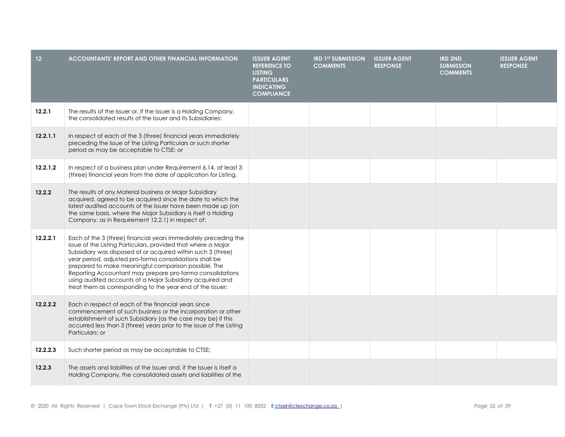| 12 <sup>°</sup> | <b>ACCOUNTANTS' REPORT AND OTHER FINANCIAL INFORMATION</b>                                                                                                                                                                                                                                                                                                                                                                                                                                                  | <b>ISSUER AGENT</b><br><b>REFERENCE TO</b><br><b>LISTING</b><br><b>PARTICULARS</b><br><b>INDICATING</b><br><b>COMPLIANCE</b> | <b>IRD 1ST SUBMISSION</b><br><b>COMMENTS</b> | <b>ISSUER AGENT</b><br><b>RESPONSE</b> | <b>IRD 2ND</b><br><b>SUBMISSION</b><br><b>COMMENTS</b> | <b>ISSUER AGENT</b><br><b>RESPONSE</b> |
|-----------------|-------------------------------------------------------------------------------------------------------------------------------------------------------------------------------------------------------------------------------------------------------------------------------------------------------------------------------------------------------------------------------------------------------------------------------------------------------------------------------------------------------------|------------------------------------------------------------------------------------------------------------------------------|----------------------------------------------|----------------------------------------|--------------------------------------------------------|----------------------------------------|
| 12.2.1          | The results of the Issuer or, if the Issuer is a Holding Company,<br>the consolidated results of the Issuer and its Subsidiaries:                                                                                                                                                                                                                                                                                                                                                                           |                                                                                                                              |                                              |                                        |                                                        |                                        |
| 12.2.1.1        | In respect of each of the 3 (three) financial years immediately<br>preceding the issue of the Listing Particulars or such shorter<br>period as may be acceptable to CTSE; or                                                                                                                                                                                                                                                                                                                                |                                                                                                                              |                                              |                                        |                                                        |                                        |
| 12.2.1.2        | In respect of a business plan under Requirement 6.14, at least 3<br>(three) financial years from the date of application for Listing.                                                                                                                                                                                                                                                                                                                                                                       |                                                                                                                              |                                              |                                        |                                                        |                                        |
| 12.2.2          | The results of any Material business or Major Subsidiary<br>acquired, agreed to be acquired since the date to which the<br>latest audited accounts of the Issuer have been made up (on<br>the same basis, where the Major Subsidiary is itself a Holding<br>Company, as in Requirement 12.2.1) in respect of:                                                                                                                                                                                               |                                                                                                                              |                                              |                                        |                                                        |                                        |
| 12.2.2.1        | Each of the 3 (three) financial years immediately preceding the<br>issue of the Listing Particulars, provided that where a Major<br>Subsidiary was disposed of or acquired within such 3 (three)<br>year period, adjusted pro-forma consolidations shall be<br>prepared to make meaningful comparison possible. The<br>Reporting Accountant may prepare pro-forma consolidations<br>using audited accounts of a Major Subsidiary acquired and<br>treat them as corresponding to the year end of the Issuer; |                                                                                                                              |                                              |                                        |                                                        |                                        |
| 12.2.2.2        | Each in respect of each of the financial years since<br>commencement of such business or the incorporation or other<br>establishment of such Subsidiary (as the case may be) if this<br>occurred less than 3 (three) years prior to the issue of the Listing<br>Particulars; or                                                                                                                                                                                                                             |                                                                                                                              |                                              |                                        |                                                        |                                        |
| 12.2.2.3        | Such shorter period as may be acceptable to CTSE;                                                                                                                                                                                                                                                                                                                                                                                                                                                           |                                                                                                                              |                                              |                                        |                                                        |                                        |
| 12.2.3          | The assets and liabilities of the Issuer and, if the Issuer is itself a<br>Holding Company, the consolidated assets and liabilities of the                                                                                                                                                                                                                                                                                                                                                                  |                                                                                                                              |                                              |                                        |                                                        |                                        |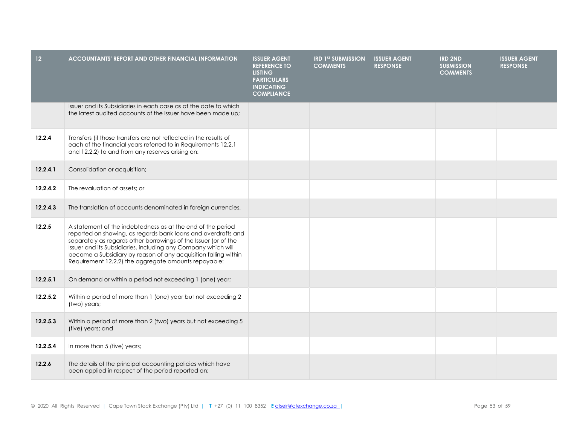| 12 <sub>2</sub> | <b>ACCOUNTANTS' REPORT AND OTHER FINANCIAL INFORMATION</b>                                                                                                                                                                                                                                                                                                                                  | <b>ISSUER AGENT</b><br><b>REFERENCE TO</b><br><b>LISTING</b><br><b>PARTICULARS</b><br><b>INDICATING</b><br><b>COMPLIANCE</b> | <b>IRD 1ST SUBMISSION</b><br><b>COMMENTS</b> | <b>ISSUER AGENT</b><br><b>RESPONSE</b> | <b>IRD 2ND</b><br><b>SUBMISSION</b><br><b>COMMENTS</b> | <b>ISSUER AGENT</b><br><b>RESPONSE</b> |
|-----------------|---------------------------------------------------------------------------------------------------------------------------------------------------------------------------------------------------------------------------------------------------------------------------------------------------------------------------------------------------------------------------------------------|------------------------------------------------------------------------------------------------------------------------------|----------------------------------------------|----------------------------------------|--------------------------------------------------------|----------------------------------------|
|                 | Issuer and its Subsidiaries in each case as at the date to which<br>the latest audited accounts of the Issuer have been made up;                                                                                                                                                                                                                                                            |                                                                                                                              |                                              |                                        |                                                        |                                        |
| 12.2.4          | Transfers (if those transfers are not reflected in the results of<br>each of the financial years referred to in Requirements 12.2.1<br>and 12.2.2) to and from any reserves arising on:                                                                                                                                                                                                     |                                                                                                                              |                                              |                                        |                                                        |                                        |
| 12.2.4.1        | Consolidation or acquisition;                                                                                                                                                                                                                                                                                                                                                               |                                                                                                                              |                                              |                                        |                                                        |                                        |
| 12.2.4.2        | The revaluation of assets; or                                                                                                                                                                                                                                                                                                                                                               |                                                                                                                              |                                              |                                        |                                                        |                                        |
| 12.2.4.3        | The translation of accounts denominated in foreign currencies,                                                                                                                                                                                                                                                                                                                              |                                                                                                                              |                                              |                                        |                                                        |                                        |
| 12.2.5          | A statement of the indebtedness as at the end of the period<br>reported on showing, as regards bank loans and overdrafts and<br>separately as regards other borrowings of the Issuer (or of the<br>Issuer and its Subsidiaries, including any Company which will<br>become a Subsidiary by reason of any acquisition falling within<br>Requirement 12.2.2) the aggregate amounts repayable: |                                                                                                                              |                                              |                                        |                                                        |                                        |
| 12.2.5.1        | On demand or within a period not exceeding 1 (one) year;                                                                                                                                                                                                                                                                                                                                    |                                                                                                                              |                                              |                                        |                                                        |                                        |
| 12.2.5.2        | Within a period of more than 1 (one) year but not exceeding 2<br>(two) years;                                                                                                                                                                                                                                                                                                               |                                                                                                                              |                                              |                                        |                                                        |                                        |
| 12.2.5.3        | Within a period of more than 2 (two) years but not exceeding 5<br>(five) years; and                                                                                                                                                                                                                                                                                                         |                                                                                                                              |                                              |                                        |                                                        |                                        |
| 12.2.5.4        | In more than 5 (five) years;                                                                                                                                                                                                                                                                                                                                                                |                                                                                                                              |                                              |                                        |                                                        |                                        |
| 12.2.6          | The details of the principal accounting policies which have<br>been applied in respect of the period reported on;                                                                                                                                                                                                                                                                           |                                                                                                                              |                                              |                                        |                                                        |                                        |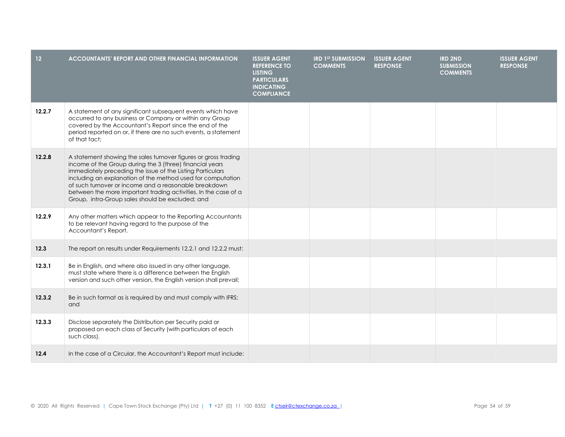| $12$   | <b>ACCOUNTANTS' REPORT AND OTHER FINANCIAL INFORMATION</b>                                                                                                                                                                                                                                                                                                                                                                               | <b>ISSUER AGENT</b><br><b>REFERENCE TO</b><br><b>LISTING</b><br><b>PARTICULARS</b><br><b>INDICATING</b><br><b>COMPLIANCE</b> | <b>IRD 1ST SUBMISSION</b><br><b>COMMENTS</b> | <b>ISSUER AGENT</b><br><b>RESPONSE</b> | <b>IRD 2ND</b><br><b>SUBMISSION</b><br><b>COMMENTS</b> | <b>ISSUER AGENT</b><br><b>RESPONSE</b> |
|--------|------------------------------------------------------------------------------------------------------------------------------------------------------------------------------------------------------------------------------------------------------------------------------------------------------------------------------------------------------------------------------------------------------------------------------------------|------------------------------------------------------------------------------------------------------------------------------|----------------------------------------------|----------------------------------------|--------------------------------------------------------|----------------------------------------|
| 12.2.7 | A statement of any significant subsequent events which have<br>occurred to any business or Company or within any Group<br>covered by the Accountant's Report since the end of the<br>period reported on or, if there are no such events, a statement<br>of that fact:                                                                                                                                                                    |                                                                                                                              |                                              |                                        |                                                        |                                        |
| 12.2.8 | A statement showing the sales turnover figures or gross trading<br>income of the Group during the 3 (three) financial years<br>immediately preceding the issue of the Listing Particulars<br>including an explanation of the method used for computation<br>of such turnover or income and a reasonable breakdown<br>between the more important trading activities. In the case of a<br>Group, intra-Group sales should be excluded; and |                                                                                                                              |                                              |                                        |                                                        |                                        |
| 12.2.9 | Any other matters which appear to the Reporting Accountants<br>to be relevant having regard to the purpose of the<br>Accountant's Report.                                                                                                                                                                                                                                                                                                |                                                                                                                              |                                              |                                        |                                                        |                                        |
| 12.3   | The report on results under Requirements 12.2.1 and 12.2.2 must:                                                                                                                                                                                                                                                                                                                                                                         |                                                                                                                              |                                              |                                        |                                                        |                                        |
| 12.3.1 | Be in English, and where also issued in any other language,<br>must state where there is a difference between the English<br>version and such other version, the English version shall prevail;                                                                                                                                                                                                                                          |                                                                                                                              |                                              |                                        |                                                        |                                        |
| 12.3.2 | Be in such format as is required by and must comply with IFRS;<br>and                                                                                                                                                                                                                                                                                                                                                                    |                                                                                                                              |                                              |                                        |                                                        |                                        |
| 12.3.3 | Disclose separately the Distribution per Security paid or<br>proposed on each class of Security (with particulars of each<br>such class).                                                                                                                                                                                                                                                                                                |                                                                                                                              |                                              |                                        |                                                        |                                        |
| 12.4   | In the case of a Circular, the Accountant's Report must include:                                                                                                                                                                                                                                                                                                                                                                         |                                                                                                                              |                                              |                                        |                                                        |                                        |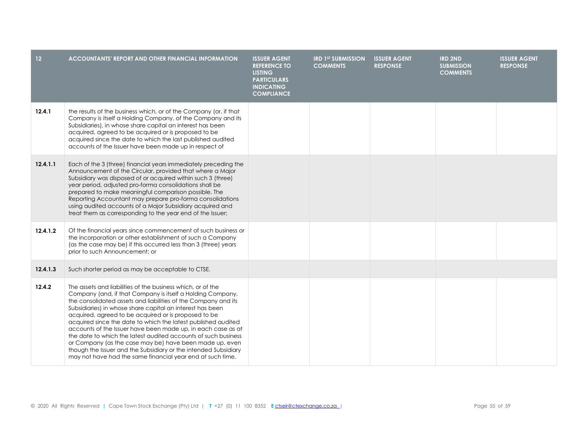| 12 <sub>2</sub> | <b>ACCOUNTANTS' REPORT AND OTHER FINANCIAL INFORMATION</b>                                                                                                                                                                                                                                                                                                                                                                                                                                                                                                                                                                                                                                                      | <b>ISSUER AGENT</b><br><b>REFERENCE TO</b><br><b>LISTING</b><br><b>PARTICULARS</b><br><b>INDICATING</b><br><b>COMPLIANCE</b> | <b>IRD 1ST SUBMISSION</b><br><b>COMMENTS</b> | <b>ISSUER AGENT</b><br><b>RESPONSE</b> | <b>IRD 2ND</b><br><b>SUBMISSION</b><br><b>COMMENTS</b> | <b>ISSUER AGENT</b><br><b>RESPONSE</b> |
|-----------------|-----------------------------------------------------------------------------------------------------------------------------------------------------------------------------------------------------------------------------------------------------------------------------------------------------------------------------------------------------------------------------------------------------------------------------------------------------------------------------------------------------------------------------------------------------------------------------------------------------------------------------------------------------------------------------------------------------------------|------------------------------------------------------------------------------------------------------------------------------|----------------------------------------------|----------------------------------------|--------------------------------------------------------|----------------------------------------|
| 12.4.1          | the results of the business which, or of the Company (or, if that<br>Company is itself a Holding Company, of the Company and its<br>Subsidiaries), in whose share capital an interest has been<br>acquired, agreed to be acquired or is proposed to be<br>acquired since the date to which the last published audited<br>accounts of the Issuer have been made up in respect of                                                                                                                                                                                                                                                                                                                                 |                                                                                                                              |                                              |                                        |                                                        |                                        |
| 12.4.1.1        | Each of the 3 (three) financial years immediately preceding the<br>Announcement of the Circular, provided that where a Major<br>Subsidiary was disposed of or acquired within such 3 (three)<br>year period, adjusted pro-forma consolidations shall be<br>prepared to make meaningful comparison possible. The<br>Reporting Accountant may prepare pro-forma consolidations<br>using audited accounts of a Major Subsidiary acquired and<br>treat them as corresponding to the year end of the Issuer;                                                                                                                                                                                                         |                                                                                                                              |                                              |                                        |                                                        |                                        |
| 12.4.1.2        | Of the financial years since commencement of such business or<br>the incorporation or other establishment of such a Company<br>(as the case may be) if this occurred less than 3 (three) years<br>prior to such Announcement; or                                                                                                                                                                                                                                                                                                                                                                                                                                                                                |                                                                                                                              |                                              |                                        |                                                        |                                        |
| 12.4.1.3        | Such shorter period as may be acceptable to CTSE.                                                                                                                                                                                                                                                                                                                                                                                                                                                                                                                                                                                                                                                               |                                                                                                                              |                                              |                                        |                                                        |                                        |
| 12.4.2          | The assets and liabilities of the business which, or of the<br>Company (and, if that Company is itself a Holding Company,<br>the consolidated assets and liabilities of the Company and its<br>Subsidiaries) in whose share capital an interest has been<br>acquired, agreed to be acquired or is proposed to be<br>acquired since the date to which the latest published audited<br>accounts of the Issuer have been made up, in each case as at<br>the date to which the latest audited accounts of such business<br>or Company (as the case may be) have been made up, even<br>though the Issuer and the Subsidiary or the intended Subsidiary<br>may not have had the same financial year end at such time. |                                                                                                                              |                                              |                                        |                                                        |                                        |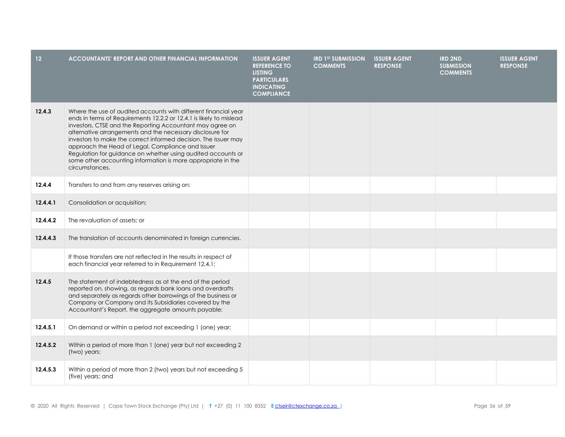| 12 <sub>2</sub> | <b>ACCOUNTANTS' REPORT AND OTHER FINANCIAL INFORMATION</b>                                                                                                                                                                                                                                                                                                                                                                                                                                                                                 | <b>ISSUER AGENT</b><br><b>REFERENCE TO</b><br><b>LISTING</b><br><b>PARTICULARS</b><br><b>INDICATING</b><br><b>COMPLIANCE</b> | <b>IRD 1ST SUBMISSION</b><br><b>COMMENTS</b> | <b>ISSUER AGENT</b><br><b>RESPONSE</b> | <b>IRD 2ND</b><br><b>SUBMISSION</b><br><b>COMMENTS</b> | <b>ISSUER AGENT</b><br><b>RESPONSE</b> |
|-----------------|--------------------------------------------------------------------------------------------------------------------------------------------------------------------------------------------------------------------------------------------------------------------------------------------------------------------------------------------------------------------------------------------------------------------------------------------------------------------------------------------------------------------------------------------|------------------------------------------------------------------------------------------------------------------------------|----------------------------------------------|----------------------------------------|--------------------------------------------------------|----------------------------------------|
| 12.4.3          | Where the use of audited accounts with different financial year<br>ends in terms of Requirements 12.2.2 or 12.4.1 is likely to mislead<br>investors, CTSE and the Reporting Accountant may agree on<br>alternative arrangements and the necessary disclosure for<br>investors to make the correct informed decision. The Issuer may<br>approach the Head of Legal, Compliance and Issuer<br>Regulation for guidance on whether using audited accounts or<br>some other accounting information is more appropriate in the<br>circumstances. |                                                                                                                              |                                              |                                        |                                                        |                                        |
| 12.4.4          | Transfers to and from any reserves arising on:                                                                                                                                                                                                                                                                                                                                                                                                                                                                                             |                                                                                                                              |                                              |                                        |                                                        |                                        |
| 12.4.4.1        | Consolidation or acquisition;                                                                                                                                                                                                                                                                                                                                                                                                                                                                                                              |                                                                                                                              |                                              |                                        |                                                        |                                        |
| 12.4.4.2        | The revaluation of assets; or                                                                                                                                                                                                                                                                                                                                                                                                                                                                                                              |                                                                                                                              |                                              |                                        |                                                        |                                        |
| 12.4.4.3        | The translation of accounts denominated in foreign currencies.                                                                                                                                                                                                                                                                                                                                                                                                                                                                             |                                                                                                                              |                                              |                                        |                                                        |                                        |
|                 | If those transfers are not reflected in the results in respect of<br>each financial year referred to in Requirement 12.4.1;                                                                                                                                                                                                                                                                                                                                                                                                                |                                                                                                                              |                                              |                                        |                                                        |                                        |
| 12.4.5          | The statement of indebtedness as at the end of the period<br>reported on, showing, as regards bank loans and overdrafts<br>and separately as regards other borrowings of the business or<br>Company or Company and its Subsidiaries covered by the<br>Accountant's Report, the aggregate amounts payable:                                                                                                                                                                                                                                  |                                                                                                                              |                                              |                                        |                                                        |                                        |
| 12.4.5.1        | On demand or within a period not exceeding 1 (one) year;                                                                                                                                                                                                                                                                                                                                                                                                                                                                                   |                                                                                                                              |                                              |                                        |                                                        |                                        |
| 12.4.5.2        | Within a period of more than 1 (one) year but not exceeding 2<br>(two) years;                                                                                                                                                                                                                                                                                                                                                                                                                                                              |                                                                                                                              |                                              |                                        |                                                        |                                        |
| 12.4.5.3        | Within a period of more than 2 (two) years but not exceeding 5<br>(five) years; and                                                                                                                                                                                                                                                                                                                                                                                                                                                        |                                                                                                                              |                                              |                                        |                                                        |                                        |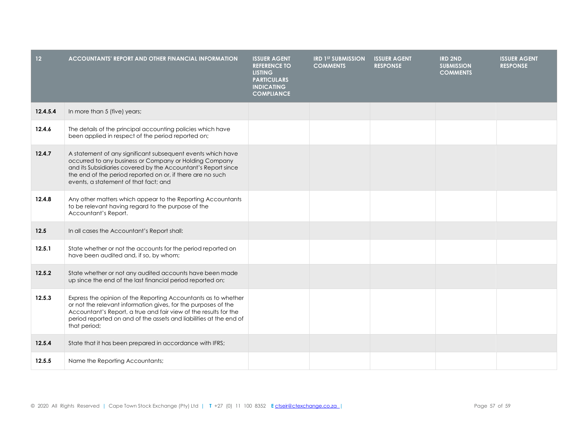| 12 <sub>2</sub> | <b>ACCOUNTANTS' REPORT AND OTHER FINANCIAL INFORMATION</b>                                                                                                                                                                                                                                    | <b>ISSUER AGENT</b><br><b>REFERENCE TO</b><br><b>LISTING</b><br><b>PARTICULARS</b><br><b>INDICATING</b><br><b>COMPLIANCE</b> | <b>IRD 1ST SUBMISSION</b><br><b>COMMENTS</b> | <b>ISSUER AGENT</b><br><b>RESPONSE</b> | <b>IRD 2ND</b><br><b>SUBMISSION</b><br><b>COMMENTS</b> | <b>ISSUER AGENT</b><br><b>RESPONSE</b> |
|-----------------|-----------------------------------------------------------------------------------------------------------------------------------------------------------------------------------------------------------------------------------------------------------------------------------------------|------------------------------------------------------------------------------------------------------------------------------|----------------------------------------------|----------------------------------------|--------------------------------------------------------|----------------------------------------|
| 12.4.5.4        | In more than 5 (five) years;                                                                                                                                                                                                                                                                  |                                                                                                                              |                                              |                                        |                                                        |                                        |
| 12.4.6          | The details of the principal accounting policies which have<br>been applied in respect of the period reported on;                                                                                                                                                                             |                                                                                                                              |                                              |                                        |                                                        |                                        |
| 12.4.7          | A statement of any significant subsequent events which have<br>occurred to any business or Company or Holding Company<br>and its Subsidiaries covered by the Accountant's Report since<br>the end of the period reported on or, if there are no such<br>events, a statement of that fact; and |                                                                                                                              |                                              |                                        |                                                        |                                        |
| 12.4.8          | Any other matters which appear to the Reporting Accountants<br>to be relevant having regard to the purpose of the<br>Accountant's Report.                                                                                                                                                     |                                                                                                                              |                                              |                                        |                                                        |                                        |
| 12.5            | In all cases the Accountant's Report shall:                                                                                                                                                                                                                                                   |                                                                                                                              |                                              |                                        |                                                        |                                        |
| 12.5.1          | State whether or not the accounts for the period reported on<br>have been audited and, if so, by whom;                                                                                                                                                                                        |                                                                                                                              |                                              |                                        |                                                        |                                        |
| 12.5.2          | State whether or not any audited accounts have been made<br>up since the end of the last financial period reported on;                                                                                                                                                                        |                                                                                                                              |                                              |                                        |                                                        |                                        |
| 12.5.3          | Express the opinion of the Reporting Accountants as to whether<br>or not the relevant information gives, for the purposes of the<br>Accountant's Report, a true and fair view of the results for the<br>period reported on and of the assets and liabilities at the end of<br>that period;    |                                                                                                                              |                                              |                                        |                                                        |                                        |
| 12.5.4          | State that it has been prepared in accordance with IFRS;                                                                                                                                                                                                                                      |                                                                                                                              |                                              |                                        |                                                        |                                        |
| 12.5.5          | Name the Reporting Accountants;                                                                                                                                                                                                                                                               |                                                                                                                              |                                              |                                        |                                                        |                                        |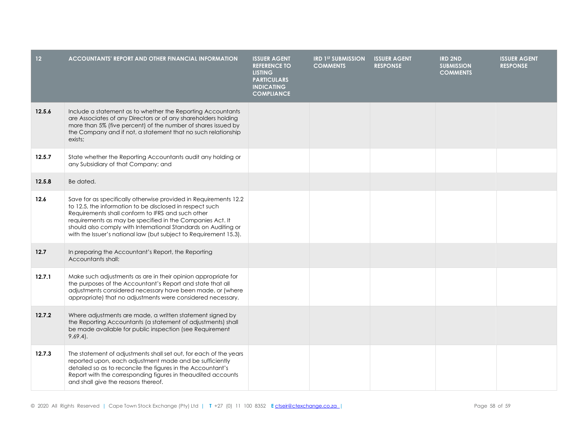| 12 <sup>°</sup> | <b>ACCOUNTANTS' REPORT AND OTHER FINANCIAL INFORMATION</b>                                                                                                                                                                                                                                                                                                                            | <b>ISSUER AGENT</b><br><b>REFERENCE TO</b><br><b>LISTING</b><br><b>PARTICULARS</b><br><b>INDICATING</b><br><b>COMPLIANCE</b> | <b>IRD 1ST SUBMISSION</b><br><b>COMMENTS</b> | <b>ISSUER AGENT</b><br><b>RESPONSE</b> | <b>IRD 2ND</b><br><b>SUBMISSION</b><br><b>COMMENTS</b> | <b>ISSUER AGENT</b><br><b>RESPONSE</b> |
|-----------------|---------------------------------------------------------------------------------------------------------------------------------------------------------------------------------------------------------------------------------------------------------------------------------------------------------------------------------------------------------------------------------------|------------------------------------------------------------------------------------------------------------------------------|----------------------------------------------|----------------------------------------|--------------------------------------------------------|----------------------------------------|
| 12.5.6          | Include a statement as to whether the Reporting Accountants<br>are Associates of any Directors or of any shareholders holding<br>more than 5% (five percent) of the number of shares issued by<br>the Company and if not, a statement that no such relationship<br>exists;                                                                                                            |                                                                                                                              |                                              |                                        |                                                        |                                        |
| 12.5.7          | State whether the Reporting Accountants audit any holding or<br>any Subsidiary of that Company; and                                                                                                                                                                                                                                                                                   |                                                                                                                              |                                              |                                        |                                                        |                                        |
| 12.5.8          | Be dated.                                                                                                                                                                                                                                                                                                                                                                             |                                                                                                                              |                                              |                                        |                                                        |                                        |
| 12.6            | Save for as specifically otherwise provided in Requirements 12.2<br>to 12.5, the information to be disclosed in respect such<br>Requirements shall conform to IFRS and such other<br>requirements as may be specified in the Companies Act. It<br>should also comply with International Standards on Auditing or<br>with the Issuer's national law (but subject to Requirement 15.3). |                                                                                                                              |                                              |                                        |                                                        |                                        |
| 12.7            | In preparing the Accountant's Report, the Reporting<br>Accountants shall:                                                                                                                                                                                                                                                                                                             |                                                                                                                              |                                              |                                        |                                                        |                                        |
| 12.7.1          | Make such adjustments as are in their opinion appropriate for<br>the purposes of the Accountant's Report and state that all<br>adjustments considered necessary have been made, or (where<br>appropriate) that no adjustments were considered necessary.                                                                                                                              |                                                                                                                              |                                              |                                        |                                                        |                                        |
| 12.7.2          | Where adjustments are made, a written statement signed by<br>the Reporting Accountants (a statement of adjustments) shall<br>be made available for public inspection (see Requirement<br>$9.69.4$ .                                                                                                                                                                                   |                                                                                                                              |                                              |                                        |                                                        |                                        |
| 12.7.3          | The statement of adjustments shall set out, for each of the years<br>reported upon, each adjustment made and be sufficiently<br>detailed so as to reconcile the figures in the Accountant's<br>Report with the corresponding figures in theaudited accounts<br>and shall give the reasons thereof.                                                                                    |                                                                                                                              |                                              |                                        |                                                        |                                        |